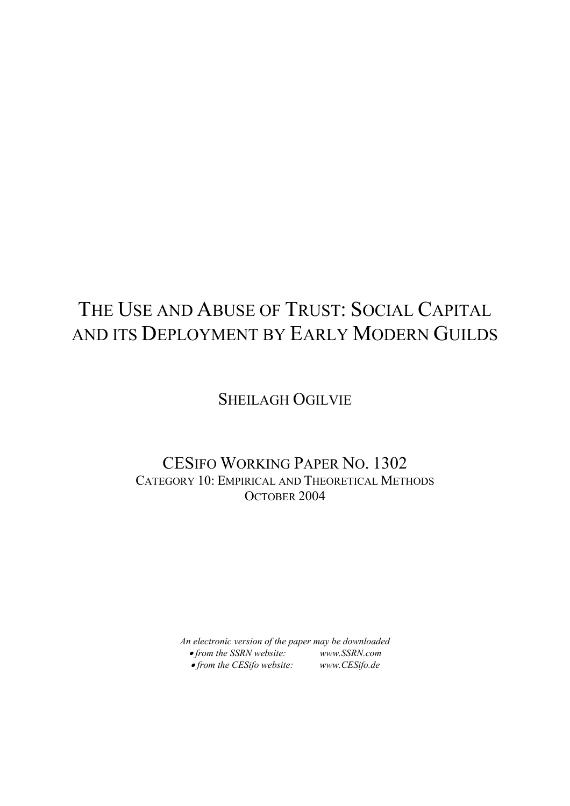## THE USE AND ABUSE OF TRUST: SOCIAL CAPITAL AND ITS DEPLOYMENT BY EARLY MODERN GUILDS

SHEILAGH OGILVIE

### CESIFO WORKING PAPER NO. 1302 CATEGORY 10: EMPIRICAL AND THEORETICAL METHODS OCTOBER 2004

*An electronic version of the paper may be downloaded*  • *from the SSRN website: www.SSRN.com*  • *from the CESifo website: www.CESifo.de*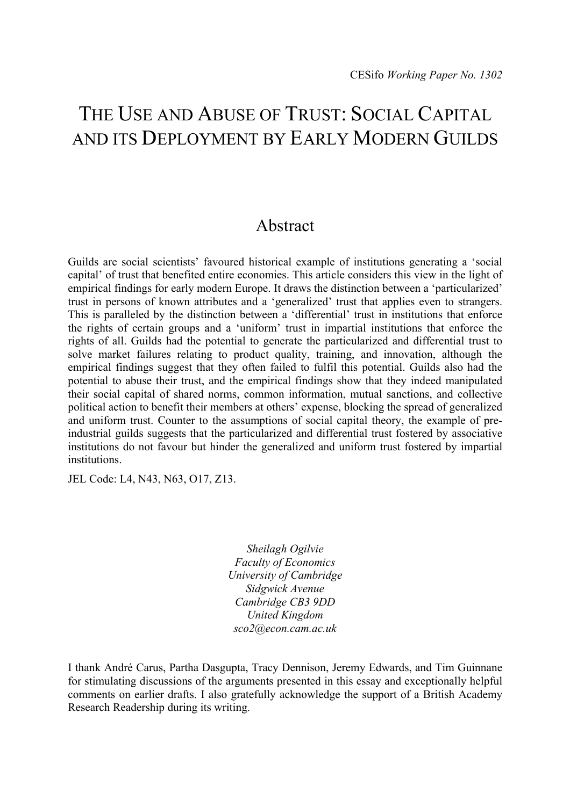## THE USE AND ABUSE OF TRUST: SOCIAL CAPITAL AND ITS DEPLOYMENT BY EARLY MODERN GUILDS

### Abstract

Guilds are social scientists' favoured historical example of institutions generating a 'social capital' of trust that benefited entire economies. This article considers this view in the light of empirical findings for early modern Europe. It draws the distinction between a 'particularized' trust in persons of known attributes and a 'generalized' trust that applies even to strangers. This is paralleled by the distinction between a 'differential' trust in institutions that enforce the rights of certain groups and a 'uniform' trust in impartial institutions that enforce the rights of all. Guilds had the potential to generate the particularized and differential trust to solve market failures relating to product quality, training, and innovation, although the empirical findings suggest that they often failed to fulfil this potential. Guilds also had the potential to abuse their trust, and the empirical findings show that they indeed manipulated their social capital of shared norms, common information, mutual sanctions, and collective political action to benefit their members at others' expense, blocking the spread of generalized and uniform trust. Counter to the assumptions of social capital theory, the example of preindustrial guilds suggests that the particularized and differential trust fostered by associative institutions do not favour but hinder the generalized and uniform trust fostered by impartial institutions.

JEL Code: L4, N43, N63, O17, Z13.

*Sheilagh Ogilvie Faculty of Economics University of Cambridge Sidgwick Avenue Cambridge CB3 9DD United Kingdom sco2@econ.cam.ac.uk*

I thank André Carus, Partha Dasgupta, Tracy Dennison, Jeremy Edwards, and Tim Guinnane for stimulating discussions of the arguments presented in this essay and exceptionally helpful comments on earlier drafts. I also gratefully acknowledge the support of a British Academy Research Readership during its writing.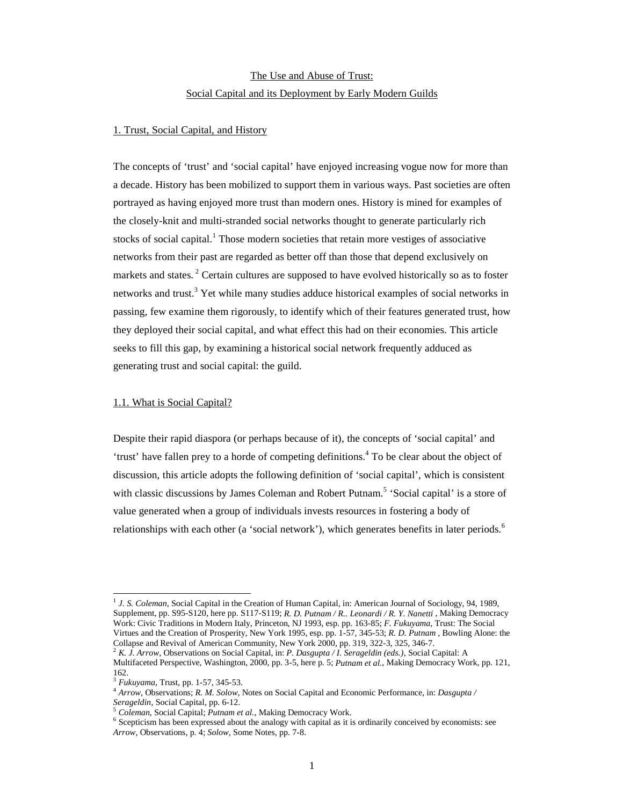### The Use and Abuse of Trust: Social Capital and its Deployment by Early Modern Guilds

#### 1. Trust, Social Capital, and History

The concepts of 'trust' and 'social capital' have enjoyed increasing vogue now for more than a decade. History has been mobilized to support them in various ways. Past societies are often portrayed as having enjoyed more trust than modern ones. History is mined for examples of the closely-knit and multi-stranded social networks thought to generate particularly rich stocks of social capital.<sup>1</sup> Those modern societies that retain more vestiges of associative networks from their past are regarded as better off than those that depend exclusively on markets and states.<sup>2</sup> Certain cultures are supposed to have evolved historically so as to foster networks and trust.<sup>3</sup> Yet while many studies adduce historical examples of social networks in passing, few examine them rigorously, to identify which of their features generated trust, how they deployed their social capital, and what effect this had on their economies. This article seeks to fill this gap, by examining a historical social network frequently adduced as generating trust and social capital: the guild.

#### 1.1. What is Social Capital?

Despite their rapid diaspora (or perhaps because of it), the concepts of 'social capital' and 'trust' have fallen prey to a horde of competing definitions.<sup>4</sup> To be clear about the object of discussion, this article adopts the following definition of 'social capital', which is consistent with classic discussions by James Coleman and Robert Putnam.<sup>5</sup> 'Social capital' is a store of value generated when a group of individuals invests resources in fostering a body of relationships with each other (a 'social network'), which generates benefits in later periods.<sup>6</sup>

<sup>&</sup>lt;sup>1</sup> J. S. Coleman, Social Capital in the Creation of Human Capital, in: American Journal of Sociology, 94, 1989, Supplement, pp. S95-S120, here pp. S117-S119; *R. D. Putnam / R.. Leonardi / R. Y. Nanetti*, Making Democracy Work: Civic Traditions in Modern Italy, Princeton, NJ 1993, esp. pp. 163-85; *F. Fukuyama*, Trust: The Social Virtues and the Creation of Prosperity, New York 1995, esp. pp. 1-57, 345-53; *R. D. Putnam* , Bowling Alone: the Collapse and Revival of American Community, New York 2000, pp. 319, 322-3, 325, 346-7.

<sup>2</sup> *K. J. Arrow*, Observations on Social Capital, in: *P. Dasgupta / I. Serageldin (eds.)*, Social Capital: A Multifaceted Perspective, Washington, 2000, pp. 3-5, here p. 5; *Putnam et al.*, Making Democracy Work, pp. 121, 162.<br><sup>3</sup> Fukuyama, Trust, pp. 1-57, 345-53.

<sup>&</sup>lt;sup>4</sup> *Arrow*, Observations; *R. M. Solow*, Notes on Social Capital and Economic Performance, in: *Dasgupta* / *Serageldin*, Social Capital, pp. 6-12.

<sup>&</sup>lt;sup>5</sup> Coleman, Social Capital; *Putnam et al.*, Making Democracy Work.

<sup>&</sup>lt;sup>6</sup> Scepticism has been expressed about the analogy with capital as it is ordinarily conceived by economists: see *Arrow*, Observations, p. 4; *Solow*, Some Notes, pp. 7-8.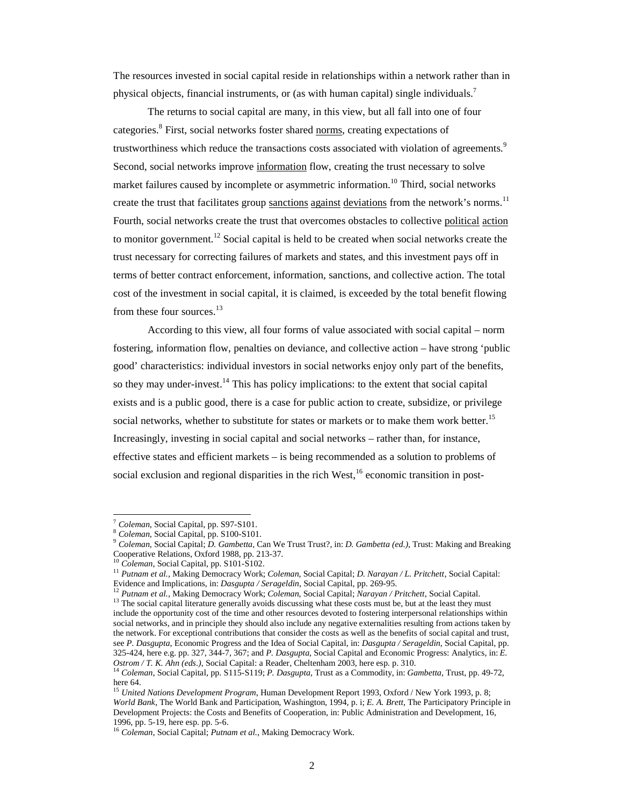The resources invested in social capital reside in relationships within a network rather than in physical objects, financial instruments, or (as with human capital) single individuals.<sup>7</sup>

 The returns to social capital are many, in this view, but all fall into one of four categories.<sup>8</sup> First, social networks foster shared norms, creating expectations of trustworthiness which reduce the transactions costs associated with violation of agreements.<sup>9</sup> Second, social networks improve information flow, creating the trust necessary to solve market failures caused by incomplete or asymmetric information.<sup>10</sup> Third, social networks create the trust that facilitates group sanctions against deviations from the network's norms.<sup>11</sup> Fourth, social networks create the trust that overcomes obstacles to collective political action to monitor government.<sup>12</sup> Social capital is held to be created when social networks create the trust necessary for correcting failures of markets and states, and this investment pays off in terms of better contract enforcement, information, sanctions, and collective action. The total cost of the investment in social capital, it is claimed, is exceeded by the total benefit flowing from these four sources.<sup>13</sup>

 According to this view, all four forms of value associated with social capital – norm fostering, information flow, penalties on deviance, and collective action – have strong 'public good' characteristics: individual investors in social networks enjoy only part of the benefits, so they may under-invest.<sup>14</sup> This has policy implications: to the extent that social capital exists and is a public good, there is a case for public action to create, subsidize, or privilege social networks, whether to substitute for states or markets or to make them work better.<sup>15</sup> Increasingly, investing in social capital and social networks – rather than, for instance, effective states and efficient markets – is being recommended as a solution to problems of social exclusion and regional disparities in the rich West, $16$  economic transition in post-

<sup>&</sup>lt;sup>7</sup> Coleman, Social Capital, pp. S97-S101.<br>
<sup>8</sup> Coleman, Social Capital, pp. S100-S101.<br>
<sup>9</sup> Coleman, Social Capital; *D. Gambetta*, Can We Trust Trust?, in: *D. Gambetta (ed.)*, Trust: Making and Breaking<br>
Cooperative Rel

<sup>&</sup>lt;sup>10</sup> Coleman, Social Capital, pp. S101-S102.<br><sup>11</sup> Putnam et al., Making Democracy Work; Coleman, Social Capital; *D. Narayan / L. Pritchett*, Social Capital:<br>Evidence and Implications, in: *Dasgupta / Serageldin*, Social

<sup>&</sup>lt;sup>12</sup> *Putnam et al.*, Making Democracy Work; *Coleman*, Social Capital; *Narayan / Pritchett*, Social Capital.<br><sup>13</sup> The social capital literature generally avoids discussing what these costs must be, but at the least they

include the opportunity cost of the time and other resources devoted to fostering interpersonal relationships within social networks, and in principle they should also include any negative externalities resulting from actions taken by the network. For exceptional contributions that consider the costs as well as the benefits of social capital and trust, see *P. Dasgupta*, Economic Progress and the Idea of Social Capital, in: *Dasgupta / Serageldin*, Social Capital, pp. 325-424, here e.g. pp. 327, 344-7, 367; and *P. Dasgupta*, Social Capital and Economic Progress: Analytics, in: *E.* 

<sup>&</sup>lt;sup>14</sup> Coleman, Social Capital, pp. S115-S119; P. Dasgupta, Trust as a Commodity, in: Gambetta, Trust, pp. 49-72, here 64.

<sup>15</sup> *United Nations Development Program*, Human Development Report 1993, Oxford / New York 1993, p. 8; *World Bank*, The World Bank and Participation, Washington, 1994, p. i; *E. A. Brett*, The Participatory Principle in Development Projects: the Costs and Benefits of Cooperation, in: Public Administration and Development, 16, 1996, pp. 5-19, here esp. pp. 5-6.

<sup>16</sup> *Coleman*, Social Capital; *Putnam et al.*, Making Democracy Work.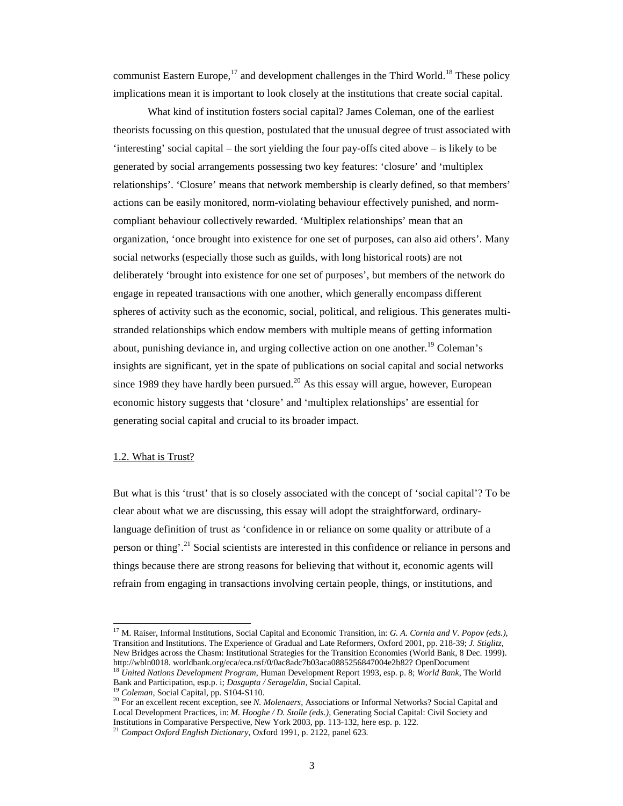communist Eastern Europe,<sup>17</sup> and development challenges in the Third World.<sup>18</sup> These policy implications mean it is important to look closely at the institutions that create social capital.

 What kind of institution fosters social capital? James Coleman, one of the earliest theorists focussing on this question, postulated that the unusual degree of trust associated with 'interesting' social capital – the sort yielding the four pay-offs cited above – is likely to be generated by social arrangements possessing two key features: 'closure' and 'multiplex relationships'. 'Closure' means that network membership is clearly defined, so that members' actions can be easily monitored, norm-violating behaviour effectively punished, and normcompliant behaviour collectively rewarded. 'Multiplex relationships' mean that an organization, 'once brought into existence for one set of purposes, can also aid others'. Many social networks (especially those such as guilds, with long historical roots) are not deliberately 'brought into existence for one set of purposes', but members of the network do engage in repeated transactions with one another, which generally encompass different spheres of activity such as the economic, social, political, and religious. This generates multistranded relationships which endow members with multiple means of getting information about, punishing deviance in, and urging collective action on one another.<sup>19</sup> Coleman's insights are significant, yet in the spate of publications on social capital and social networks since 1989 they have hardly been pursued.<sup>20</sup> As this essay will argue, however, European economic history suggests that 'closure' and 'multiplex relationships' are essential for generating social capital and crucial to its broader impact.

#### 1.2. What is Trust?

 $\overline{a}$ 

But what is this 'trust' that is so closely associated with the concept of 'social capital'? To be clear about what we are discussing, this essay will adopt the straightforward, ordinarylanguage definition of trust as 'confidence in or reliance on some quality or attribute of a person or thing'.21 Social scientists are interested in this confidence or reliance in persons and things because there are strong reasons for believing that without it, economic agents will refrain from engaging in transactions involving certain people, things, or institutions, and

<sup>17</sup> M. Raiser, Informal Institutions, Social Capital and Economic Transition, in: *G. A. Cornia and V. Popov (eds.)*, Transition and Institutions. The Experience of Gradual and Late Reformers, Oxford 2001, pp. 218-39; *J. Stiglitz*, New Bridges across the Chasm: Institutional Strategies for the Transition Economies (World Bank, 8 Dec. 1999). http://wbln0018. worldbank.org/eca/eca.nsf/0/0ac8adc7b03aca0885256847004e2b82? OpenDocument

<sup>18</sup> *United Nations Development Program*, Human Development Report 1993, esp. p. 8; *World Bank*, The World

<sup>&</sup>lt;sup>19</sup> Coleman, Social Capital, pp.  $S104-S110$ .<br><sup>20</sup> For an excellent recent exception, see *N. Molenaers*, Associations or Informal Networks? Social Capital and Local Development Practices, in: *M. Hooghe / D. Stolle (eds.)*, Generating Social Capital: Civil Society and Institutions in Comparative Perspective, New York 2003, pp. 113-132, here esp. p. 122.

<sup>21</sup> *Compact Oxford English Dictionary*, Oxford 1991, p. 2122, panel 623.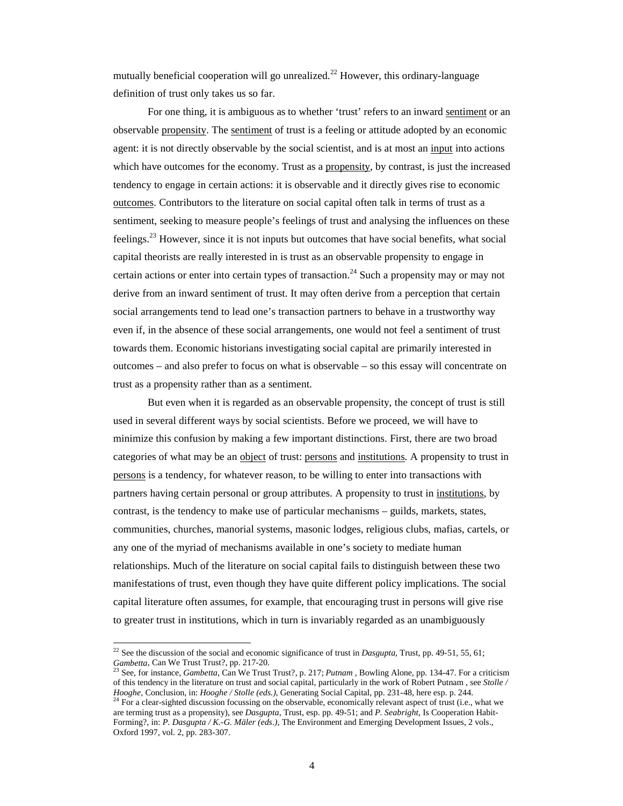mutually beneficial cooperation will go unrealized.<sup>22</sup> However, this ordinary-language definition of trust only takes us so far.

For one thing, it is ambiguous as to whether 'trust' refers to an inward sentiment or an observable propensity. The sentiment of trust is a feeling or attitude adopted by an economic agent: it is not directly observable by the social scientist, and is at most an input into actions which have outcomes for the economy. Trust as a propensity, by contrast, is just the increased tendency to engage in certain actions: it is observable and it directly gives rise to economic outcomes. Contributors to the literature on social capital often talk in terms of trust as a sentiment, seeking to measure people's feelings of trust and analysing the influences on these feelings.23 However, since it is not inputs but outcomes that have social benefits, what social capital theorists are really interested in is trust as an observable propensity to engage in certain actions or enter into certain types of transaction.<sup>24</sup> Such a propensity may or may not derive from an inward sentiment of trust. It may often derive from a perception that certain social arrangements tend to lead one's transaction partners to behave in a trustworthy way even if, in the absence of these social arrangements, one would not feel a sentiment of trust towards them. Economic historians investigating social capital are primarily interested in outcomes – and also prefer to focus on what is observable – so this essay will concentrate on trust as a propensity rather than as a sentiment.

 But even when it is regarded as an observable propensity, the concept of trust is still used in several different ways by social scientists. Before we proceed, we will have to minimize this confusion by making a few important distinctions. First, there are two broad categories of what may be an object of trust: persons and institutions. A propensity to trust in persons is a tendency, for whatever reason, to be willing to enter into transactions with partners having certain personal or group attributes. A propensity to trust in institutions, by contrast, is the tendency to make use of particular mechanisms – guilds, markets, states, communities, churches, manorial systems, masonic lodges, religious clubs, mafias, cartels, or any one of the myriad of mechanisms available in one's society to mediate human relationships. Much of the literature on social capital fails to distinguish between these two manifestations of trust, even though they have quite different policy implications. The social capital literature often assumes, for example, that encouraging trust in persons will give rise to greater trust in institutions, which in turn is invariably regarded as an unambiguously

<sup>&</sup>lt;sup>22</sup> See the discussion of the social and economic significance of trust in *Dasgupta*, Trust, pp. 49-51, 55, 61; *Gambetta*, Can We Trust Trust?, pp. 217-20.<br><sup>23</sup> See, for instance, *Gambetta*, Can We Trust Trust?, p. 217; *Putnam* , Bowling Alone, pp. 134-47. For a criticism

of this tendency in the literature on trust and social capital, particularly in the work of Robert Putnam , see *Stolle /* 

<sup>&</sup>lt;sup>24</sup> For a clear-sighted discussion focussing on the observable, economically relevant aspect of trust (i.e., what we are terming trust as a propensity), see *Dasgupta*, Trust, esp. pp. 49-51; and *P. Seabright*, Is Cooperation Habit-Forming?, in: *P. Dasgupta / K.-G. Mäler (eds.)*, The Environment and Emerging Development Issues, 2 vols., Oxford 1997, vol. 2, pp. 283-307.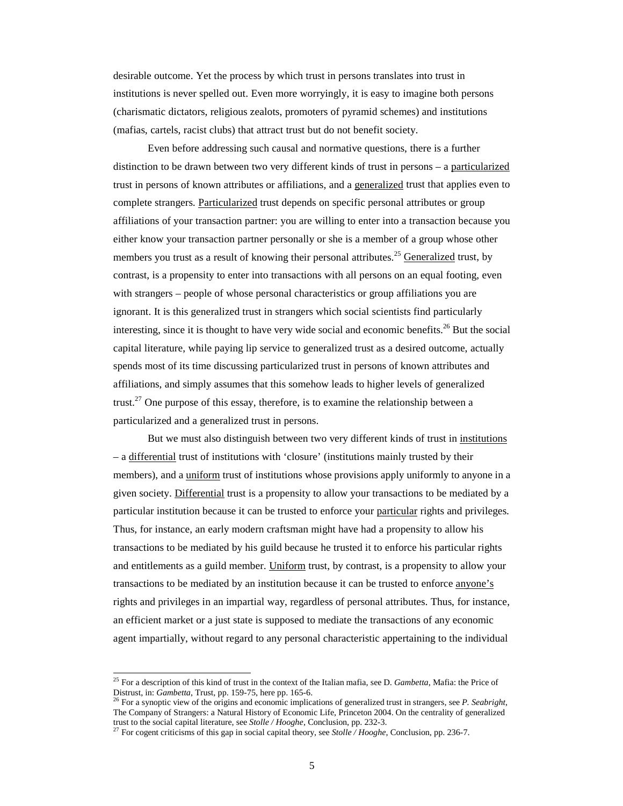desirable outcome. Yet the process by which trust in persons translates into trust in institutions is never spelled out. Even more worryingly, it is easy to imagine both persons (charismatic dictators, religious zealots, promoters of pyramid schemes) and institutions (mafias, cartels, racist clubs) that attract trust but do not benefit society.

 Even before addressing such causal and normative questions, there is a further distinction to be drawn between two very different kinds of trust in persons – a particularized trust in persons of known attributes or affiliations, and a generalized trust that applies even to complete strangers. Particularized trust depends on specific personal attributes or group affiliations of your transaction partner: you are willing to enter into a transaction because you either know your transaction partner personally or she is a member of a group whose other members you trust as a result of knowing their personal attributes.<sup>25</sup> Generalized trust, by contrast, is a propensity to enter into transactions with all persons on an equal footing, even with strangers – people of whose personal characteristics or group affiliations you are ignorant. It is this generalized trust in strangers which social scientists find particularly interesting, since it is thought to have very wide social and economic benefits.<sup>26</sup> But the social capital literature, while paying lip service to generalized trust as a desired outcome, actually spends most of its time discussing particularized trust in persons of known attributes and affiliations, and simply assumes that this somehow leads to higher levels of generalized trust.<sup>27</sup> One purpose of this essay, therefore, is to examine the relationship between a particularized and a generalized trust in persons.

 But we must also distinguish between two very different kinds of trust in institutions – a differential trust of institutions with 'closure' (institutions mainly trusted by their members), and a uniform trust of institutions whose provisions apply uniformly to anyone in a given society. Differential trust is a propensity to allow your transactions to be mediated by a particular institution because it can be trusted to enforce your particular rights and privileges. Thus, for instance, an early modern craftsman might have had a propensity to allow his transactions to be mediated by his guild because he trusted it to enforce his particular rights and entitlements as a guild member. Uniform trust, by contrast, is a propensity to allow your transactions to be mediated by an institution because it can be trusted to enforce anyone's rights and privileges in an impartial way, regardless of personal attributes. Thus, for instance, an efficient market or a just state is supposed to mediate the transactions of any economic agent impartially, without regard to any personal characteristic appertaining to the individual

l

<sup>25</sup> For a description of this kind of trust in the context of the Italian mafia, see D. *Gambetta*, Mafia: the Price of Distrust, in: *Gambetta*, Trust, pp. 159-75, here pp. 165-6.<br><sup>26</sup> For a synoptic view of the origins and economic implications of generalized trust in strangers, see *P. Seabright*,

The Company of Strangers: a Natural History of Economic Life, Princeton 2004. On the centrality of generalized trust to the social capital literature, see *Stolle / Hooghe*, Conclusion, pp. 232-3. 27 For cogent criticisms of this gap in social capital theory, see *Stolle / Hooghe*, Conclusion, pp. 236-7.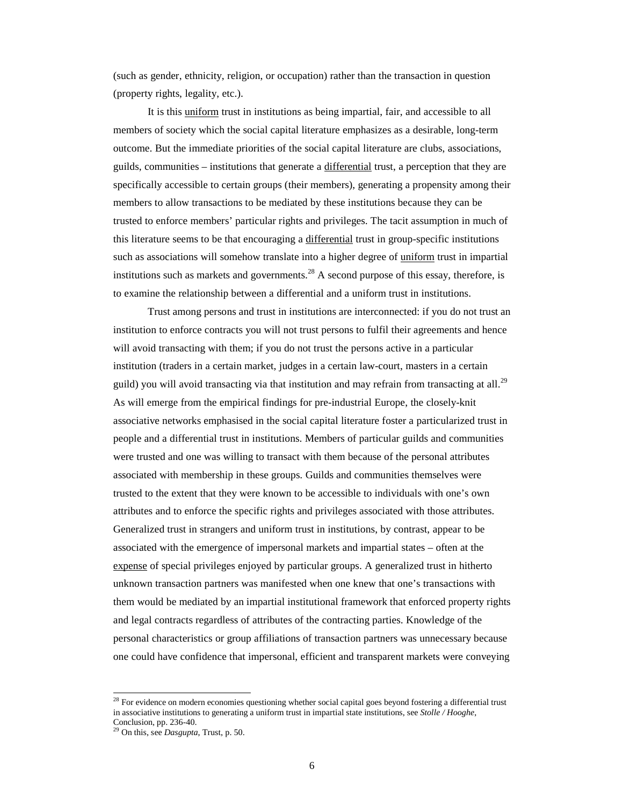(such as gender, ethnicity, religion, or occupation) rather than the transaction in question (property rights, legality, etc.).

 It is this uniform trust in institutions as being impartial, fair, and accessible to all members of society which the social capital literature emphasizes as a desirable, long-term outcome. But the immediate priorities of the social capital literature are clubs, associations, guilds, communities – institutions that generate a differential trust, a perception that they are specifically accessible to certain groups (their members), generating a propensity among their members to allow transactions to be mediated by these institutions because they can be trusted to enforce members' particular rights and privileges. The tacit assumption in much of this literature seems to be that encouraging a differential trust in group-specific institutions such as associations will somehow translate into a higher degree of uniform trust in impartial institutions such as markets and governments.<sup>28</sup> A second purpose of this essay, therefore, is to examine the relationship between a differential and a uniform trust in institutions.

 Trust among persons and trust in institutions are interconnected: if you do not trust an institution to enforce contracts you will not trust persons to fulfil their agreements and hence will avoid transacting with them; if you do not trust the persons active in a particular institution (traders in a certain market, judges in a certain law-court, masters in a certain guild) you will avoid transacting via that institution and may refrain from transacting at all.<sup>29</sup> As will emerge from the empirical findings for pre-industrial Europe, the closely-knit associative networks emphasised in the social capital literature foster a particularized trust in people and a differential trust in institutions. Members of particular guilds and communities were trusted and one was willing to transact with them because of the personal attributes associated with membership in these groups. Guilds and communities themselves were trusted to the extent that they were known to be accessible to individuals with one's own attributes and to enforce the specific rights and privileges associated with those attributes. Generalized trust in strangers and uniform trust in institutions, by contrast, appear to be associated with the emergence of impersonal markets and impartial states – often at the expense of special privileges enjoyed by particular groups. A generalized trust in hitherto unknown transaction partners was manifested when one knew that one's transactions with them would be mediated by an impartial institutional framework that enforced property rights and legal contracts regardless of attributes of the contracting parties. Knowledge of the personal characteristics or group affiliations of transaction partners was unnecessary because one could have confidence that impersonal, efficient and transparent markets were conveying

 $^{28}$  For evidence on modern economies questioning whether social capital goes beyond fostering a differential trust in associative institutions to generating a uniform trust in impartial state institutions, see *Stolle / Hooghe*,

Conclusion, pp. 236-40.

<sup>29</sup> On this, see *Dasgupta*, Trust, p. 50.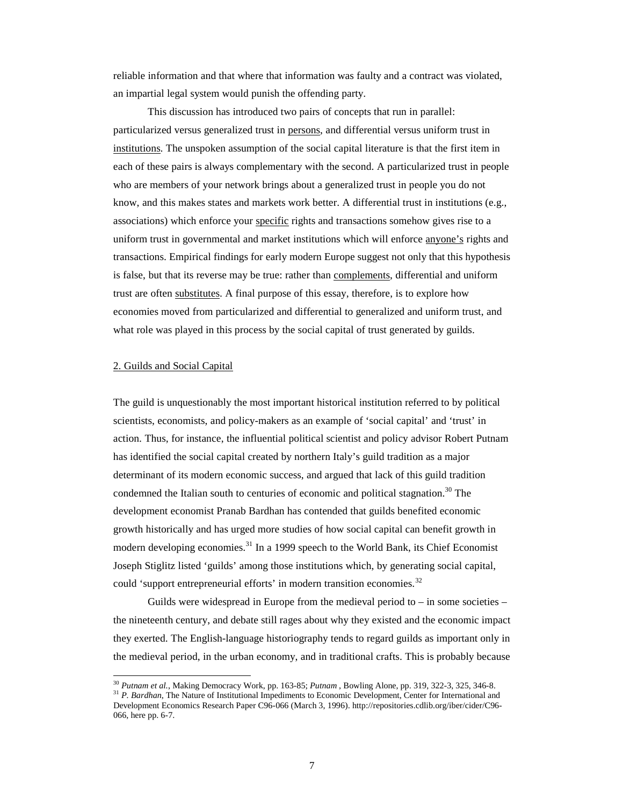reliable information and that where that information was faulty and a contract was violated, an impartial legal system would punish the offending party.

 This discussion has introduced two pairs of concepts that run in parallel: particularized versus generalized trust in persons, and differential versus uniform trust in institutions. The unspoken assumption of the social capital literature is that the first item in each of these pairs is always complementary with the second. A particularized trust in people who are members of your network brings about a generalized trust in people you do not know, and this makes states and markets work better. A differential trust in institutions (e.g., associations) which enforce your specific rights and transactions somehow gives rise to a uniform trust in governmental and market institutions which will enforce anyone's rights and transactions. Empirical findings for early modern Europe suggest not only that this hypothesis is false, but that its reverse may be true: rather than complements, differential and uniform trust are often substitutes. A final purpose of this essay, therefore, is to explore how economies moved from particularized and differential to generalized and uniform trust, and what role was played in this process by the social capital of trust generated by guilds.

#### 2. Guilds and Social Capital

The guild is unquestionably the most important historical institution referred to by political scientists, economists, and policy-makers as an example of 'social capital' and 'trust' in action. Thus, for instance, the influential political scientist and policy advisor Robert Putnam has identified the social capital created by northern Italy's guild tradition as a major determinant of its modern economic success, and argued that lack of this guild tradition condemned the Italian south to centuries of economic and political stagnation.<sup>30</sup> The development economist Pranab Bardhan has contended that guilds benefited economic growth historically and has urged more studies of how social capital can benefit growth in modern developing economies.<sup>31</sup> In a 1999 speech to the World Bank, its Chief Economist Joseph Stiglitz listed 'guilds' among those institutions which, by generating social capital, could 'support entrepreneurial efforts' in modern transition economies.<sup>32</sup>

Guilds were widespread in Europe from the medieval period to  $-$  in some societies  $$ the nineteenth century, and debate still rages about why they existed and the economic impact they exerted. The English-language historiography tends to regard guilds as important only in the medieval period, in the urban economy, and in traditional crafts. This is probably because

<sup>&</sup>lt;sup>30</sup> Putnam et al., Making Democracy Work, pp. 163-85; Putnam, Bowling Alone, pp. 319, 322-3, 325, 346-8.

<sup>&</sup>lt;sup>31</sup> P. Bardhan, The Nature of Institutional Impediments to Economic Development, Center for International and Development Economics Research Paper C96-066 (March 3, 1996). http://repositories.cdlib.org/iber/cider/C96- 066, here pp. 6-7.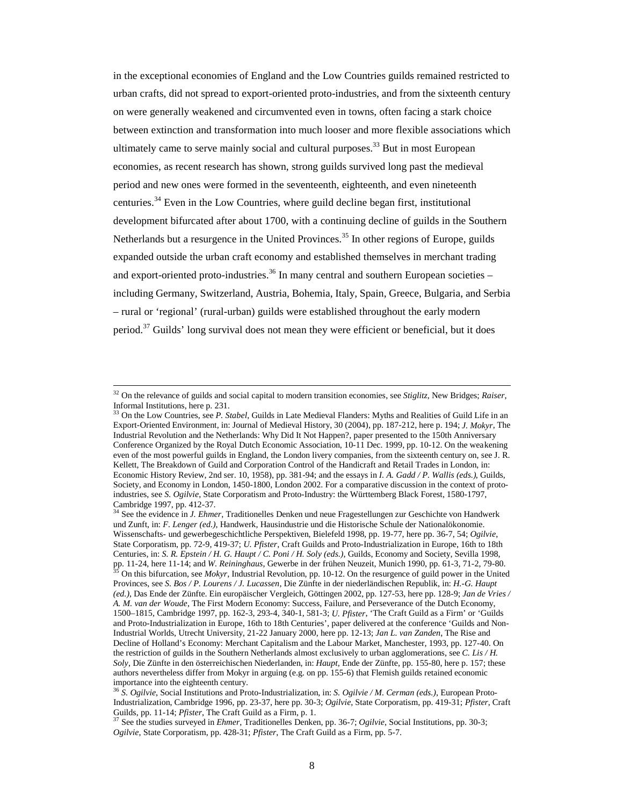in the exceptional economies of England and the Low Countries guilds remained restricted to urban crafts, did not spread to export-oriented proto-industries, and from the sixteenth century on were generally weakened and circumvented even in towns, often facing a stark choice between extinction and transformation into much looser and more flexible associations which ultimately came to serve mainly social and cultural purposes.<sup>33</sup> But in most European economies, as recent research has shown, strong guilds survived long past the medieval period and new ones were formed in the seventeenth, eighteenth, and even nineteenth centuries.<sup>34</sup> Even in the Low Countries, where guild decline began first, institutional development bifurcated after about 1700, with a continuing decline of guilds in the Southern Netherlands but a resurgence in the United Provinces.<sup>35</sup> In other regions of Europe, guilds expanded outside the urban craft economy and established themselves in merchant trading and export-oriented proto-industries.<sup>36</sup> In many central and southern European societies – including Germany, Switzerland, Austria, Bohemia, Italy, Spain, Greece, Bulgaria, and Serbia – rural or 'regional' (rural-urban) guilds were established throughout the early modern period.37 Guilds' long survival does not mean they were efficient or beneficial, but it does

 <sup>32</sup> On the relevance of guilds and social capital to modern transition economies, see *Stiglitz*, New Bridges; *Raiser*, Informal Institutions, here p. 231.

<sup>33</sup> On the Low Countries, see *P. Stabel*, Guilds in Late Medieval Flanders: Myths and Realities of Guild Life in an Export-Oriented Environment, in: Journal of Medieval History, 30 (2004), pp. 187-212, here p. 194; *J. Mokyr*, The Industrial Revolution and the Netherlands: Why Did It Not Happen?, paper presented to the 150th Anniversary Conference Organized by the Royal Dutch Economic Association, 10-11 Dec. 1999, pp. 10-12. On the weakening even of the most powerful guilds in England, the London livery companies, from the sixteenth century on, see J. R. Kellett, The Breakdown of Guild and Corporation Control of the Handicraft and Retail Trades in London, in: Economic History Review, 2nd ser. 10, 1958), pp. 381-94; and the essays in *I. A. Gadd / P. Wallis (eds.)*, Guilds, Society, and Economy in London, 1450-1800, London 2002. For a comparative discussion in the context of protoindustries, see *S. Ogilvie*, State Corporatism and Proto-Industry: the Württemberg Black Forest, 1580-1797, Cambridge 1997, pp. 412-37.

<sup>34</sup> See the evidence in *J. Ehmer*, Traditionelles Denken und neue Fragestellungen zur Geschichte von Handwerk und Zunft, in: *F. Lenger (ed.)*, Handwerk, Hausindustrie und die Historische Schule der Nationalökonomie. Wissenschafts- und gewerbegeschichtliche Perspektiven, Bielefeld 1998, pp. 19-77, here pp. 36-7, 54; *Ogilvie*, State Corporatism, pp. 72-9, 419-37; *U. Pfister*, Craft Guilds and Proto-Industrialization in Europe, 16th to 18th Centuries, in: *S. R. Epstein / H. G. Haupt / C. Poni / H. Soly (eds.)*, Guilds, Economy and Society, Sevilla 1998, pp. 11-24, here 11-14; and *W. Reininghaus*, Gewerbe in der frühen Neuzeit, Munich 1990, pp. 61-3, 71-2, 79-80.<br><sup>35</sup> On this bifurcation, see *Mokyr*, Industrial Revolution, pp. 10-12. On the resurgence of guild power in t Provinces, see *S. Bos / P. Lourens / J. Lucassen*, Die Zünfte in der niederländischen Republik, in: *H.-G. Haupt (ed.)*, Das Ende der Zünfte. Ein europäischer Vergleich, Göttingen 2002, pp. 127-53, here pp. 128-9; *Jan de Vries / A. M. van der Woude*, The First Modern Economy: Success, Failure, and Perseverance of the Dutch Economy, 1500–1815, Cambridge 1997, pp. 162-3, 293-4, 340-1, 581-3; *U. Pfister*, 'The Craft Guild as a Firm' or 'Guilds and Proto-Industrialization in Europe, 16th to 18th Centuries', paper delivered at the conference 'Guilds and Non-Industrial Worlds, Utrecht University, 21-22 January 2000, here pp. 12-13; *Jan L. van Zanden*, The Rise and Decline of Holland's Economy: Merchant Capitalism and the Labour Market, Manchester, 1993, pp. 127-40. On the restriction of guilds in the Southern Netherlands almost exclusively to urban agglomerations, see *C. Lis / H. Soly*, Die Zünfte in den österreichischen Niederlanden, in: *Haupt*, Ende der Zünfte, pp. 155-80, here p. 157; these authors nevertheless differ from Mokyr in arguing (e.g. on pp. 155-6) that Flemish guilds retained economic importance into the eighteenth century.

<sup>36</sup> *S. Ogilvie*, Social Institutions and Proto-Industrialization, in: *S. Ogilvie / M. Cerman (eds.)*, European Proto-Industrialization, Cambridge 1996, pp. 23-37, here pp. 30-3; *Ogilvie*, State Corporatism, pp. 419-31; *Pfister*, Craft

<sup>&</sup>lt;sup>37</sup> See the studies surveyed in *Ehmer*, Traditionelles Denken, pp. 36-7; *Ogilvie*, Social Institutions, pp. 30-3; *Ogilvie*, State Corporatism, pp. 428-31; *Pfister*, The Craft Guild as a Firm, pp. 5-7.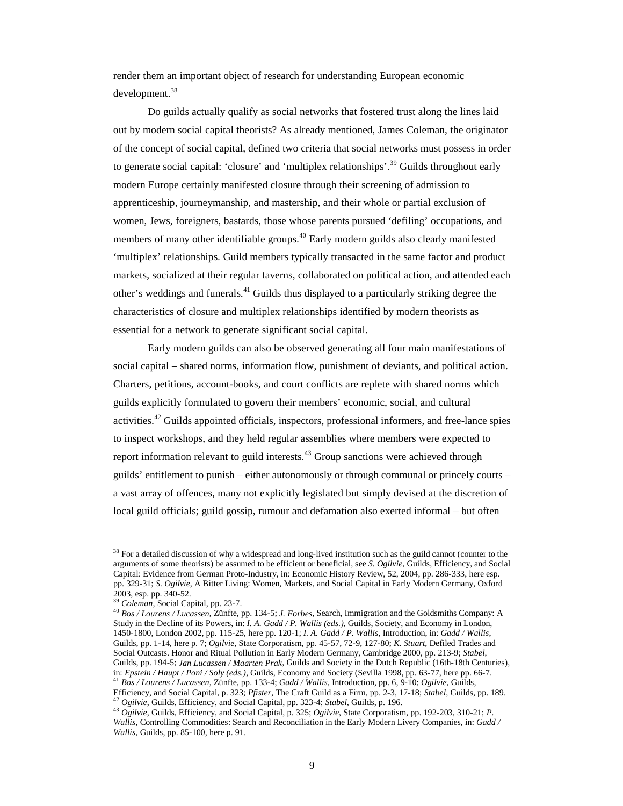render them an important object of research for understanding European economic development.<sup>38</sup>

 Do guilds actually qualify as social networks that fostered trust along the lines laid out by modern social capital theorists? As already mentioned, James Coleman, the originator of the concept of social capital, defined two criteria that social networks must possess in order to generate social capital: 'closure' and 'multiplex relationships'.<sup>39</sup> Guilds throughout early modern Europe certainly manifested closure through their screening of admission to apprenticeship, journeymanship, and mastership, and their whole or partial exclusion of women, Jews, foreigners, bastards, those whose parents pursued 'defiling' occupations, and members of many other identifiable groups.<sup>40</sup> Early modern guilds also clearly manifested 'multiplex' relationships. Guild members typically transacted in the same factor and product markets, socialized at their regular taverns, collaborated on political action, and attended each other's weddings and funerals.41 Guilds thus displayed to a particularly striking degree the characteristics of closure and multiplex relationships identified by modern theorists as essential for a network to generate significant social capital.

 Early modern guilds can also be observed generating all four main manifestations of social capital – shared norms, information flow, punishment of deviants, and political action. Charters, petitions, account-books, and court conflicts are replete with shared norms which guilds explicitly formulated to govern their members' economic, social, and cultural activities.42 Guilds appointed officials, inspectors, professional informers, and free-lance spies to inspect workshops, and they held regular assemblies where members were expected to report information relevant to guild interests. $43$  Group sanctions were achieved through guilds' entitlement to punish – either autonomously or through communal or princely courts – a vast array of offences, many not explicitly legislated but simply devised at the discretion of local guild officials; guild gossip, rumour and defamation also exerted informal – but often

l

 $38$  For a detailed discussion of why a widespread and long-lived institution such as the guild cannot (counter to the arguments of some theorists) be assumed to be efficient or beneficial, see *S. Ogilvie*, Guilds, Efficiency, and Social Capital: Evidence from German Proto-Industry, in: Economic History Review, 52, 2004, pp. 286-333, here esp. pp. 329-31; *S. Ogilvie*, A Bitter Living: Women, Markets, and Social Capital in Early Modern Germany, Oxford 2003, esp. pp. 340-52.<br><sup>39</sup> Coleman, Social Capital, pp. 23-7.

<sup>39</sup> *Coleman*, Social Capital, pp. 23-7. 40 *Bos / Lourens / Lucassen*, Zünfte, pp. 134-5; *J. Forbes*, Search, Immigration and the Goldsmiths Company: A Study in the Decline of its Powers, in: *I. A. Gadd / P. Wallis (eds.)*, Guilds, Society, and Economy in London, 1450-1800, London 2002, pp. 115-25, here pp. 120-1; *I. A. Gadd / P. Wallis*, Introduction, in: *Gadd / Wallis*, Guilds, pp. 1-14, here p. 7; *Ogilvie*, State Corporatism, pp. 45-57, 72-9, 127-80; *K. Stuart*, Defiled Trades and Social Outcasts. Honor and Ritual Pollution in Early Modern Germany, Cambridge 2000, pp. 213-9; *Stabel*, Guilds, pp. 194-5; *Jan Lucassen / Maarten Prak*, Guilds and Society in the Dutch Republic (16th-18th Centuries), in: *Epstein / Haupt / Poni / Soly (eds.)*, Guilds, Economy and Society (Sevilla 1998, pp. 63-77, here pp. 6

<sup>&</sup>lt;sup>41</sup> Bos / Lourens / Lucassen, Zünfte, pp. 133-4; Gadd / Wallis, Introduction, pp. 6, 9-10; Ogilvie, Guilds, Efficiency, and Social Capital, p. 323; Pfister, The Craft Guild as a Firm, pp. 2-3, 17-18; Stabel, Guilds, pp. 1 <sup>42</sup> Ogilvie, Guilds, Efficiency, and Social Capital, pp. 323-4; *Stabel*, Guilds, p. 196.<br><sup>43</sup> Ogilvie, Guilds, Efficiency, and Social Capital, p. 325; Ogilvie, State Corporatism, pp. 192-203, 310-21; P.

*Wallis*, Controlling Commodities: Search and Reconciliation in the Early Modern Livery Companies, in: *Gadd / Wallis*, Guilds, pp. 85-100, here p. 91.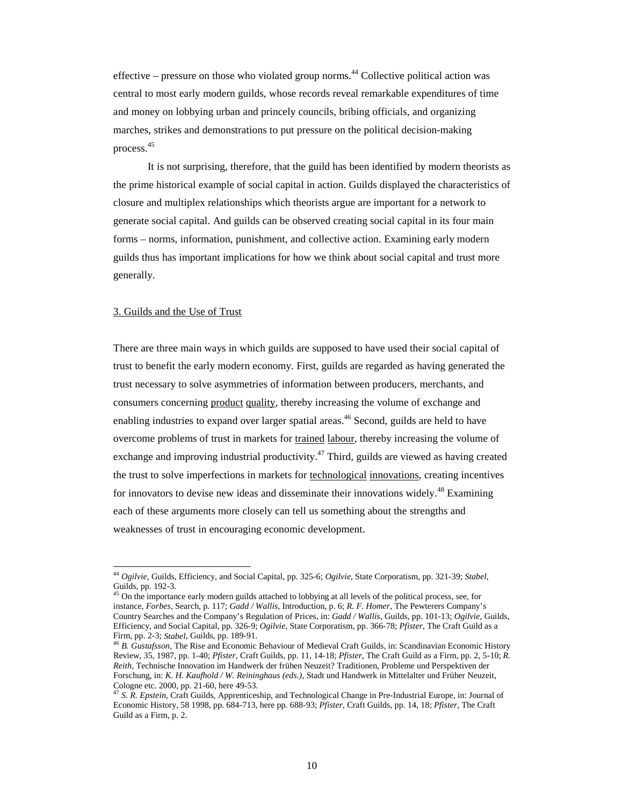effective – pressure on those who violated group norms.<sup>44</sup> Collective political action was central to most early modern guilds, whose records reveal remarkable expenditures of time and money on lobbying urban and princely councils, bribing officials, and organizing marches, strikes and demonstrations to put pressure on the political decision-making process.<sup>45</sup>

 It is not surprising, therefore, that the guild has been identified by modern theorists as the prime historical example of social capital in action. Guilds displayed the characteristics of closure and multiplex relationships which theorists argue are important for a network to generate social capital. And guilds can be observed creating social capital in its four main forms – norms, information, punishment, and collective action. Examining early modern guilds thus has important implications for how we think about social capital and trust more generally.

#### 3. Guilds and the Use of Trust

There are three main ways in which guilds are supposed to have used their social capital of trust to benefit the early modern economy. First, guilds are regarded as having generated the trust necessary to solve asymmetries of information between producers, merchants, and consumers concerning product quality, thereby increasing the volume of exchange and enabling industries to expand over larger spatial areas.<sup>46</sup> Second, guilds are held to have overcome problems of trust in markets for trained labour, thereby increasing the volume of exchange and improving industrial productivity. $47$  Third, guilds are viewed as having created the trust to solve imperfections in markets for technological innovations, creating incentives for innovators to devise new ideas and disseminate their innovations widely.48 Examining each of these arguments more closely can tell us something about the strengths and weaknesses of trust in encouraging economic development.

 $\overline{a}$ <sup>44</sup> *Ogilvie*, Guilds, Efficiency, and Social Capital, pp. 325-6; *Ogilvie*, State Corporatism, pp. 321-39; *Stabel*, Guilds, pp. 192-3.

<sup>&</sup>lt;sup>45</sup> On the importance early modern guilds attached to lobbying at all levels of the political process, see, for instance, *Forbes*, Search, p. 117; *Gadd / Wallis*, Introduction, p. 6; *R. F. Homer*, The Pewterers Company's Country Searches and the Company's Regulation of Prices, in: *Gadd / Wallis*, Guilds, pp. 101-13; *Ogilvie*, Guilds, Efficiency, and Social Capital, pp. 326-9; *Ogilvie*, State Corporatism, pp. 366-78; *Pfister*, The Craft Guild as a Firm, pp. 2-3; *Stabel*, Guilds, pp. 189-91. 46 *B. Gustafsson*, The Rise and Economic Behaviour of Medieval Craft Guilds, in: Scandinavian Economic History

Review, 35, 1987, pp. 1-40; *Pfister*, Craft Guilds, pp. 11, 14-18; *Pfister*, The Craft Guild as a Firm, pp. 2, 5-10; *R. Reith*, Technische Innovation im Handwerk der frühen Neuzeit? Traditionen, Probleme und Perspektiven der Forschung, in: *K. H. Kaufhold / W. Reininghaus (eds.)*, Stadt und Handwerk in Mittelalter und Früher Neuzeit, Cologne etc. 2000, pp. 21-60, here 49-53.

<sup>47</sup> *S. R. Epstein*, Craft Guilds, Apprenticeship, and Technological Change in Pre-Industrial Europe, in: Journal of Economic History, 58 1998, pp. 684-713, here pp. 688-93; *Pfister*, Craft Guilds, pp. 14, 18; *Pfister*, The Craft Guild as a Firm, p. 2.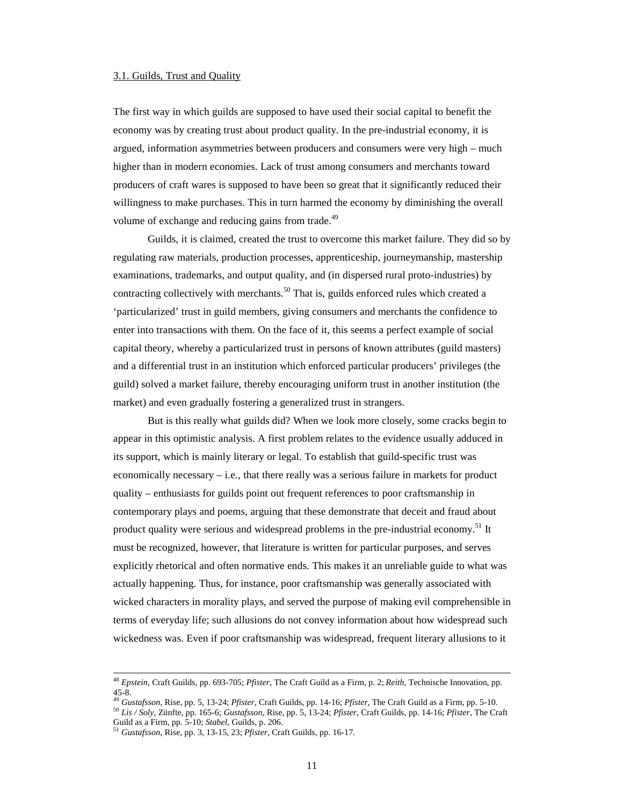#### 3.1. Guilds, Trust and Quality

The first way in which guilds are supposed to have used their social capital to benefit the economy was by creating trust about product quality. In the pre-industrial economy, it is argued, information asymmetries between producers and consumers were very high – much higher than in modern economies. Lack of trust among consumers and merchants toward producers of craft wares is supposed to have been so great that it significantly reduced their willingness to make purchases. This in turn harmed the economy by diminishing the overall volume of exchange and reducing gains from trade.<sup>49</sup>

 Guilds, it is claimed, created the trust to overcome this market failure. They did so by regulating raw materials, production processes, apprenticeship, journeymanship, mastership examinations, trademarks, and output quality, and (in dispersed rural proto-industries) by contracting collectively with merchants.<sup>50</sup> That is, guilds enforced rules which created a 'particularized' trust in guild members, giving consumers and merchants the confidence to enter into transactions with them. On the face of it, this seems a perfect example of social capital theory, whereby a particularized trust in persons of known attributes (guild masters) and a differential trust in an institution which enforced particular producers' privileges (the guild) solved a market failure, thereby encouraging uniform trust in another institution (the market) and even gradually fostering a generalized trust in strangers.

 But is this really what guilds did? When we look more closely, some cracks begin to appear in this optimistic analysis. A first problem relates to the evidence usually adduced in its support, which is mainly literary or legal. To establish that guild-specific trust was economically necessary  $-$  i.e., that there really was a serious failure in markets for product quality – enthusiasts for guilds point out frequent references to poor craftsmanship in contemporary plays and poems, arguing that these demonstrate that deceit and fraud about product quality were serious and widespread problems in the pre-industrial economy.<sup>51</sup> It must be recognized, however, that literature is written for particular purposes, and serves explicitly rhetorical and often normative ends. This makes it an unreliable guide to what was actually happening. Thus, for instance, poor craftsmanship was generally associated with wicked characters in morality plays, and served the purpose of making evil comprehensible in terms of everyday life; such allusions do not convey information about how widespread such wickedness was. Even if poor craftsmanship was widespread, frequent literary allusions to it

 <sup>48</sup> *Epstein*, Craft Guilds, pp. 693-705; *Pfister*, The Craft Guild as a Firm, p. 2; *Reith*, Technische Innovation, pp. 45-8.<br><sup>49</sup> Gustafsson, Rise, pp. 5, 13-24; *Pfister*, Craft Guilds, pp. 14-16; *Pfister*, The Craft Guild as a Firm, pp. 5-10.

<sup>&</sup>lt;sup>50</sup> *Lis* / Soly, Zünfte, pp. 165-6; *Gustafsson*, Rise, pp. 5, 13-24; *Pfister*, Craft Guilds, pp. 14-16; *Pfister*, The Craft Guild as a Firm, pp. 5-10; *Stabel*, Guilds, p. 206.

<sup>&</sup>lt;sup>51</sup> *Gustafsson*, Rise, pp. 3, 13-15, 23; *Pfister*, Craft Guilds, pp. 16-17.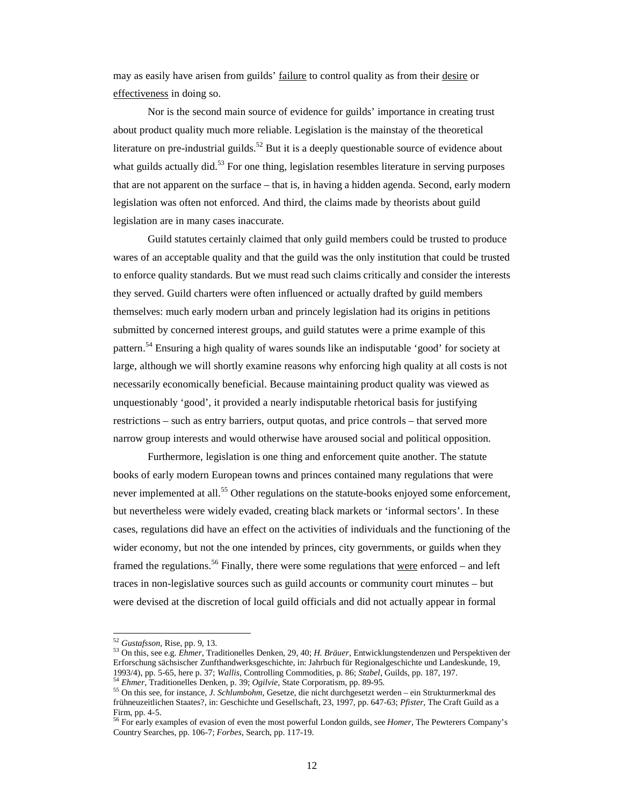may as easily have arisen from guilds' <u>failure</u> to control quality as from their desire or effectiveness in doing so.

 Nor is the second main source of evidence for guilds' importance in creating trust about product quality much more reliable. Legislation is the mainstay of the theoretical literature on pre-industrial guilds.<sup>52</sup> But it is a deeply questionable source of evidence about what guilds actually did. $53$  For one thing, legislation resembles literature in serving purposes that are not apparent on the surface – that is, in having a hidden agenda. Second, early modern legislation was often not enforced. And third, the claims made by theorists about guild legislation are in many cases inaccurate.

 Guild statutes certainly claimed that only guild members could be trusted to produce wares of an acceptable quality and that the guild was the only institution that could be trusted to enforce quality standards. But we must read such claims critically and consider the interests they served. Guild charters were often influenced or actually drafted by guild members themselves: much early modern urban and princely legislation had its origins in petitions submitted by concerned interest groups, and guild statutes were a prime example of this pattern.54 Ensuring a high quality of wares sounds like an indisputable 'good' for society at large, although we will shortly examine reasons why enforcing high quality at all costs is not necessarily economically beneficial. Because maintaining product quality was viewed as unquestionably 'good', it provided a nearly indisputable rhetorical basis for justifying restrictions – such as entry barriers, output quotas, and price controls – that served more narrow group interests and would otherwise have aroused social and political opposition.

 Furthermore, legislation is one thing and enforcement quite another. The statute books of early modern European towns and princes contained many regulations that were never implemented at all.<sup>55</sup> Other regulations on the statute-books enjoyed some enforcement, but nevertheless were widely evaded, creating black markets or 'informal sectors'. In these cases, regulations did have an effect on the activities of individuals and the functioning of the wider economy, but not the one intended by princes, city governments, or guilds when they framed the regulations.<sup>56</sup> Finally, there were some regulations that were enforced – and left traces in non-legislative sources such as guild accounts or community court minutes – but were devised at the discretion of local guild officials and did not actually appear in formal

 $52$  Gustafsson, Rise, pp. 9, 13.

<sup>52</sup> *Gustafsson*, Rise, pp. 9, 13. 53 On this, see e.g. *Ehmer*, Traditionelles Denken, 29, 40; *H. Bräuer*, Entwicklungstendenzen und Perspektiven der Erforschung sächsischer Zunfthandwerksgeschichte, in: Jahrbuch für Regionalgeschichte und Landeskunde, 19, 1993/4), pp. 5-65, here p. 37; Wallis, Controlling Commodities, p. 86; Stabel, Guilds, pp. 187, 197.

<sup>&</sup>lt;sup>54</sup> Ehmer, Traditionelles Denken, p. 39; Ogilvie, State Corporatism, pp. 89-95.<br><sup>55</sup> On this see, for instance, *J. Schlumbohm*, Gesetze, die nicht durchgesetzt werden – ein Strukturmerkmal des frühneuzeitlichen Staates?, in: Geschichte und Gesellschaft, 23, 1997, pp. 647-63; *Pfister*, The Craft Guild as a Firm, pp. 4-5.

<sup>&</sup>lt;sup>56</sup> For early examples of evasion of even the most powerful London guilds, see *Homer*, The Pewterers Company's Country Searches, pp. 106-7; *Forbes*, Search, pp. 117-19.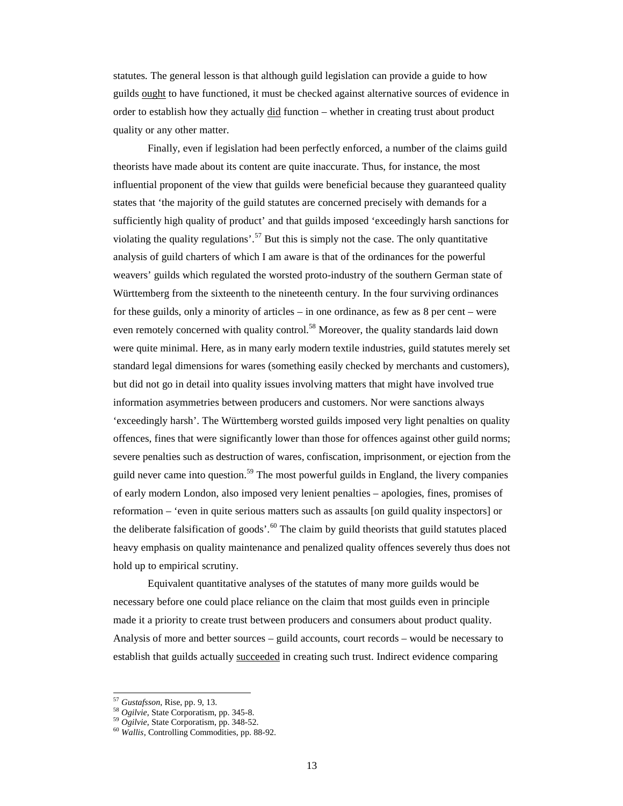statutes. The general lesson is that although guild legislation can provide a guide to how guilds ought to have functioned, it must be checked against alternative sources of evidence in order to establish how they actually did function – whether in creating trust about product quality or any other matter.

 Finally, even if legislation had been perfectly enforced, a number of the claims guild theorists have made about its content are quite inaccurate. Thus, for instance, the most influential proponent of the view that guilds were beneficial because they guaranteed quality states that 'the majority of the guild statutes are concerned precisely with demands for a sufficiently high quality of product' and that guilds imposed 'exceedingly harsh sanctions for violating the quality regulations'.<sup>57</sup> But this is simply not the case. The only quantitative analysis of guild charters of which I am aware is that of the ordinances for the powerful weavers' guilds which regulated the worsted proto-industry of the southern German state of Württemberg from the sixteenth to the nineteenth century. In the four surviving ordinances for these guilds, only a minority of articles – in one ordinance, as few as 8 per cent – were even remotely concerned with quality control.<sup>58</sup> Moreover, the quality standards laid down were quite minimal. Here, as in many early modern textile industries, guild statutes merely set standard legal dimensions for wares (something easily checked by merchants and customers), but did not go in detail into quality issues involving matters that might have involved true information asymmetries between producers and customers. Nor were sanctions always 'exceedingly harsh'. The Württemberg worsted guilds imposed very light penalties on quality offences, fines that were significantly lower than those for offences against other guild norms; severe penalties such as destruction of wares, confiscation, imprisonment, or ejection from the guild never came into question.<sup>59</sup> The most powerful guilds in England, the livery companies of early modern London, also imposed very lenient penalties – apologies, fines, promises of reformation – 'even in quite serious matters such as assaults [on guild quality inspectors] or the deliberate falsification of goods'.<sup>60</sup> The claim by guild theorists that guild statutes placed heavy emphasis on quality maintenance and penalized quality offences severely thus does not hold up to empirical scrutiny.

 Equivalent quantitative analyses of the statutes of many more guilds would be necessary before one could place reliance on the claim that most guilds even in principle made it a priority to create trust between producers and consumers about product quality. Analysis of more and better sources – guild accounts, court records – would be necessary to establish that guilds actually succeeded in creating such trust. Indirect evidence comparing

<sup>&</sup>lt;sup>57</sup> Gustafsson, Rise, pp. 9, 13.

<sup>57</sup> *Gustafsson*, Rise, pp. 9, 13. 58 *Ogilvie*, State Corporatism, pp. 345-8. 59 *Ogilvie*, State Corporatism, pp. 348-52. 60 *Wallis*, Controlling Commodities, pp. 88-92.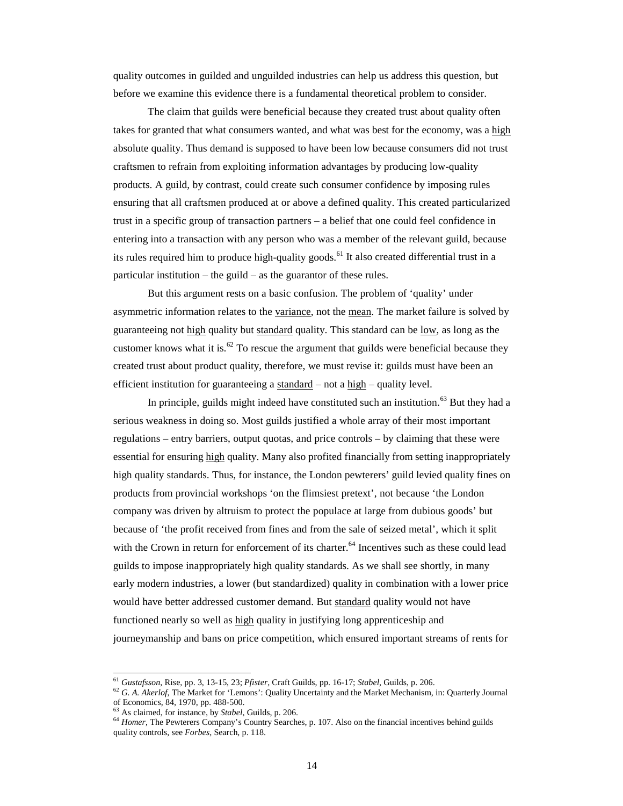quality outcomes in guilded and unguilded industries can help us address this question, but before we examine this evidence there is a fundamental theoretical problem to consider.

 The claim that guilds were beneficial because they created trust about quality often takes for granted that what consumers wanted, and what was best for the economy, was a high absolute quality. Thus demand is supposed to have been low because consumers did not trust craftsmen to refrain from exploiting information advantages by producing low-quality products. A guild, by contrast, could create such consumer confidence by imposing rules ensuring that all craftsmen produced at or above a defined quality. This created particularized trust in a specific group of transaction partners – a belief that one could feel confidence in entering into a transaction with any person who was a member of the relevant guild, because its rules required him to produce high-quality goods.<sup>61</sup> It also created differential trust in a particular institution – the guild – as the guarantor of these rules.

 But this argument rests on a basic confusion. The problem of 'quality' under asymmetric information relates to the variance, not the mean. The market failure is solved by guaranteeing not high quality but standard quality. This standard can be low, as long as the customer knows what it is.<sup>62</sup> To rescue the argument that guilds were beneficial because they created trust about product quality, therefore, we must revise it: guilds must have been an efficient institution for guaranteeing a standard – not a high – quality level.

In principle, guilds might indeed have constituted such an institution. $^{63}$  But they had a serious weakness in doing so. Most guilds justified a whole array of their most important regulations – entry barriers, output quotas, and price controls – by claiming that these were essential for ensuring high quality. Many also profited financially from setting inappropriately high quality standards. Thus, for instance, the London pewterers' guild levied quality fines on products from provincial workshops 'on the flimsiest pretext', not because 'the London company was driven by altruism to protect the populace at large from dubious goods' but because of 'the profit received from fines and from the sale of seized metal', which it split with the Crown in return for enforcement of its charter.<sup>64</sup> Incentives such as these could lead guilds to impose inappropriately high quality standards. As we shall see shortly, in many early modern industries, a lower (but standardized) quality in combination with a lower price would have better addressed customer demand. But standard quality would not have functioned nearly so well as high quality in justifying long apprenticeship and journeymanship and bans on price competition, which ensured important streams of rents for

<sup>&</sup>lt;sup>61</sup> Gustafsson, Rise, pp. 3, 13-15, 23; Pfister, Craft Guilds, pp. 16-17; Stabel, Guilds, p. 206.

 $62$  G. A. Akerlof, The Market for 'Lemons': Quality Uncertainty and the Market Mechanism, in: Quarterly Journal of Economics, 84, 1970, pp. 488-500.<br><sup>63</sup> As claimed, for instance, by *Stabel*, Guilds, p. 206.

<sup>&</sup>lt;sup>64</sup> Homer, The Pewterers Company's Country Searches, p. 107. Also on the financial incentives behind guilds quality controls, see *Forbes*, Search, p. 118.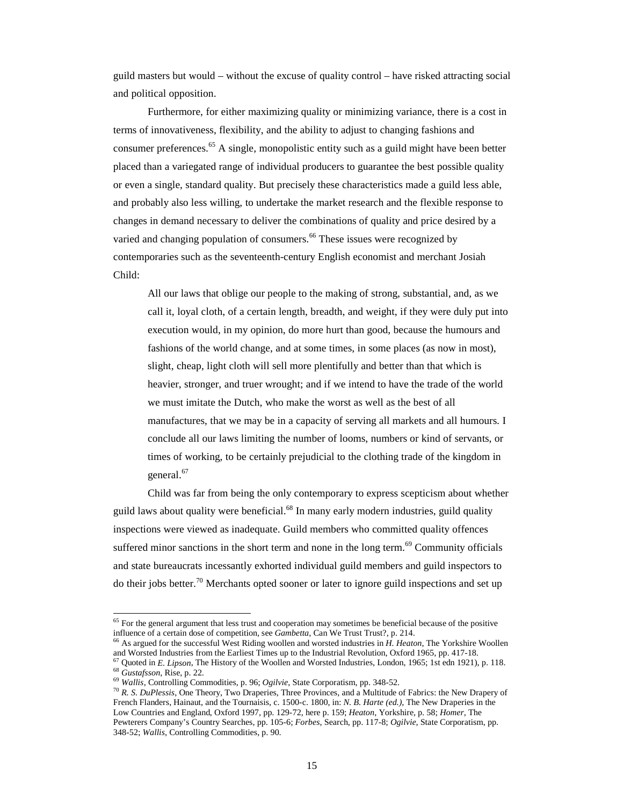guild masters but would – without the excuse of quality control – have risked attracting social and political opposition.

 Furthermore, for either maximizing quality or minimizing variance, there is a cost in terms of innovativeness, flexibility, and the ability to adjust to changing fashions and consumer preferences.65 A single, monopolistic entity such as a guild might have been better placed than a variegated range of individual producers to guarantee the best possible quality or even a single, standard quality. But precisely these characteristics made a guild less able, and probably also less willing, to undertake the market research and the flexible response to changes in demand necessary to deliver the combinations of quality and price desired by a varied and changing population of consumers.<sup>66</sup> These issues were recognized by contemporaries such as the seventeenth-century English economist and merchant Josiah Child:

All our laws that oblige our people to the making of strong, substantial, and, as we call it, loyal cloth, of a certain length, breadth, and weight, if they were duly put into execution would, in my opinion, do more hurt than good, because the humours and fashions of the world change, and at some times, in some places (as now in most), slight, cheap, light cloth will sell more plentifully and better than that which is heavier, stronger, and truer wrought; and if we intend to have the trade of the world we must imitate the Dutch, who make the worst as well as the best of all manufactures, that we may be in a capacity of serving all markets and all humours. I conclude all our laws limiting the number of looms, numbers or kind of servants, or times of working, to be certainly prejudicial to the clothing trade of the kingdom in general.<sup>67</sup>

Child was far from being the only contemporary to express scepticism about whether guild laws about quality were beneficial.<sup>68</sup> In many early modern industries, guild quality inspections were viewed as inadequate. Guild members who committed quality offences suffered minor sanctions in the short term and none in the long term. $69$  Community officials and state bureaucrats incessantly exhorted individual guild members and guild inspectors to do their jobs better.<sup>70</sup> Merchants opted sooner or later to ignore guild inspections and set up

<sup>&</sup>lt;sup>65</sup> For the general argument that less trust and cooperation may sometimes be beneficial because of the positive influence of a certain dose of competition, see *Gambetta*, Can We Trust Trust?, p. 214.<br><sup>66</sup> As argued for the successful West Riding woollen and worsted industries in *H. Heaton*, The Yorkshire Woollen

and Worsted Industries from the Earliest Times up to the Industrial Revolution, Oxford 1965, pp. 417-18.<br>
<sup>67</sup> Quoted in *E. Lipson*, The History of the Woollen and Worsted Industries, London, 1965; 1st edn 1921), p. 118.

French Flanders, Hainaut, and the Tournaisis, c. 1500-c. 1800, in: *N. B. Harte (ed.)*, The New Draperies in the Low Countries and England, Oxford 1997, pp. 129-72, here p. 159; *Heaton*, Yorkshire, p. 58; *Homer*, The Pewterers Company's Country Searches, pp. 105-6; *Forbes*, Search, pp. 117-8; *Ogilvie*, State Corporatism, pp. 348-52; *Wallis*, Controlling Commodities, p. 90.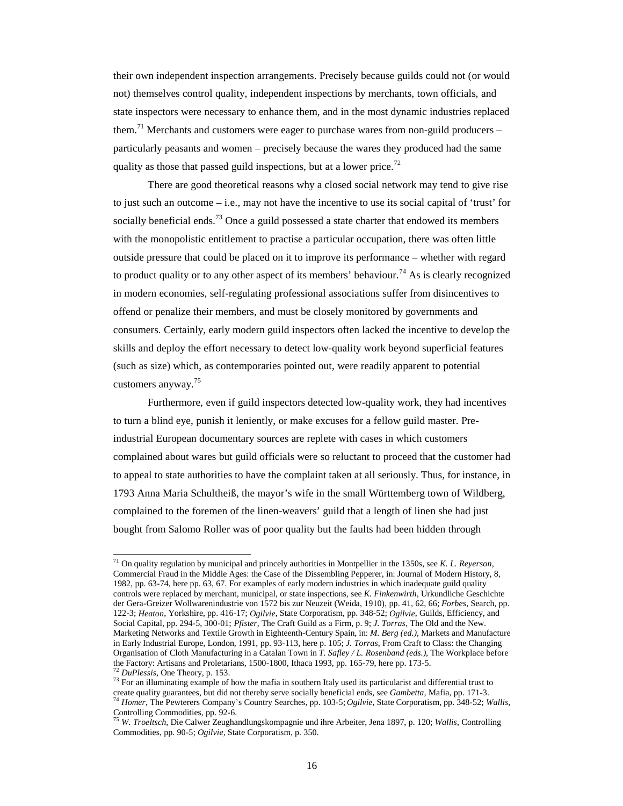their own independent inspection arrangements. Precisely because guilds could not (or would not) themselves control quality, independent inspections by merchants, town officials, and state inspectors were necessary to enhance them, and in the most dynamic industries replaced them.<sup>71</sup> Merchants and customers were eager to purchase wares from non-guild producers – particularly peasants and women – precisely because the wares they produced had the same quality as those that passed guild inspections, but at a lower price.<sup>72</sup>

 There are good theoretical reasons why a closed social network may tend to give rise to just such an outcome – i.e., may not have the incentive to use its social capital of 'trust' for socially beneficial ends.<sup>73</sup> Once a guild possessed a state charter that endowed its members with the monopolistic entitlement to practise a particular occupation, there was often little outside pressure that could be placed on it to improve its performance – whether with regard to product quality or to any other aspect of its members' behaviour.<sup>74</sup> As is clearly recognized in modern economies, self-regulating professional associations suffer from disincentives to offend or penalize their members, and must be closely monitored by governments and consumers. Certainly, early modern guild inspectors often lacked the incentive to develop the skills and deploy the effort necessary to detect low-quality work beyond superficial features (such as size) which, as contemporaries pointed out, were readily apparent to potential customers anyway.75

Furthermore, even if guild inspectors detected low-quality work, they had incentives to turn a blind eye, punish it leniently, or make excuses for a fellow guild master. Preindustrial European documentary sources are replete with cases in which customers complained about wares but guild officials were so reluctant to proceed that the customer had to appeal to state authorities to have the complaint taken at all seriously. Thus, for instance, in 1793 Anna Maria Schultheiß, the mayor's wife in the small Württemberg town of Wildberg, complained to the foremen of the linen-weavers' guild that a length of linen she had just bought from Salomo Roller was of poor quality but the faults had been hidden through

l

<sup>73</sup> For an illuminating example of how the mafia in southern Italy used its particularist and differential trust to create quality guarantees, but did not thereby serve socially beneficial ends, see *Gambetta*, Mafia, pp. 171-3.<br><sup>74</sup> Homer, The Pewterers Company's Country Searches, pp. 103-5; Ogilvie, State Corporatism, pp. 348-52; Wal

<sup>71</sup> On quality regulation by municipal and princely authorities in Montpellier in the 1350s, see *K. L. Reyerson*, Commercial Fraud in the Middle Ages: the Case of the Dissembling Pepperer, in: Journal of Modern History, 8, 1982, pp. 63-74, here pp. 63, 67. For examples of early modern industries in which inadequate guild quality controls were replaced by merchant, municipal, or state inspections, see *K. Finkenwirth*, Urkundliche Geschichte der Gera-Greizer Wollwarenindustrie von 1572 bis zur Neuzeit (Weida, 1910), pp. 41, 62, 66; *Forbes*, Search, pp. 122-3; *Heaton*, Yorkshire, pp. 416-17; *Ogilvie*, State Corporatism, pp. 348-52; *Ogilvie*, Guilds, Efficiency, and Social Capital, pp. 294-5, 300-01; *Pfister*, The Craft Guild as a Firm, p. 9; *J. Torras*, The Old and the New. Marketing Networks and Textile Growth in Eighteenth-Century Spain, in: *M. Berg (ed.)*, Markets and Manufacture in Early Industrial Europe, London, 1991, pp. 93-113, here p. 105; *J. Torras*, From Craft to Class: the Changing Organisation of Cloth Manufacturing in a Catalan Town in *T. Safley / L. Rosenband (eds.)*, The Workplace before the Factory: Artisans and Proletarians, 1500-1800, Ithaca 1993, pp. 165-79, here pp. 173-5.<br><sup>72</sup> *DuPlessis*, One Theory, p. 153.

Controlling Commodities, pp. 92-6.

<sup>75</sup> *W. Troeltsch*, Die Calwer Zeughandlungskompagnie und ihre Arbeiter, Jena 1897, p. 120; *Wallis*, Controlling Commodities, pp. 90-5; *Ogilvie*, State Corporatism, p. 350.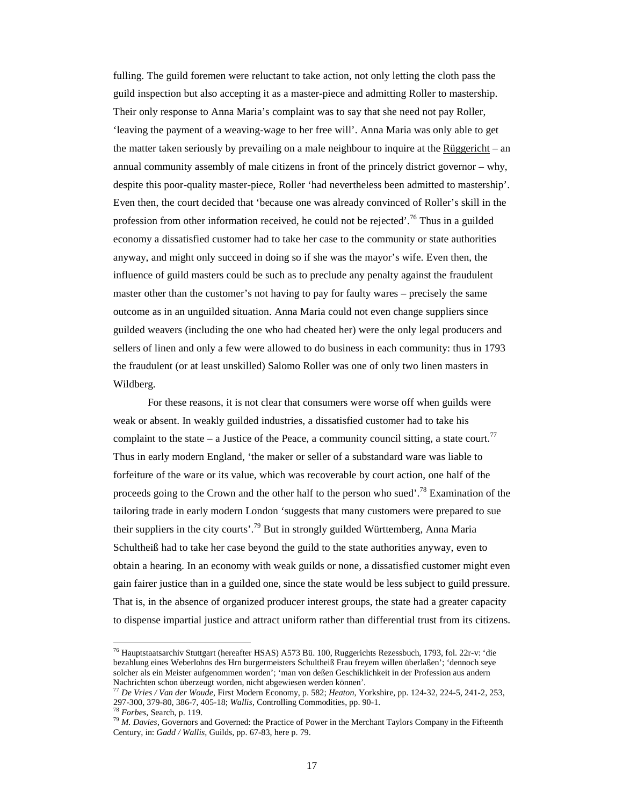fulling. The guild foremen were reluctant to take action, not only letting the cloth pass the guild inspection but also accepting it as a master-piece and admitting Roller to mastership. Their only response to Anna Maria's complaint was to say that she need not pay Roller, 'leaving the payment of a weaving-wage to her free will'. Anna Maria was only able to get the matter taken seriously by prevailing on a male neighbour to inquire at the Rüggericht – an annual community assembly of male citizens in front of the princely district governor – why, despite this poor-quality master-piece, Roller 'had nevertheless been admitted to mastership'. Even then, the court decided that 'because one was already convinced of Roller's skill in the profession from other information received, he could not be rejected'.<sup>76</sup> Thus in a guilded economy a dissatisfied customer had to take her case to the community or state authorities anyway, and might only succeed in doing so if she was the mayor's wife. Even then, the influence of guild masters could be such as to preclude any penalty against the fraudulent master other than the customer's not having to pay for faulty wares – precisely the same outcome as in an unguilded situation. Anna Maria could not even change suppliers since guilded weavers (including the one who had cheated her) were the only legal producers and sellers of linen and only a few were allowed to do business in each community: thus in 1793 the fraudulent (or at least unskilled) Salomo Roller was one of only two linen masters in Wildberg.

For these reasons, it is not clear that consumers were worse off when guilds were weak or absent. In weakly guilded industries, a dissatisfied customer had to take his complaint to the state – a Justice of the Peace, a community council sitting, a state court.<sup>77</sup> Thus in early modern England, 'the maker or seller of a substandard ware was liable to forfeiture of the ware or its value, which was recoverable by court action, one half of the proceeds going to the Crown and the other half to the person who sued'.<sup>78</sup> Examination of the tailoring trade in early modern London 'suggests that many customers were prepared to sue their suppliers in the city courts'.<sup>79</sup> But in strongly guilded Württemberg, Anna Maria Schultheiß had to take her case beyond the guild to the state authorities anyway, even to obtain a hearing. In an economy with weak guilds or none, a dissatisfied customer might even gain fairer justice than in a guilded one, since the state would be less subject to guild pressure. That is, in the absence of organized producer interest groups, the state had a greater capacity to dispense impartial justice and attract uniform rather than differential trust from its citizens.

<sup>&</sup>lt;sup>76</sup> Hauptstaatsarchiv Stuttgart (hereafter HSAS) A573 Bü. 100, Ruggerichts Rezessbuch, 1793, fol. 22r-v: 'die bezahlung eines Weberlohns des Hrn burgermeisters Schultheiß Frau freyem willen überlaßen'; 'dennoch seye solcher als ein Meister aufgenommen worden'; 'man von deßen Geschiklichkeit in der Profession aus andern Nachrichten schon überzeugt worden, nicht abgewiesen werden können'.

<sup>77</sup> *De Vries / Van der Woude*, First Modern Economy, p. 582; *Heaton*, Yorkshire, pp. 124-32, 224-5, 241-2, 253,

<sup>&</sup>lt;sup>78</sup> Forbes, Search, p. 119.<br><sup>79</sup> M. Davies, Governors and Governed: the Practice of Power in the Merchant Taylors Company in the Fifteenth Century, in: *Gadd / Wallis*, Guilds, pp. 67-83, here p. 79.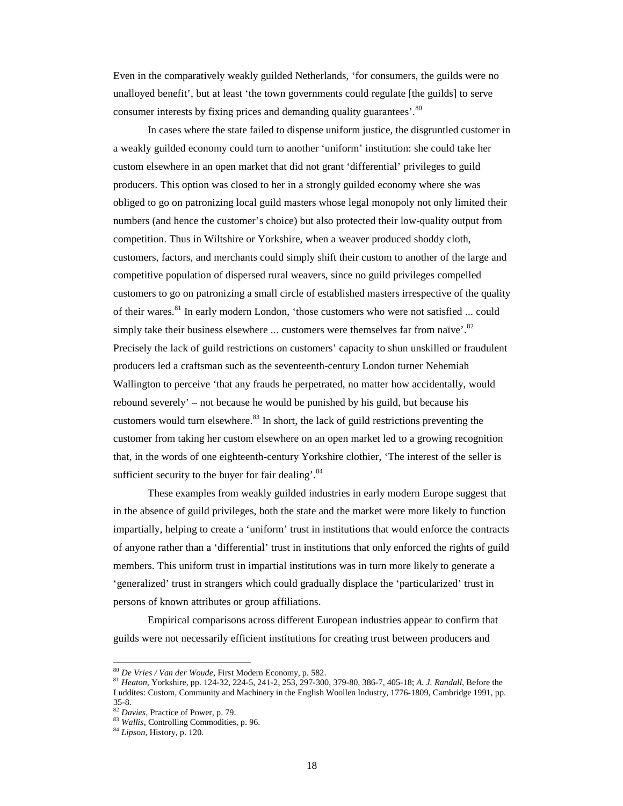Even in the comparatively weakly guilded Netherlands, 'for consumers, the guilds were no unalloyed benefit', but at least 'the town governments could regulate [the guilds] to serve consumer interests by fixing prices and demanding quality guarantees'.<sup>80</sup>

In cases where the state failed to dispense uniform justice, the disgruntled customer in a weakly guilded economy could turn to another 'uniform' institution: she could take her custom elsewhere in an open market that did not grant 'differential' privileges to guild producers. This option was closed to her in a strongly guilded economy where she was obliged to go on patronizing local guild masters whose legal monopoly not only limited their numbers (and hence the customer's choice) but also protected their low-quality output from competition. Thus in Wiltshire or Yorkshire, when a weaver produced shoddy cloth, customers, factors, and merchants could simply shift their custom to another of the large and competitive population of dispersed rural weavers, since no guild privileges compelled customers to go on patronizing a small circle of established masters irrespective of the quality of their wares.<sup>81</sup> In early modern London, 'those customers who were not satisfied ... could simply take their business elsewhere  $\ldots$  customers were themselves far from naïve'.<sup>82</sup> Precisely the lack of guild restrictions on customers' capacity to shun unskilled or fraudulent producers led a craftsman such as the seventeenth-century London turner Nehemiah Wallington to perceive 'that any frauds he perpetrated, no matter how accidentally, would rebound severely' – not because he would be punished by his guild, but because his customers would turn elsewhere. $83$  In short, the lack of guild restrictions preventing the customer from taking her custom elsewhere on an open market led to a growing recognition that, in the words of one eighteenth-century Yorkshire clothier, 'The interest of the seller is sufficient security to the buyer for fair dealing'.<sup>84</sup>

These examples from weakly guilded industries in early modern Europe suggest that in the absence of guild privileges, both the state and the market were more likely to function impartially, helping to create a 'uniform' trust in institutions that would enforce the contracts of anyone rather than a 'differential' trust in institutions that only enforced the rights of guild members. This uniform trust in impartial institutions was in turn more likely to generate a 'generalized' trust in strangers which could gradually displace the 'particularized' trust in persons of known attributes or group affiliations.

 Empirical comparisons across different European industries appear to confirm that guilds were not necessarily efficient institutions for creating trust between producers and

<sup>&</sup>lt;sup>80</sup> De Vries / Van der Woude, First Modern Economy, p. 582.

<sup>&</sup>lt;sup>81</sup> *Heaton*, Yorkshire, pp. 124-32, 224-5, 241-2, 253, 297-300, 379-80, 386-7, 405-18; *A. J. Randall*, Before the Luddites: Custom, Community and Machinery in the English Woollen Industry, 1776-1809, Cambridge 1991, pp. 35-8.<br><sup>82</sup> Davies, Practice of Power, p. 79.

<sup>&</sup>lt;sup>83</sup> *Wallis*, Controlling Commodities, p. 96. 84 *Lipson*, History, p. 120.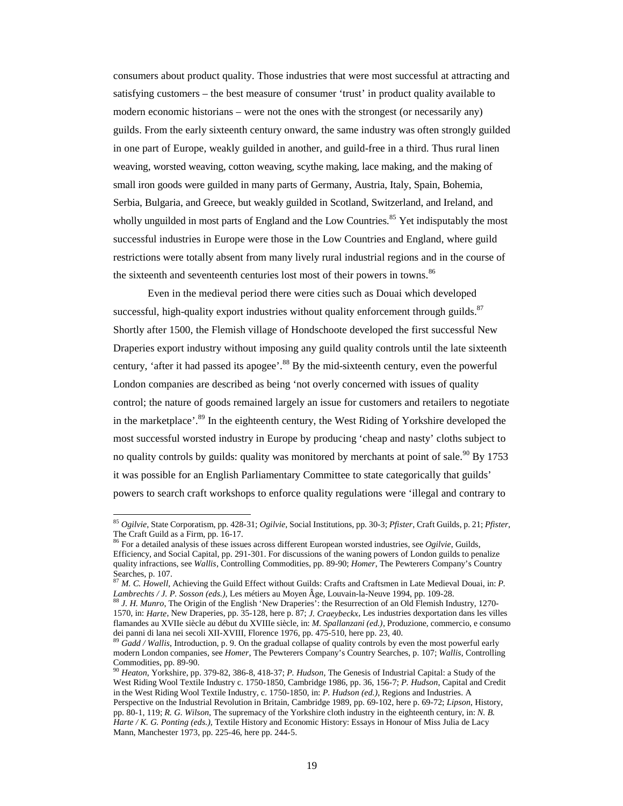consumers about product quality. Those industries that were most successful at attracting and satisfying customers – the best measure of consumer 'trust' in product quality available to modern economic historians – were not the ones with the strongest (or necessarily any) guilds. From the early sixteenth century onward, the same industry was often strongly guilded in one part of Europe, weakly guilded in another, and guild-free in a third. Thus rural linen weaving, worsted weaving, cotton weaving, scythe making, lace making, and the making of small iron goods were guilded in many parts of Germany, Austria, Italy, Spain, Bohemia, Serbia, Bulgaria, and Greece, but weakly guilded in Scotland, Switzerland, and Ireland, and wholly unguilded in most parts of England and the Low Countries.<sup>85</sup> Yet indisputably the most successful industries in Europe were those in the Low Countries and England, where guild restrictions were totally absent from many lively rural industrial regions and in the course of the sixteenth and seventeenth centuries lost most of their powers in towns.<sup>86</sup>

Even in the medieval period there were cities such as Douai which developed successful, high-quality export industries without quality enforcement through guilds. $87$ Shortly after 1500, the Flemish village of Hondschoote developed the first successful New Draperies export industry without imposing any guild quality controls until the late sixteenth century, 'after it had passed its apogee'.<sup>88</sup> By the mid-sixteenth century, even the powerful London companies are described as being 'not overly concerned with issues of quality control; the nature of goods remained largely an issue for customers and retailers to negotiate in the marketplace'.<sup>89</sup> In the eighteenth century, the West Riding of Yorkshire developed the most successful worsted industry in Europe by producing 'cheap and nasty' cloths subject to no quality controls by guilds: quality was monitored by merchants at point of sale.<sup>90</sup> By 1753 it was possible for an English Parliamentary Committee to state categorically that guilds' powers to search craft workshops to enforce quality regulations were 'illegal and contrary to

<sup>85</sup> *Ogilvie*, State Corporatism, pp. 428-31; *Ogilvie*, Social Institutions, pp. 30-3; *Pfister*, Craft Guilds, p. 21; *Pfister*, The Craft Guild as a Firm, pp. 16-17.

<sup>86</sup> For a detailed analysis of these issues across different European worsted industries, see *Ogilvie*, Guilds, Efficiency, and Social Capital, pp. 291-301. For discussions of the waning powers of London guilds to penalize quality infractions, see *Wallis*, Controlling Commodities, pp. 89-90; *Homer*, The Pewterers Company's Country Searches, p. 107.

<sup>87</sup> *M. C. Howell*, Achieving the Guild Effect without Guilds: Crafts and Craftsmen in Late Medieval Douai, in: *P.* 

*J. H. Munro*, The Origin of the English 'New Draperies': the Resurrection of an Old Flemish Industry, 1270-1570, in: *Harte*, New Draperies, pp. 35-128, here p. 87; *J. Craeybeckx*, Les industries dexportation dans les villes flamandes au XVIIe siècle au début du XVIIIe siècle, in: *M. Spallanzani (ed.)*, Produzione, commercio, e consumo dei panni di lana nei secoli XII-XVIII, Florence 1976, pp. 475-510, here pp. 23, 40.

<sup>89</sup> *Gadd / Wallis*, Introduction, p. 9. On the gradual collapse of quality controls by even the most powerful early modern London companies, see *Homer*, The Pewterers Company's Country Searches, p. 107; *Wallis*, Controlling Commodities, pp. 89-90.

<sup>90</sup> *Heaton*, Yorkshire, pp. 379-82, 386-8, 418-37; *P. Hudson*, The Genesis of Industrial Capital: a Study of the West Riding Wool Textile Industry c. 1750-1850, Cambridge 1986, pp. 36, 156-7; *P. Hudson*, Capital and Credit in the West Riding Wool Textile Industry, c. 1750-1850, in: *P. Hudson (ed.)*, Regions and Industries. A Perspective on the Industrial Revolution in Britain, Cambridge 1989, pp. 69-102, here p. 69-72; *Lipson*, History, pp. 80-1, 119; *R. G. Wilson*, The supremacy of the Yorkshire cloth industry in the eighteenth century, in: *N. B. Harte / K. G. Ponting (eds.)*, Textile History and Economic History: Essays in Honour of Miss Julia de Lacy Mann, Manchester 1973, pp. 225-46, here pp. 244-5.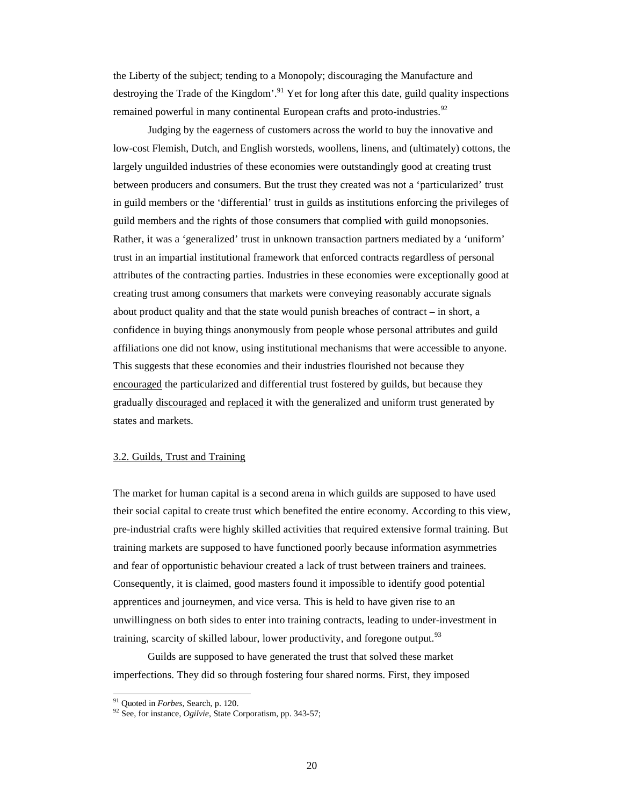the Liberty of the subject; tending to a Monopoly; discouraging the Manufacture and destroying the Trade of the Kingdom'.<sup>91</sup> Yet for long after this date, guild quality inspections remained powerful in many continental European crafts and proto-industries.<sup>92</sup>

 Judging by the eagerness of customers across the world to buy the innovative and low-cost Flemish, Dutch, and English worsteds, woollens, linens, and (ultimately) cottons, the largely unguilded industries of these economies were outstandingly good at creating trust between producers and consumers. But the trust they created was not a 'particularized' trust in guild members or the 'differential' trust in guilds as institutions enforcing the privileges of guild members and the rights of those consumers that complied with guild monopsonies. Rather, it was a 'generalized' trust in unknown transaction partners mediated by a 'uniform' trust in an impartial institutional framework that enforced contracts regardless of personal attributes of the contracting parties. Industries in these economies were exceptionally good at creating trust among consumers that markets were conveying reasonably accurate signals about product quality and that the state would punish breaches of contract – in short, a confidence in buying things anonymously from people whose personal attributes and guild affiliations one did not know, using institutional mechanisms that were accessible to anyone. This suggests that these economies and their industries flourished not because they encouraged the particularized and differential trust fostered by guilds, but because they gradually discouraged and replaced it with the generalized and uniform trust generated by states and markets.

#### 3.2. Guilds, Trust and Training

The market for human capital is a second arena in which guilds are supposed to have used their social capital to create trust which benefited the entire economy. According to this view, pre-industrial crafts were highly skilled activities that required extensive formal training. But training markets are supposed to have functioned poorly because information asymmetries and fear of opportunistic behaviour created a lack of trust between trainers and trainees. Consequently, it is claimed, good masters found it impossible to identify good potential apprentices and journeymen, and vice versa. This is held to have given rise to an unwillingness on both sides to enter into training contracts, leading to under-investment in training, scarcity of skilled labour, lower productivity, and foregone output.<sup>93</sup>

 Guilds are supposed to have generated the trust that solved these market imperfections. They did so through fostering four shared norms. First, they imposed

<sup>&</sup>lt;sup>91</sup> Quoted in Forbes, Search, p. 120.

<sup>&</sup>lt;sup>92</sup> See, for instance, *Ogilvie*, State Corporatism, pp. 343-57;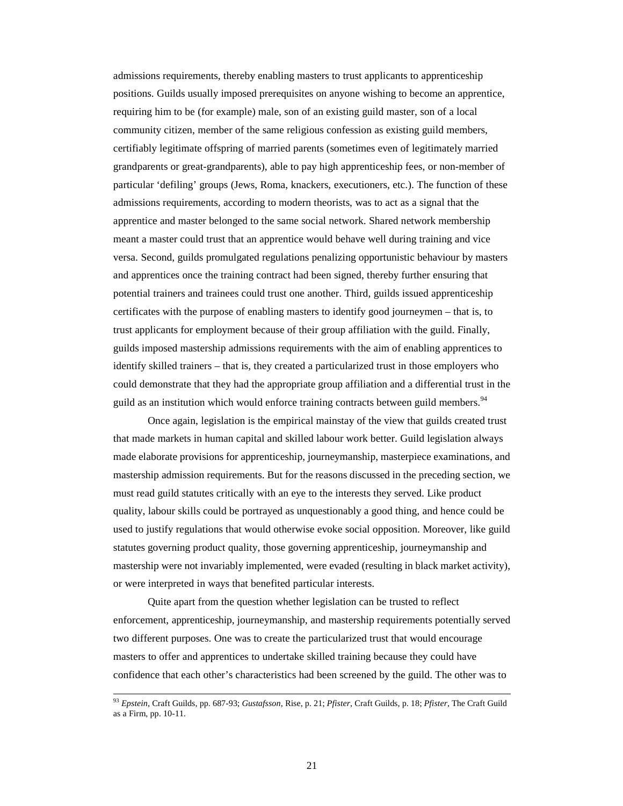admissions requirements, thereby enabling masters to trust applicants to apprenticeship positions. Guilds usually imposed prerequisites on anyone wishing to become an apprentice, requiring him to be (for example) male, son of an existing guild master, son of a local community citizen, member of the same religious confession as existing guild members, certifiably legitimate offspring of married parents (sometimes even of legitimately married grandparents or great-grandparents), able to pay high apprenticeship fees, or non-member of particular 'defiling' groups (Jews, Roma, knackers, executioners, etc.). The function of these admissions requirements, according to modern theorists, was to act as a signal that the apprentice and master belonged to the same social network. Shared network membership meant a master could trust that an apprentice would behave well during training and vice versa. Second, guilds promulgated regulations penalizing opportunistic behaviour by masters and apprentices once the training contract had been signed, thereby further ensuring that potential trainers and trainees could trust one another. Third, guilds issued apprenticeship certificates with the purpose of enabling masters to identify good journeymen – that is, to trust applicants for employment because of their group affiliation with the guild. Finally, guilds imposed mastership admissions requirements with the aim of enabling apprentices to identify skilled trainers – that is, they created a particularized trust in those employers who could demonstrate that they had the appropriate group affiliation and a differential trust in the guild as an institution which would enforce training contracts between guild members.<sup>94</sup>

 Once again, legislation is the empirical mainstay of the view that guilds created trust that made markets in human capital and skilled labour work better. Guild legislation always made elaborate provisions for apprenticeship, journeymanship, masterpiece examinations, and mastership admission requirements. But for the reasons discussed in the preceding section, we must read guild statutes critically with an eye to the interests they served. Like product quality, labour skills could be portrayed as unquestionably a good thing, and hence could be used to justify regulations that would otherwise evoke social opposition. Moreover, like guild statutes governing product quality, those governing apprenticeship, journeymanship and mastership were not invariably implemented, were evaded (resulting in black market activity), or were interpreted in ways that benefited particular interests.

 Quite apart from the question whether legislation can be trusted to reflect enforcement, apprenticeship, journeymanship, and mastership requirements potentially served two different purposes. One was to create the particularized trust that would encourage masters to offer and apprentices to undertake skilled training because they could have confidence that each other's characteristics had been screened by the guild. The other was to

 <sup>93</sup> *Epstein*, Craft Guilds, pp. 687-93; *Gustafsson*, Rise, p. 21; *Pfister*, Craft Guilds, p. 18; *Pfister*, The Craft Guild as a Firm, pp. 10-11.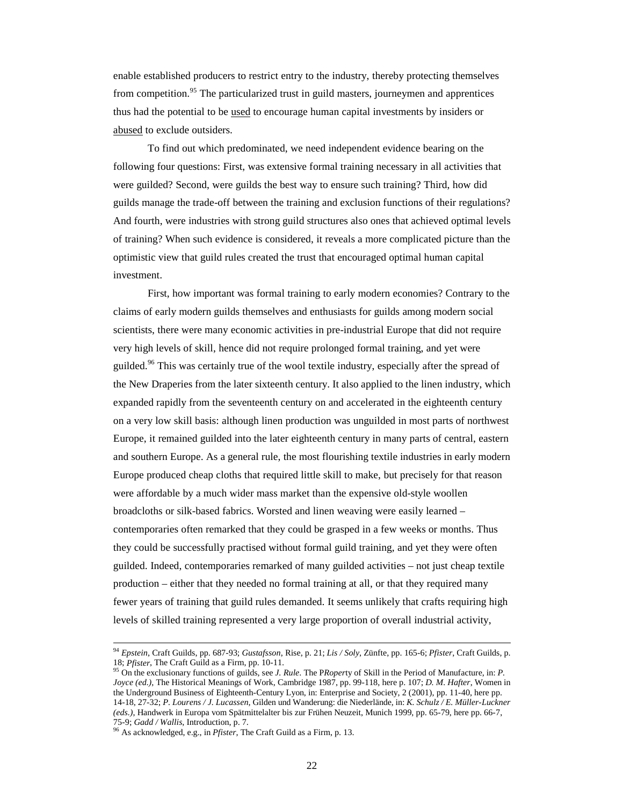enable established producers to restrict entry to the industry, thereby protecting themselves from competition.<sup>95</sup> The particularized trust in guild masters, journeymen and apprentices thus had the potential to be used to encourage human capital investments by insiders or abused to exclude outsiders.

 To find out which predominated, we need independent evidence bearing on the following four questions: First, was extensive formal training necessary in all activities that were guilded? Second, were guilds the best way to ensure such training? Third, how did guilds manage the trade-off between the training and exclusion functions of their regulations? And fourth, were industries with strong guild structures also ones that achieved optimal levels of training? When such evidence is considered, it reveals a more complicated picture than the optimistic view that guild rules created the trust that encouraged optimal human capital investment.

 First, how important was formal training to early modern economies? Contrary to the claims of early modern guilds themselves and enthusiasts for guilds among modern social scientists, there were many economic activities in pre-industrial Europe that did not require very high levels of skill, hence did not require prolonged formal training, and yet were guilded.<sup>96</sup> This was certainly true of the wool textile industry, especially after the spread of the New Draperies from the later sixteenth century. It also applied to the linen industry, which expanded rapidly from the seventeenth century on and accelerated in the eighteenth century on a very low skill basis: although linen production was unguilded in most parts of northwest Europe, it remained guilded into the later eighteenth century in many parts of central, eastern and southern Europe. As a general rule, the most flourishing textile industries in early modern Europe produced cheap cloths that required little skill to make, but precisely for that reason were affordable by a much wider mass market than the expensive old-style woollen broadcloths or silk-based fabrics. Worsted and linen weaving were easily learned – contemporaries often remarked that they could be grasped in a few weeks or months. Thus they could be successfully practised without formal guild training, and yet they were often guilded. Indeed, contemporaries remarked of many guilded activities – not just cheap textile production – either that they needed no formal training at all, or that they required many fewer years of training that guild rules demanded. It seems unlikely that crafts requiring high levels of skilled training represented a very large proportion of overall industrial activity,

 <sup>94</sup> *Epstein*, Craft Guilds, pp. 687-93; *Gustafsson*, Rise, p. 21; *Lis / Soly*, Zünfte, pp. 165-6; *Pfister*, Craft Guilds, p.

<sup>&</sup>lt;sup>95</sup> On the exclusionary functions of guilds, see *J. Rule*. The *PRoper*ty of Skill in the Period of Manufacture, in: *P. Joyce (ed.)*, The Historical Meanings of Work, Cambridge 1987, pp. 99-118, here p. 107; *D. M. Hafter*, Women in the Underground Business of Eighteenth-Century Lyon, in: Enterprise and Society, 2 (2001), pp. 11-40, here pp. 14-18, 27-32; *P. Lourens / J. Lucassen*, Gilden und Wanderung: die Niederlände, in: *K. Schulz / E. Müller-Luckner (eds.)*, Handwerk in Europa vom Spätmittelalter bis zur Frühen Neuzeit, Munich 1999, pp. 65-79, here pp. 66-7, 75-9; *Gadd / Wallis*, Introduction, p. 7. 96 As acknowledged, e.g., in *Pfister*, The Craft Guild as a Firm, p. 13.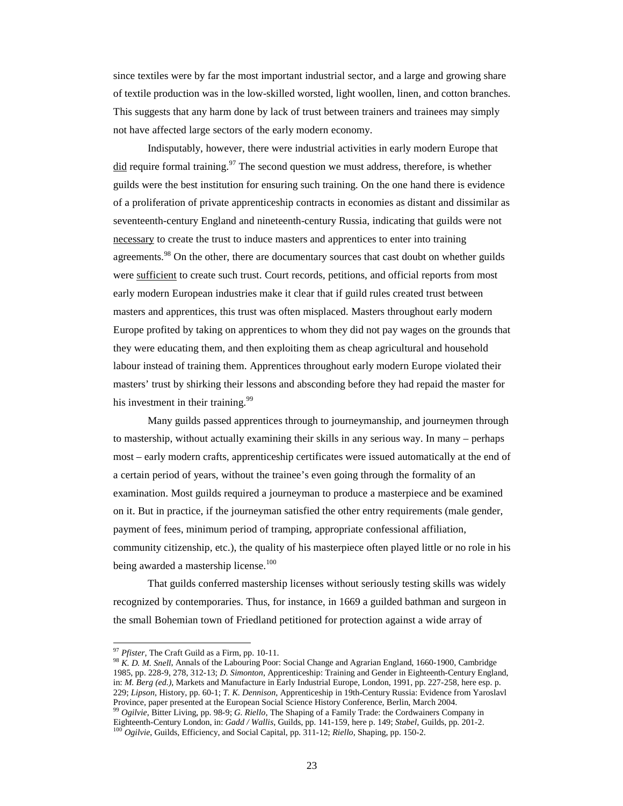since textiles were by far the most important industrial sector, and a large and growing share of textile production was in the low-skilled worsted, light woollen, linen, and cotton branches. This suggests that any harm done by lack of trust between trainers and trainees may simply not have affected large sectors of the early modern economy.

 Indisputably, however, there were industrial activities in early modern Europe that did require formal training.<sup>97</sup> The second question we must address, therefore, is whether guilds were the best institution for ensuring such training. On the one hand there is evidence of a proliferation of private apprenticeship contracts in economies as distant and dissimilar as seventeenth-century England and nineteenth-century Russia, indicating that guilds were not necessary to create the trust to induce masters and apprentices to enter into training agreements.<sup>98</sup> On the other, there are documentary sources that cast doubt on whether guilds were sufficient to create such trust. Court records, petitions, and official reports from most early modern European industries make it clear that if guild rules created trust between masters and apprentices, this trust was often misplaced. Masters throughout early modern Europe profited by taking on apprentices to whom they did not pay wages on the grounds that they were educating them, and then exploiting them as cheap agricultural and household labour instead of training them. Apprentices throughout early modern Europe violated their masters' trust by shirking their lessons and absconding before they had repaid the master for his investment in their training.<sup>99</sup>

 Many guilds passed apprentices through to journeymanship, and journeymen through to mastership, without actually examining their skills in any serious way. In many – perhaps most – early modern crafts, apprenticeship certificates were issued automatically at the end of a certain period of years, without the trainee's even going through the formality of an examination. Most guilds required a journeyman to produce a masterpiece and be examined on it. But in practice, if the journeyman satisfied the other entry requirements (male gender, payment of fees, minimum period of tramping, appropriate confessional affiliation, community citizenship, etc.), the quality of his masterpiece often played little or no role in his being awarded a mastership license.<sup>100</sup>

 That guilds conferred mastership licenses without seriously testing skills was widely recognized by contemporaries. Thus, for instance, in 1669 a guilded bathman and surgeon in the small Bohemian town of Friedland petitioned for protection against a wide array of

 $97$  Pfister, The Craft Guild as a Firm, pp. 10-11.

<sup>&</sup>lt;sup>98</sup> *K. D. M. Snell*, Annals of the Labouring Poor: Social Change and Agrarian England, 1660-1900, Cambridge 1985, pp. 228-9, 278, 312-13; *D. Simonton*, Apprenticeship: Training and Gender in Eighteenth-Century England, in: *M. Berg (ed.)*, Markets and Manufacture in Early Industrial Europe, London, 1991, pp. 227-258, here esp. p. 229; *Lipson*, History, pp. 60-1; *T. K. Dennison*, Apprenticeship in 19th-Century Russia: Evidence from Yaroslavl Province, paper presented at the European Social Science History Conference, Berlin, March 2004.

<sup>99</sup> *Ogilvie*, Bitter Living, pp. 98-9; *G. Riello*, The Shaping of a Family Trade: the Cordwainers Company in Eighteenth-Century London, in: Gadd / Wallis, Guilds, pp. 141-159, here p. 149; Stabel, Guilds, pp. 201-2.<br><sup>100</sup> Ogilvie, Guilds, Efficiency, and Social Capital, pp. 311-12; Riello, Shaping, pp. 150-2.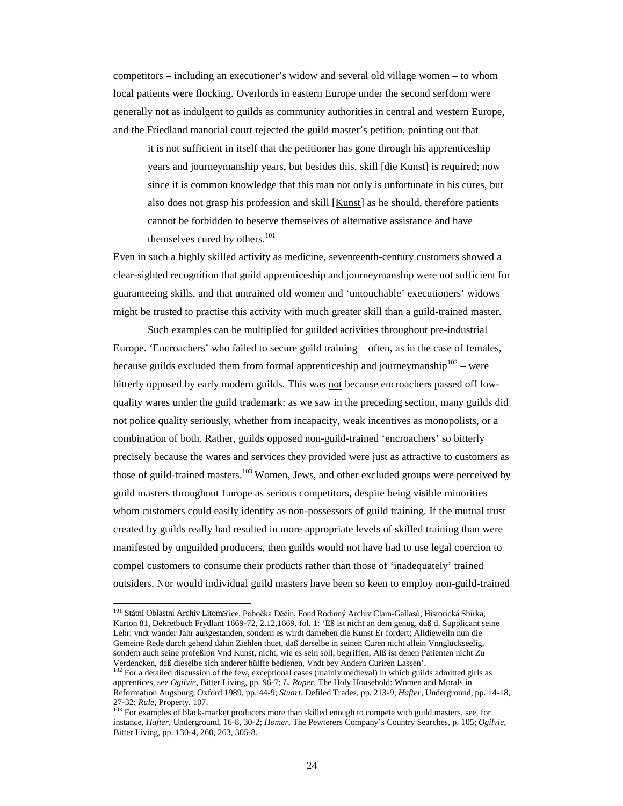competitors – including an executioner's widow and several old village women – to whom local patients were flocking. Overlords in eastern Europe under the second serfdom were generally not as indulgent to guilds as community authorities in central and western Europe, and the Friedland manorial court rejected the guild master's petition, pointing out that

it is not sufficient in itself that the petitioner has gone through his apprenticeship years and journeymanship years, but besides this, skill [die Kunst] is required; now since it is common knowledge that this man not only is unfortunate in his cures, but also does not grasp his profession and skill [Kunst] as he should, therefore patients cannot be forbidden to beserve themselves of alternative assistance and have themselves cured by others.<sup>101</sup>

Even in such a highly skilled activity as medicine, seventeenth-century customers showed a clear-sighted recognition that guild apprenticeship and journeymanship were not sufficient for guaranteeing skills, and that untrained old women and 'untouchable' executioners' widows might be trusted to practise this activity with much greater skill than a guild-trained master.

 Such examples can be multiplied for guilded activities throughout pre-industrial Europe. 'Encroachers' who failed to secure guild training – often, as in the case of females, because guilds excluded them from formal apprenticeship and journeymanship<sup>102</sup> – were bitterly opposed by early modern guilds. This was not because encroachers passed off lowquality wares under the guild trademark: as we saw in the preceding section, many guilds did not police quality seriously, whether from incapacity, weak incentives as monopolists, or a combination of both. Rather, guilds opposed non-guild-trained 'encroachers' so bitterly precisely because the wares and services they provided were just as attractive to customers as those of guild-trained masters.<sup>103</sup> Women, Jews, and other excluded groups were perceived by guild masters throughout Europe as serious competitors, despite being visible minorities whom customers could easily identify as non-possessors of guild training. If the mutual trust created by guilds really had resulted in more appropriate levels of skilled training than were manifested by unguilded producers, then guilds would not have had to use legal coercion to compel customers to consume their products rather than those of 'inadequately' trained outsiders. Nor would individual guild masters have been so keen to employ non-guild-trained

<sup>&</sup>lt;sup>101</sup> Státní Oblastní Archiv Litoměřice, Pobočka Děčín, Fond Rodinný Archiv Clam-Gallasů, Historická Sbírka, Karton 81, Dekretbuch Frydlant 1669-72, 2.12.1669, fol. 1: 'Eß ist nicht an dem genug, daß d. Supplicant seine Lehr: vndt wander Jahr außgestanden, sondern es wirdt darneben die Kunst Er fordert; Alldieweiln nun die Gemeine Rede durch gehend dahin Ziehlen thuet, daß derselbe in seinen Curen nicht allein Vnnglückseelig, sondern auch seine profeßion Vnd Kunst, nicht, wie es sein soll, begriffen, Alß ist denen Patienten nicht Zu Verdencken, daß dieselbe sich anderer hülffe bedienen, Vndt bey Andern Curiren Lassen'.

<sup>&</sup>lt;sup>102</sup> For a detailed discussion of the few, exceptional cases (mainly medieval) in which guilds admitted girls as apprentices, see *Ogilvie*, Bitter Living, pp. 96-7; *L. Roper*, The Holy Household: Women and Morals in Reformation Augsburg, Oxford 1989, pp. 44-9; *Stuart*, Defiled Trades, pp. 213-9; *Hafter*, Underground, pp. 14-18, 27-32; *Rule*, Property, 107.<br><sup>103</sup> For examples of black-market producers more than skilled enough to compete with guild masters, see, for

instance, *Hafter*, Underground, 16-8, 30-2; *Homer*, The Pewterers Company's Country Searches, p. 105; *Ogilvie*, Bitter Living, pp. 130-4, 260, 263, 305-8.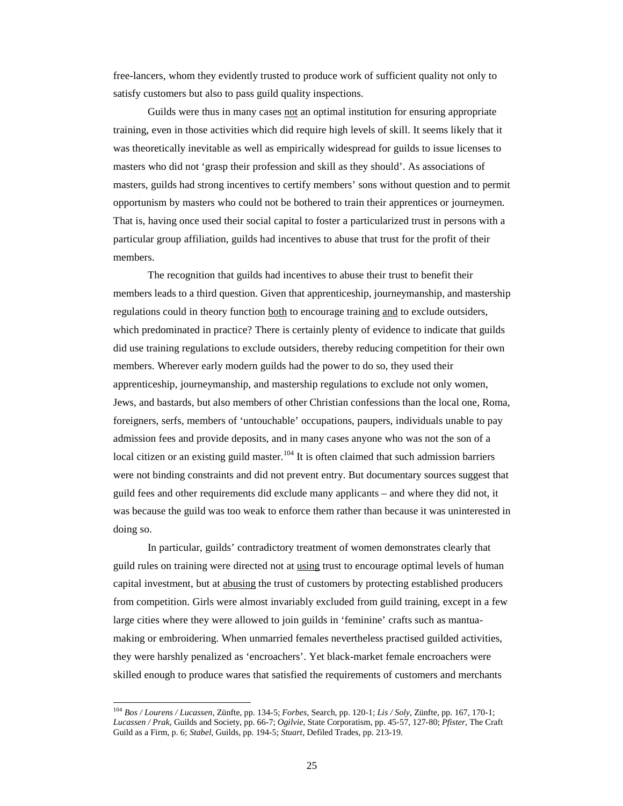free-lancers, whom they evidently trusted to produce work of sufficient quality not only to satisfy customers but also to pass guild quality inspections.

Guilds were thus in many cases not an optimal institution for ensuring appropriate training, even in those activities which did require high levels of skill. It seems likely that it was theoretically inevitable as well as empirically widespread for guilds to issue licenses to masters who did not 'grasp their profession and skill as they should'. As associations of masters, guilds had strong incentives to certify members' sons without question and to permit opportunism by masters who could not be bothered to train their apprentices or journeymen. That is, having once used their social capital to foster a particularized trust in persons with a particular group affiliation, guilds had incentives to abuse that trust for the profit of their members.

 The recognition that guilds had incentives to abuse their trust to benefit their members leads to a third question. Given that apprenticeship, journeymanship, and mastership regulations could in theory function both to encourage training and to exclude outsiders, which predominated in practice? There is certainly plenty of evidence to indicate that guilds did use training regulations to exclude outsiders, thereby reducing competition for their own members. Wherever early modern guilds had the power to do so, they used their apprenticeship, journeymanship, and mastership regulations to exclude not only women, Jews, and bastards, but also members of other Christian confessions than the local one, Roma, foreigners, serfs, members of 'untouchable' occupations, paupers, individuals unable to pay admission fees and provide deposits, and in many cases anyone who was not the son of a local citizen or an existing guild master.<sup>104</sup> It is often claimed that such admission barriers were not binding constraints and did not prevent entry. But documentary sources suggest that guild fees and other requirements did exclude many applicants – and where they did not, it was because the guild was too weak to enforce them rather than because it was uninterested in doing so.

 In particular, guilds' contradictory treatment of women demonstrates clearly that guild rules on training were directed not at using trust to encourage optimal levels of human capital investment, but at abusing the trust of customers by protecting established producers from competition. Girls were almost invariably excluded from guild training, except in a few large cities where they were allowed to join guilds in 'feminine' crafts such as mantuamaking or embroidering. When unmarried females nevertheless practised guilded activities, they were harshly penalized as 'encroachers'. Yet black-market female encroachers were skilled enough to produce wares that satisfied the requirements of customers and merchants

<sup>104</sup> *Bos / Lourens / Lucassen*, Zünfte, pp. 134-5; *Forbes*, Search, pp. 120-1; *Lis / Soly*, Zünfte, pp. 167, 170-1; *Lucassen / Prak*, Guilds and Society, pp. 66-7; *Ogilvie*, State Corporatism, pp. 45-57, 127-80; *Pfister*, The Craft Guild as a Firm, p. 6; *Stabel*, Guilds, pp. 194-5; *Stuart*, Defiled Trades, pp. 213-19.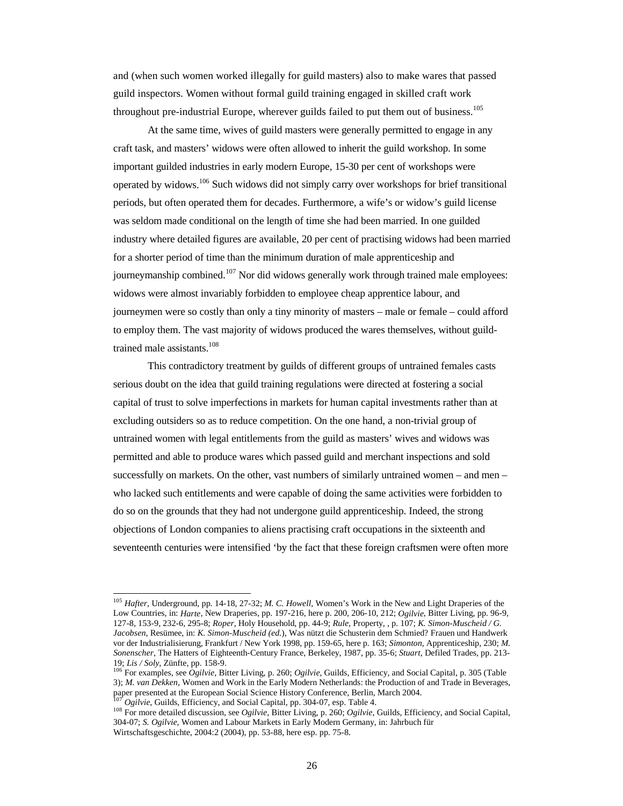and (when such women worked illegally for guild masters) also to make wares that passed guild inspectors. Women without formal guild training engaged in skilled craft work throughout pre-industrial Europe, wherever guilds failed to put them out of business.<sup>105</sup>

 At the same time, wives of guild masters were generally permitted to engage in any craft task, and masters' widows were often allowed to inherit the guild workshop. In some important guilded industries in early modern Europe, 15-30 per cent of workshops were operated by widows.106 Such widows did not simply carry over workshops for brief transitional periods, but often operated them for decades. Furthermore, a wife's or widow's guild license was seldom made conditional on the length of time she had been married. In one guilded industry where detailed figures are available, 20 per cent of practising widows had been married for a shorter period of time than the minimum duration of male apprenticeship and journeymanship combined.107 Nor did widows generally work through trained male employees: widows were almost invariably forbidden to employee cheap apprentice labour, and journeymen were so costly than only a tiny minority of masters – male or female – could afford to employ them. The vast majority of widows produced the wares themselves, without guildtrained male assistants.<sup>108</sup>

 This contradictory treatment by guilds of different groups of untrained females casts serious doubt on the idea that guild training regulations were directed at fostering a social capital of trust to solve imperfections in markets for human capital investments rather than at excluding outsiders so as to reduce competition. On the one hand, a non-trivial group of untrained women with legal entitlements from the guild as masters' wives and widows was permitted and able to produce wares which passed guild and merchant inspections and sold successfully on markets. On the other, vast numbers of similarly untrained women – and men – who lacked such entitlements and were capable of doing the same activities were forbidden to do so on the grounds that they had not undergone guild apprenticeship. Indeed, the strong objections of London companies to aliens practising craft occupations in the sixteenth and seventeenth centuries were intensified 'by the fact that these foreign craftsmen were often more

<sup>105</sup> *Hafter*, Underground, pp. 14-18, 27-32; *M. C. Howell*, Women's Work in the New and Light Draperies of the Low Countries, in: *Harte*, New Draperies, pp. 197-216, here p. 200, 206-10, 212; *Ogilvie*, Bitter Living, pp. 96-9, 127-8, 153-9, 232-6, 295-8; *Roper*, Holy Household, pp. 44-9; *Rule*, Property, , p. 107; *K. Simon-Muscheid / G. Jacobsen*, Resümee, in: *K. Simon-Muscheid (ed.*), Was nützt die Schusterin dem Schmied? Frauen und Handwerk vor der Industrialisierung, Frankfurt / New York 1998, pp. 159-65, here p. 163; *Simonton*, Apprenticeship, 230; *M. Sonenscher*, The Hatters of Eighteenth-Century France, Berkeley, 1987, pp. 35-6; *Stuart*, Defiled Trades, pp. 213-

<sup>19;</sup> *Lis / Soly*, Zünfte, pp. 158-9. 106 For examples, see *Ogilvie*, Bitter Living, p. 260; *Ogilvie*, Guilds, Efficiency, and Social Capital, p. 305 (Table 3); *M. van Dekken*, Women and Work in the Early Modern Netherlands: the Production of and Trade in Beverages, paper presented at the European Social Science History Conference, Berlin, March 2004.<br><sup>107</sup> Ogilvie, Guilds, Efficiency, and Social Capital, pp. 304-07, esp. Table 4.

<sup>&</sup>lt;sup>108</sup> For more detailed discussion, see *Ogilvie*, Bitter Living, p. 260; *Ogilvie*, Guilds, Efficiency, and Social Capital, 304-07; *S. Ogilvie*, Women and Labour Markets in Early Modern Germany, in: Jahrbuch für Wirtschaftsgeschichte, 2004:2 (2004), pp. 53-88, here esp. pp. 75-8.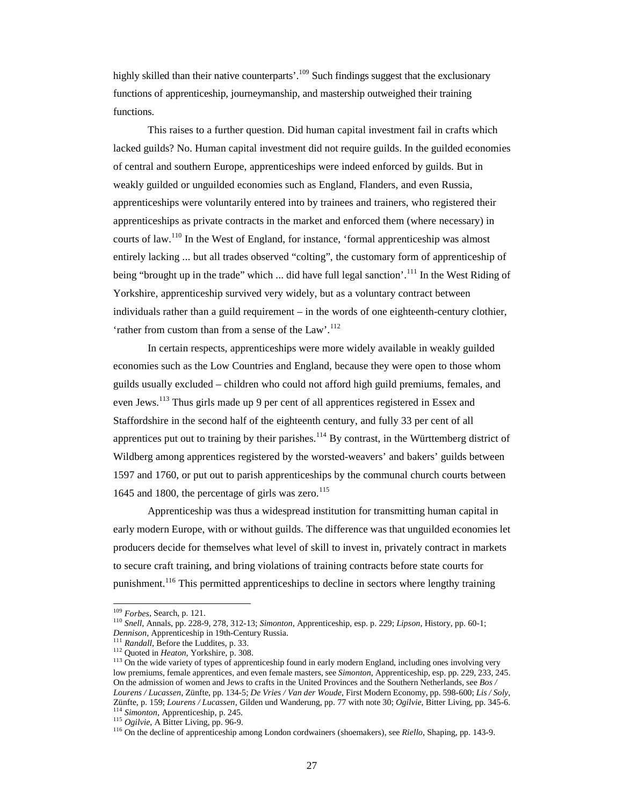highly skilled than their native counterparts'.<sup>109</sup> Such findings suggest that the exclusionary functions of apprenticeship, journeymanship, and mastership outweighed their training functions.

This raises to a further question. Did human capital investment fail in crafts which lacked guilds? No. Human capital investment did not require guilds. In the guilded economies of central and southern Europe, apprenticeships were indeed enforced by guilds. But in weakly guilded or unguilded economies such as England, Flanders, and even Russia, apprenticeships were voluntarily entered into by trainees and trainers, who registered their apprenticeships as private contracts in the market and enforced them (where necessary) in courts of law.110 In the West of England, for instance, 'formal apprenticeship was almost entirely lacking ... but all trades observed "colting", the customary form of apprenticeship of being "brought up in the trade" which ... did have full legal sanction'.<sup>111</sup> In the West Riding of Yorkshire, apprenticeship survived very widely, but as a voluntary contract between individuals rather than a guild requirement – in the words of one eighteenth-century clothier, 'rather from custom than from a sense of the Law'.<sup>112</sup>

In certain respects, apprenticeships were more widely available in weakly guilded economies such as the Low Countries and England, because they were open to those whom guilds usually excluded – children who could not afford high guild premiums, females, and even Jews.113 Thus girls made up 9 per cent of all apprentices registered in Essex and Staffordshire in the second half of the eighteenth century, and fully 33 per cent of all apprentices put out to training by their parishes.<sup>114</sup> By contrast, in the Württemberg district of Wildberg among apprentices registered by the worsted-weavers' and bakers' guilds between 1597 and 1760, or put out to parish apprenticeships by the communal church courts between 1645 and 1800, the percentage of girls was zero. $^{115}$ 

Apprenticeship was thus a widespread institution for transmitting human capital in early modern Europe, with or without guilds. The difference was that unguilded economies let producers decide for themselves what level of skill to invest in, privately contract in markets to secure craft training, and bring violations of training contracts before state courts for punishment.<sup>116</sup> This permitted apprenticeships to decline in sectors where lengthy training

 $109$  Forbes, Search, p. 121.

<sup>&</sup>lt;sup>110</sup> Snell, Annals, pp. 228-9, 278, 312-13; *Simonton*, Apprenticeship, esp. p. 229; *Lipson*, History, pp. 60-1; *Dennison*, Apprenticeship in 19th-Century Russia.

<sup>&</sup>lt;sup>111</sup> Randall, Before the Luddites, p. 33.<br><sup>112</sup> Quoted in *Heaton*, Yorkshire, p. 308.<br><sup>113</sup> On the wide variety of types of apprenticeship found in early modern England, including ones involving very low premiums, female apprentices, and even female masters, see *Simonton*, Apprenticeship, esp. pp. 229, 233, 245. On the admission of women and Jews to crafts in the United Provinces and the Southern Netherlands, see *Bos / Lourens / Lucassen*, Zünfte, pp. 134-5; *De Vries / Van der Woude*, First Modern Economy, pp. 598-600; *Lis / Soly*, <sup>114</sup> Simonton, Apprenticeship, p. 245.<br><sup>115</sup> Ogilvie, A Bitter Living, pp. 96-9.<br><sup>116</sup> On the decline of apprenticeship among London cordwainers (shoemakers), see *Riello*, Shaping, pp. 143-9.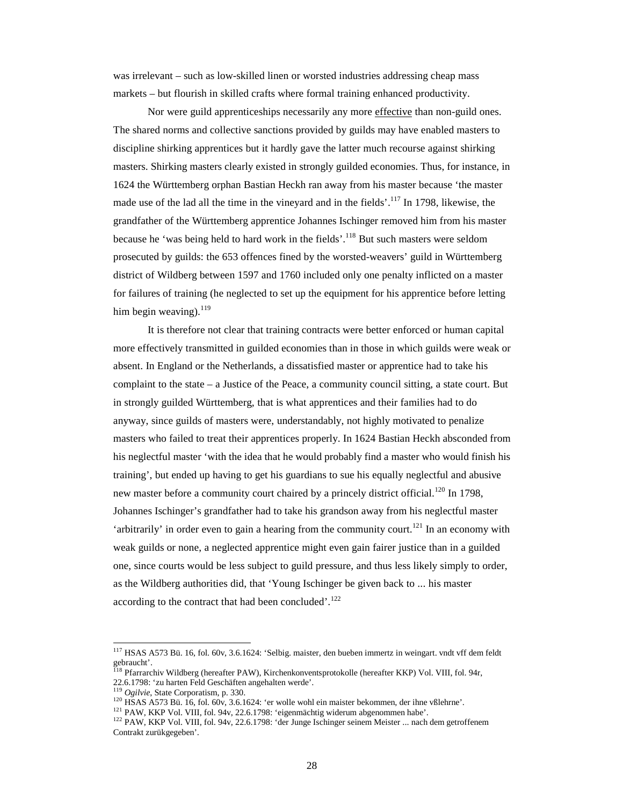was irrelevant – such as low-skilled linen or worsted industries addressing cheap mass markets – but flourish in skilled crafts where formal training enhanced productivity.

Nor were guild apprenticeships necessarily any more effective than non-guild ones. The shared norms and collective sanctions provided by guilds may have enabled masters to discipline shirking apprentices but it hardly gave the latter much recourse against shirking masters. Shirking masters clearly existed in strongly guilded economies. Thus, for instance, in 1624 the Württemberg orphan Bastian Heckh ran away from his master because 'the master made use of the lad all the time in the vineyard and in the fields'.<sup>117</sup> In 1798, likewise, the grandfather of the Württemberg apprentice Johannes Ischinger removed him from his master because he 'was being held to hard work in the fields'.<sup>118</sup> But such masters were seldom prosecuted by guilds: the 653 offences fined by the worsted-weavers' guild in Württemberg district of Wildberg between 1597 and 1760 included only one penalty inflicted on a master for failures of training (he neglected to set up the equipment for his apprentice before letting him begin weaving). $^{119}$ 

It is therefore not clear that training contracts were better enforced or human capital more effectively transmitted in guilded economies than in those in which guilds were weak or absent. In England or the Netherlands, a dissatisfied master or apprentice had to take his complaint to the state – a Justice of the Peace, a community council sitting, a state court. But in strongly guilded Württemberg, that is what apprentices and their families had to do anyway, since guilds of masters were, understandably, not highly motivated to penalize masters who failed to treat their apprentices properly. In 1624 Bastian Heckh absconded from his neglectful master 'with the idea that he would probably find a master who would finish his training', but ended up having to get his guardians to sue his equally neglectful and abusive new master before a community court chaired by a princely district official.<sup>120</sup> In 1798, Johannes Ischinger's grandfather had to take his grandson away from his neglectful master 'arbitrarily' in order even to gain a hearing from the community court.<sup>121</sup> In an economy with weak guilds or none, a neglected apprentice might even gain fairer justice than in a guilded one, since courts would be less subject to guild pressure, and thus less likely simply to order, as the Wildberg authorities did, that 'Young Ischinger be given back to ... his master according to the contract that had been concluded'.<sup>122</sup>

<sup>&</sup>lt;sup>117</sup> HSAS A573 Bü. 16, fol. 60v, 3.6.1624: 'Selbig. maister, den bueben immertz in weingart. vndt vff dem feldt gebraucht'.

<sup>&</sup>lt;sup>118</sup> Pfarrarchiv Wildberg (hereafter PAW), Kirchenkonventsprotokolle (hereafter KKP) Vol. VIII, fol. 94r, 22.6.1798: 'zu harten Feld Geschäften angehalten werde'. 22.6.1798: 'zu harten Feld Geschäften angehalten werde'.<br>
<sup>119</sup> Ogilvie, State Corporatism, p. 330.<br>
<sup>120</sup> HSAS A573 Bü. 16, fol. 60v, 3.6.1624: 'er wolle wohl ein maister bekommen, der ihne vßlehrne'.<br>
<sup>121</sup> PAW, KKP Vol

Contrakt zurükgegeben'.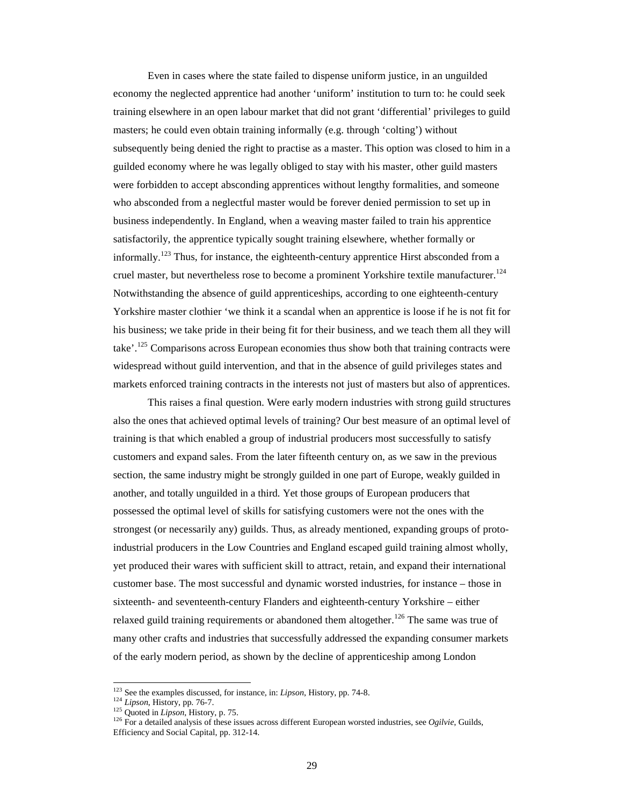Even in cases where the state failed to dispense uniform justice, in an unguilded economy the neglected apprentice had another 'uniform' institution to turn to: he could seek training elsewhere in an open labour market that did not grant 'differential' privileges to guild masters; he could even obtain training informally (e.g. through 'colting') without subsequently being denied the right to practise as a master. This option was closed to him in a guilded economy where he was legally obliged to stay with his master, other guild masters were forbidden to accept absconding apprentices without lengthy formalities, and someone who absconded from a neglectful master would be forever denied permission to set up in business independently. In England, when a weaving master failed to train his apprentice satisfactorily, the apprentice typically sought training elsewhere, whether formally or informally.<sup>123</sup> Thus, for instance, the eighteenth-century apprentice Hirst absconded from a cruel master, but nevertheless rose to become a prominent Yorkshire textile manufacturer.<sup>124</sup> Notwithstanding the absence of guild apprenticeships, according to one eighteenth-century Yorkshire master clothier 'we think it a scandal when an apprentice is loose if he is not fit for his business; we take pride in their being fit for their business, and we teach them all they will take'.125 Comparisons across European economies thus show both that training contracts were widespread without guild intervention, and that in the absence of guild privileges states and markets enforced training contracts in the interests not just of masters but also of apprentices.

This raises a final question. Were early modern industries with strong guild structures also the ones that achieved optimal levels of training? Our best measure of an optimal level of training is that which enabled a group of industrial producers most successfully to satisfy customers and expand sales. From the later fifteenth century on, as we saw in the previous section, the same industry might be strongly guilded in one part of Europe, weakly guilded in another, and totally unguilded in a third. Yet those groups of European producers that possessed the optimal level of skills for satisfying customers were not the ones with the strongest (or necessarily any) guilds. Thus, as already mentioned, expanding groups of protoindustrial producers in the Low Countries and England escaped guild training almost wholly, yet produced their wares with sufficient skill to attract, retain, and expand their international customer base. The most successful and dynamic worsted industries, for instance – those in sixteenth- and seventeenth-century Flanders and eighteenth-century Yorkshire – either relaxed guild training requirements or abandoned them altogether.<sup>126</sup> The same was true of many other crafts and industries that successfully addressed the expanding consumer markets of the early modern period, as shown by the decline of apprenticeship among London

 $123$  See the examples discussed, for instance, in: *Lipson*, History, pp. 74-8.

Lipson, History, pp. 76-7.<br>
<sup>124</sup> Lipson, History, pp. 76-7.<br>
<sup>125</sup> Quoted in *Lipson*, History, p. 75.<br>
<sup>126</sup> For a detailed analysis of these issues across different European worsted industries, see *Ogilvie*, Guilds, Efficiency and Social Capital, pp. 312-14.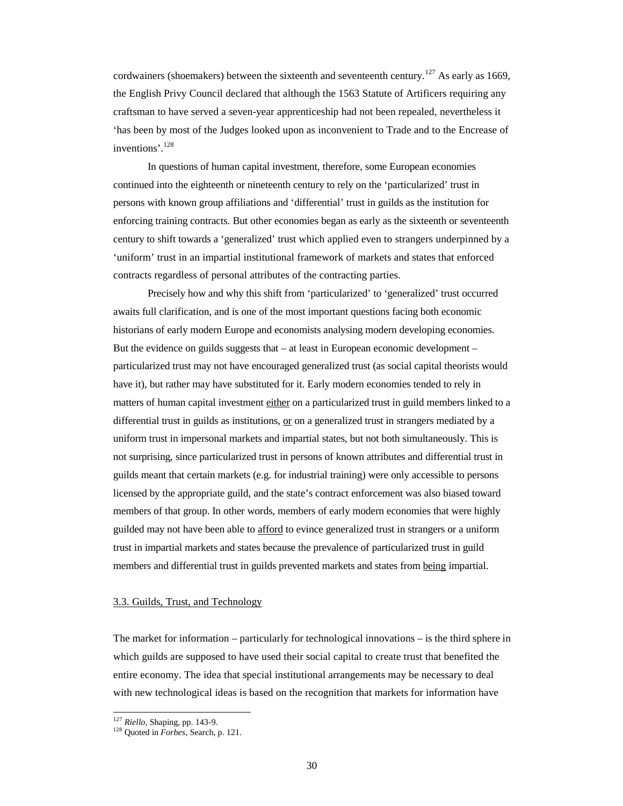cordwainers (shoemakers) between the sixteenth and seventeenth century.<sup>127</sup> As early as 1669, the English Privy Council declared that although the 1563 Statute of Artificers requiring any craftsman to have served a seven-year apprenticeship had not been repealed, nevertheless it 'has been by most of the Judges looked upon as inconvenient to Trade and to the Encrease of inventions'.<sup>128</sup>

 In questions of human capital investment, therefore, some European economies continued into the eighteenth or nineteenth century to rely on the 'particularized' trust in persons with known group affiliations and 'differential' trust in guilds as the institution for enforcing training contracts. But other economies began as early as the sixteenth or seventeenth century to shift towards a 'generalized' trust which applied even to strangers underpinned by a 'uniform' trust in an impartial institutional framework of markets and states that enforced contracts regardless of personal attributes of the contracting parties.

Precisely how and why this shift from 'particularized' to 'generalized' trust occurred awaits full clarification, and is one of the most important questions facing both economic historians of early modern Europe and economists analysing modern developing economies. But the evidence on guilds suggests that – at least in European economic development – particularized trust may not have encouraged generalized trust (as social capital theorists would have it), but rather may have substituted for it. Early modern economies tended to rely in matters of human capital investment either on a particularized trust in guild members linked to a differential trust in guilds as institutions, or on a generalized trust in strangers mediated by a uniform trust in impersonal markets and impartial states, but not both simultaneously. This is not surprising, since particularized trust in persons of known attributes and differential trust in guilds meant that certain markets (e.g. for industrial training) were only accessible to persons licensed by the appropriate guild, and the state's contract enforcement was also biased toward members of that group. In other words, members of early modern economies that were highly guilded may not have been able to afford to evince generalized trust in strangers or a uniform trust in impartial markets and states because the prevalence of particularized trust in guild members and differential trust in guilds prevented markets and states from being impartial.

#### 3.3. Guilds, Trust, and Technology

The market for information – particularly for technological innovations – is the third sphere in which guilds are supposed to have used their social capital to create trust that benefited the entire economy. The idea that special institutional arrangements may be necessary to deal with new technological ideas is based on the recognition that markets for information have

<sup>&</sup>lt;sup>127</sup> Riello, Shaping, pp. 143-9.

<sup>&</sup>lt;sup>128</sup> Ouoted in *Forbes*, Search, p. 121.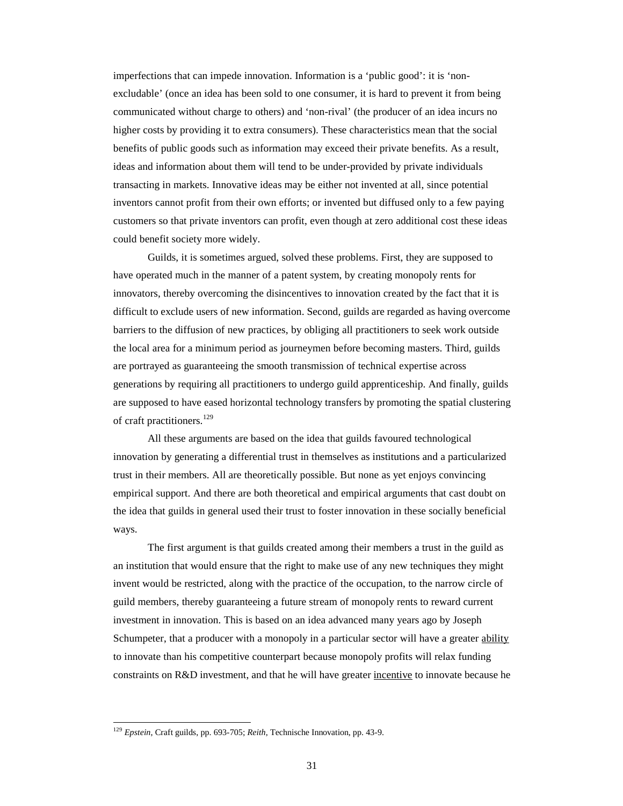imperfections that can impede innovation. Information is a 'public good': it is 'nonexcludable' (once an idea has been sold to one consumer, it is hard to prevent it from being communicated without charge to others) and 'non-rival' (the producer of an idea incurs no higher costs by providing it to extra consumers). These characteristics mean that the social benefits of public goods such as information may exceed their private benefits. As a result, ideas and information about them will tend to be under-provided by private individuals transacting in markets. Innovative ideas may be either not invented at all, since potential inventors cannot profit from their own efforts; or invented but diffused only to a few paying customers so that private inventors can profit, even though at zero additional cost these ideas could benefit society more widely.

 Guilds, it is sometimes argued, solved these problems. First, they are supposed to have operated much in the manner of a patent system, by creating monopoly rents for innovators, thereby overcoming the disincentives to innovation created by the fact that it is difficult to exclude users of new information. Second, guilds are regarded as having overcome barriers to the diffusion of new practices, by obliging all practitioners to seek work outside the local area for a minimum period as journeymen before becoming masters. Third, guilds are portrayed as guaranteeing the smooth transmission of technical expertise across generations by requiring all practitioners to undergo guild apprenticeship. And finally, guilds are supposed to have eased horizontal technology transfers by promoting the spatial clustering of craft practitioners.<sup>129</sup>

All these arguments are based on the idea that guilds favoured technological innovation by generating a differential trust in themselves as institutions and a particularized trust in their members. All are theoretically possible. But none as yet enjoys convincing empirical support. And there are both theoretical and empirical arguments that cast doubt on the idea that guilds in general used their trust to foster innovation in these socially beneficial ways.

 The first argument is that guilds created among their members a trust in the guild as an institution that would ensure that the right to make use of any new techniques they might invent would be restricted, along with the practice of the occupation, to the narrow circle of guild members, thereby guaranteeing a future stream of monopoly rents to reward current investment in innovation. This is based on an idea advanced many years ago by Joseph Schumpeter, that a producer with a monopoly in a particular sector will have a greater ability to innovate than his competitive counterpart because monopoly profits will relax funding constraints on R&D investment, and that he will have greater incentive to innovate because he

<sup>129</sup> *Epstein*, Craft guilds, pp. 693-705; *Reith*, Technische Innovation, pp. 43-9.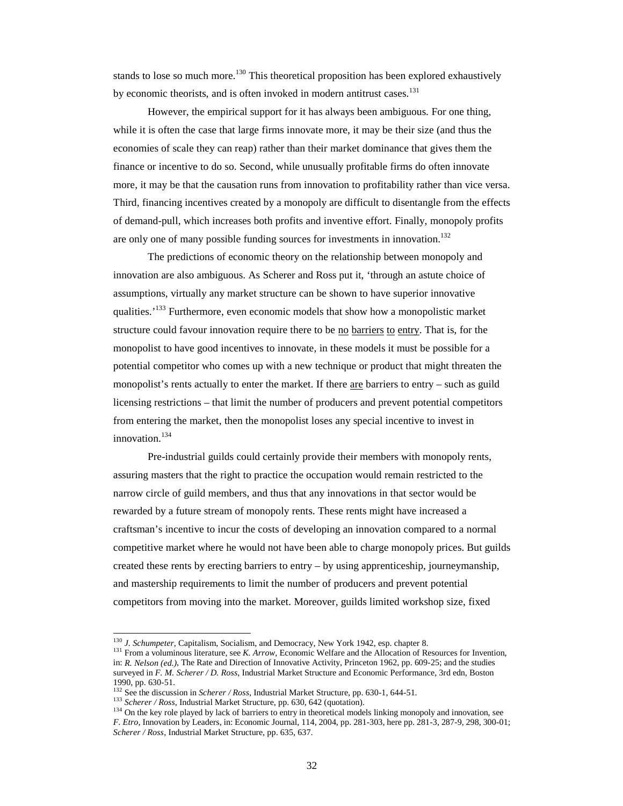stands to lose so much more.<sup>130</sup> This theoretical proposition has been explored exhaustively by economic theorists, and is often invoked in modern antitrust cases.<sup>131</sup>

However, the empirical support for it has always been ambiguous. For one thing, while it is often the case that large firms innovate more, it may be their size (and thus the economies of scale they can reap) rather than their market dominance that gives them the finance or incentive to do so. Second, while unusually profitable firms do often innovate more, it may be that the causation runs from innovation to profitability rather than vice versa. Third, financing incentives created by a monopoly are difficult to disentangle from the effects of demand-pull, which increases both profits and inventive effort. Finally, monopoly profits are only one of many possible funding sources for investments in innovation.<sup>132</sup>

 The predictions of economic theory on the relationship between monopoly and innovation are also ambiguous. As Scherer and Ross put it, 'through an astute choice of assumptions, virtually any market structure can be shown to have superior innovative qualities.<sup>'133</sup> Furthermore, even economic models that show how a monopolistic market structure could favour innovation require there to be  $\underline{no}$  barriers to entry. That is, for the monopolist to have good incentives to innovate, in these models it must be possible for a potential competitor who comes up with a new technique or product that might threaten the monopolist's rents actually to enter the market. If there are barriers to entry – such as guild licensing restrictions – that limit the number of producers and prevent potential competitors from entering the market, then the monopolist loses any special incentive to invest in innovation.<sup>134</sup>

 Pre-industrial guilds could certainly provide their members with monopoly rents, assuring masters that the right to practice the occupation would remain restricted to the narrow circle of guild members, and thus that any innovations in that sector would be rewarded by a future stream of monopoly rents. These rents might have increased a craftsman's incentive to incur the costs of developing an innovation compared to a normal competitive market where he would not have been able to charge monopoly prices. But guilds created these rents by erecting barriers to entry – by using apprenticeship, journeymanship, and mastership requirements to limit the number of producers and prevent potential competitors from moving into the market. Moreover, guilds limited workshop size, fixed

<sup>&</sup>lt;sup>130</sup> J. Schumpeter, Capitalism, Socialism, and Democracy, New York 1942, esp. chapter 8.

<sup>&</sup>lt;sup>131</sup> From a voluminous literature, see *K. Arrow*, Economic Welfare and the Allocation of Resources for Invention, in: *R. Nelson (ed.)*, The Rate and Direction of Innovative Activity, Princeton 1962, pp. 609-25; and the studies surveyed in *F. M. Scherer / D. Ross*, Industrial Market Structure and Economic Performance, 3rd edn, Boston 1990, pp. 630-51.<br><sup>132</sup> See the discussion in *Scherer / Ross*, Industrial Market Structure, pp. 630-1, 644-51.

 $^{133}$  Scherer / Ross, Industrial Market Structure, pp. 630, 642 (quotation).<br> $^{134}$  On the key role played by lack of barriers to entry in theoretical models linking monopoly and innovation, see *F. Etro*, Innovation by Leaders, in: Economic Journal, 114, 2004, pp. 281-303, here pp. 281-3, 287-9, 298, 300-01; *Scherer / Ross*, Industrial Market Structure, pp. 635, 637.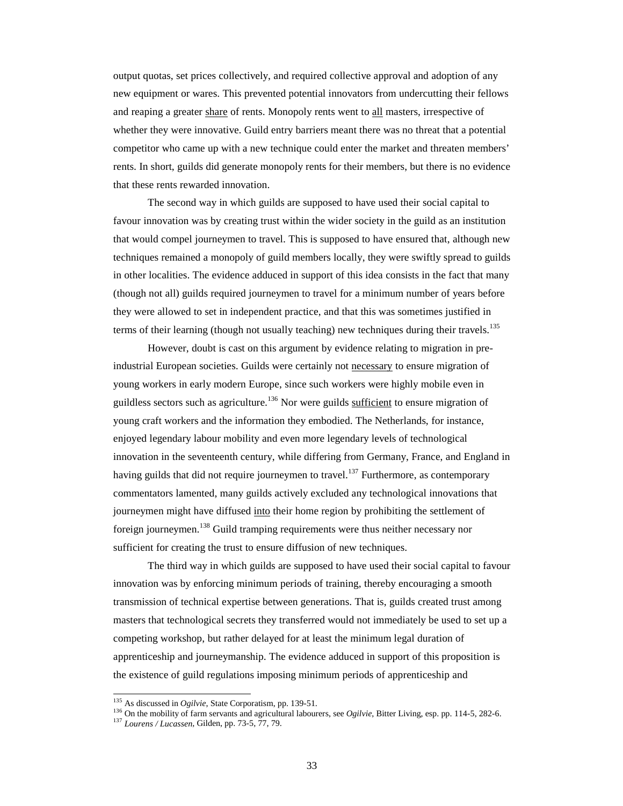output quotas, set prices collectively, and required collective approval and adoption of any new equipment or wares. This prevented potential innovators from undercutting their fellows and reaping a greater share of rents. Monopoly rents went to all masters, irrespective of whether they were innovative. Guild entry barriers meant there was no threat that a potential competitor who came up with a new technique could enter the market and threaten members' rents. In short, guilds did generate monopoly rents for their members, but there is no evidence that these rents rewarded innovation.

 The second way in which guilds are supposed to have used their social capital to favour innovation was by creating trust within the wider society in the guild as an institution that would compel journeymen to travel. This is supposed to have ensured that, although new techniques remained a monopoly of guild members locally, they were swiftly spread to guilds in other localities. The evidence adduced in support of this idea consists in the fact that many (though not all) guilds required journeymen to travel for a minimum number of years before they were allowed to set in independent practice, and that this was sometimes justified in terms of their learning (though not usually teaching) new techniques during their travels.<sup>135</sup>

 However, doubt is cast on this argument by evidence relating to migration in preindustrial European societies. Guilds were certainly not necessary to ensure migration of young workers in early modern Europe, since such workers were highly mobile even in guildless sectors such as agriculture.<sup>136</sup> Nor were guilds sufficient to ensure migration of young craft workers and the information they embodied. The Netherlands, for instance, enjoyed legendary labour mobility and even more legendary levels of technological innovation in the seventeenth century, while differing from Germany, France, and England in having guilds that did not require journeymen to travel.<sup>137</sup> Furthermore, as contemporary commentators lamented, many guilds actively excluded any technological innovations that journeymen might have diffused into their home region by prohibiting the settlement of foreign journeymen.138 Guild tramping requirements were thus neither necessary nor sufficient for creating the trust to ensure diffusion of new techniques.

 The third way in which guilds are supposed to have used their social capital to favour innovation was by enforcing minimum periods of training, thereby encouraging a smooth transmission of technical expertise between generations. That is, guilds created trust among masters that technological secrets they transferred would not immediately be used to set up a competing workshop, but rather delayed for at least the minimum legal duration of apprenticeship and journeymanship. The evidence adduced in support of this proposition is the existence of guild regulations imposing minimum periods of apprenticeship and

 $135$  As discussed in *Ogilvie*, State Corporatism, pp. 139-51.

<sup>&</sup>lt;sup>136</sup> On the mobility of farm servants and agricultural labourers, see Ogilvie, Bitter Living, esp. pp. 114-5, 282-6.<br><sup>137</sup> Lourens / Lucassen, Gilden, pp. 73-5, 77, 79.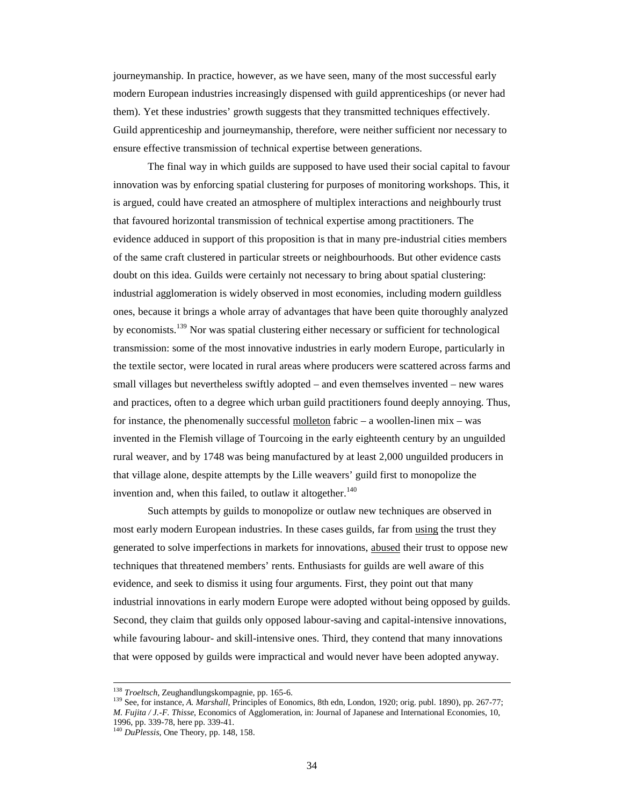journeymanship. In practice, however, as we have seen, many of the most successful early modern European industries increasingly dispensed with guild apprenticeships (or never had them). Yet these industries' growth suggests that they transmitted techniques effectively. Guild apprenticeship and journeymanship, therefore, were neither sufficient nor necessary to ensure effective transmission of technical expertise between generations.

 The final way in which guilds are supposed to have used their social capital to favour innovation was by enforcing spatial clustering for purposes of monitoring workshops. This, it is argued, could have created an atmosphere of multiplex interactions and neighbourly trust that favoured horizontal transmission of technical expertise among practitioners. The evidence adduced in support of this proposition is that in many pre-industrial cities members of the same craft clustered in particular streets or neighbourhoods. But other evidence casts doubt on this idea. Guilds were certainly not necessary to bring about spatial clustering: industrial agglomeration is widely observed in most economies, including modern guildless ones, because it brings a whole array of advantages that have been quite thoroughly analyzed by economists.139 Nor was spatial clustering either necessary or sufficient for technological transmission: some of the most innovative industries in early modern Europe, particularly in the textile sector, were located in rural areas where producers were scattered across farms and small villages but nevertheless swiftly adopted – and even themselves invented – new wares and practices, often to a degree which urban guild practitioners found deeply annoying. Thus, for instance, the phenomenally successful molleton fabric  $-$  a woollen-linen mix  $-$  was invented in the Flemish village of Tourcoing in the early eighteenth century by an unguilded rural weaver, and by 1748 was being manufactured by at least 2,000 unguilded producers in that village alone, despite attempts by the Lille weavers' guild first to monopolize the invention and, when this failed, to outlaw it altogether.<sup>140</sup>

 Such attempts by guilds to monopolize or outlaw new techniques are observed in most early modern European industries. In these cases guilds, far from using the trust they generated to solve imperfections in markets for innovations, abused their trust to oppose new techniques that threatened members' rents. Enthusiasts for guilds are well aware of this evidence, and seek to dismiss it using four arguments. First, they point out that many industrial innovations in early modern Europe were adopted without being opposed by guilds. Second, they claim that guilds only opposed labour-saving and capital-intensive innovations, while favouring labour- and skill-intensive ones. Third, they contend that many innovations that were opposed by guilds were impractical and would never have been adopted anyway.

<sup>&</sup>lt;sup>138</sup> *Troeltsch*, Zeughandlungskompagnie, pp. 165-6.<br><sup>139</sup> See, for instance, *A. Marshall*, Principles of Eonomics, 8th edn, London, 1920; orig. publ. 1890), pp. 267-77; *M. Fujita / J.-F. Thisse*, Economics of Agglomeration, in: Journal of Japanese and International Economies, 10, 1996, pp. 339-78, here pp. 339-41.

<sup>140</sup> *DuPlessis*, One Theory, pp. 148, 158.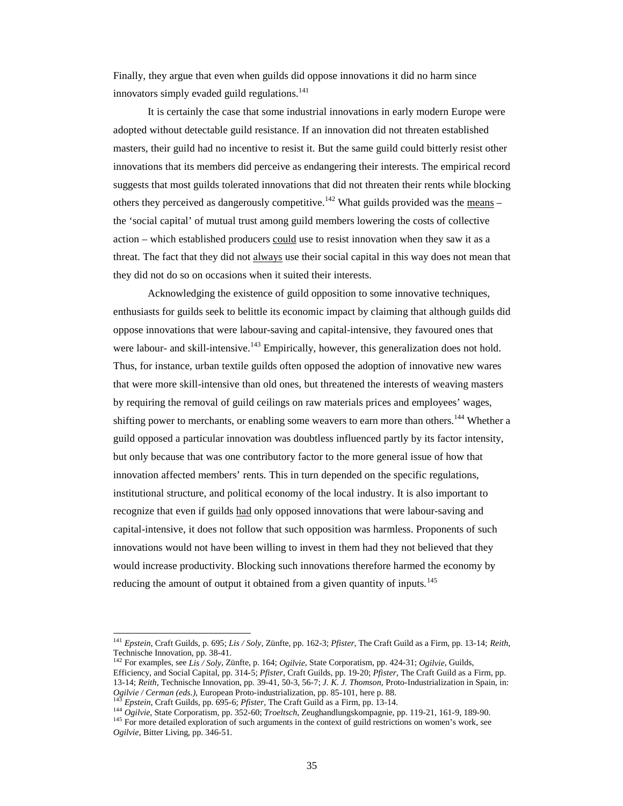Finally, they argue that even when guilds did oppose innovations it did no harm since innovators simply evaded guild regulations.<sup>141</sup>

 It is certainly the case that some industrial innovations in early modern Europe were adopted without detectable guild resistance. If an innovation did not threaten established masters, their guild had no incentive to resist it. But the same guild could bitterly resist other innovations that its members did perceive as endangering their interests. The empirical record suggests that most guilds tolerated innovations that did not threaten their rents while blocking others they perceived as dangerously competitive.<sup>142</sup> What guilds provided was the means – the 'social capital' of mutual trust among guild members lowering the costs of collective action – which established producers could use to resist innovation when they saw it as a threat. The fact that they did not always use their social capital in this way does not mean that they did not do so on occasions when it suited their interests.

 Acknowledging the existence of guild opposition to some innovative techniques, enthusiasts for guilds seek to belittle its economic impact by claiming that although guilds did oppose innovations that were labour-saving and capital-intensive, they favoured ones that were labour- and skill-intensive.<sup>143</sup> Empirically, however, this generalization does not hold. Thus, for instance, urban textile guilds often opposed the adoption of innovative new wares that were more skill-intensive than old ones, but threatened the interests of weaving masters by requiring the removal of guild ceilings on raw materials prices and employees' wages, shifting power to merchants, or enabling some weavers to earn more than others.<sup>144</sup> Whether a guild opposed a particular innovation was doubtless influenced partly by its factor intensity, but only because that was one contributory factor to the more general issue of how that innovation affected members' rents. This in turn depended on the specific regulations, institutional structure, and political economy of the local industry. It is also important to recognize that even if guilds had only opposed innovations that were labour-saving and capital-intensive, it does not follow that such opposition was harmless. Proponents of such innovations would not have been willing to invest in them had they not believed that they would increase productivity. Blocking such innovations therefore harmed the economy by reducing the amount of output it obtained from a given quantity of inputs.<sup>145</sup>

<sup>141</sup> *Epstein*, Craft Guilds, p. 695; *Lis / Soly*, Zünfte, pp. 162-3; *Pfister*, The Craft Guild as a Firm, pp. 13-14; *Reith*, Technische Innovation, pp. 38-41.

<sup>142</sup> For examples, see *Lis / Soly*, Zünfte, p. 164; *Ogilvie*, State Corporatism, pp. 424-31; *Ogilvie*, Guilds, Efficiency, and Social Capital, pp. 314-5; *Pfister*, Craft Guilds, pp. 19-20; *Pfister*, The Craft Guild as a Firm, pp. 13-14; *Reith*, Technische Innovation, pp. 39-41, 50-3, 56-7; *J. K. J. Thomson*, Proto-Industrialization in Spain, in:

<sup>&</sup>lt;sup>143</sup> Epstein, Craft Guilds, pp. 695-6; *Pfister*, The Craft Guild as a Firm, pp. 13-14.<br><sup>144</sup> Ogilvie, State Corporatism, pp. 352-60; *Troeltsch*, Zeughandlungskompagnie, pp. 119-21, 161-9, 189-90.<br><sup>145</sup> For more detaile *Ogilvie*, Bitter Living, pp. 346-51.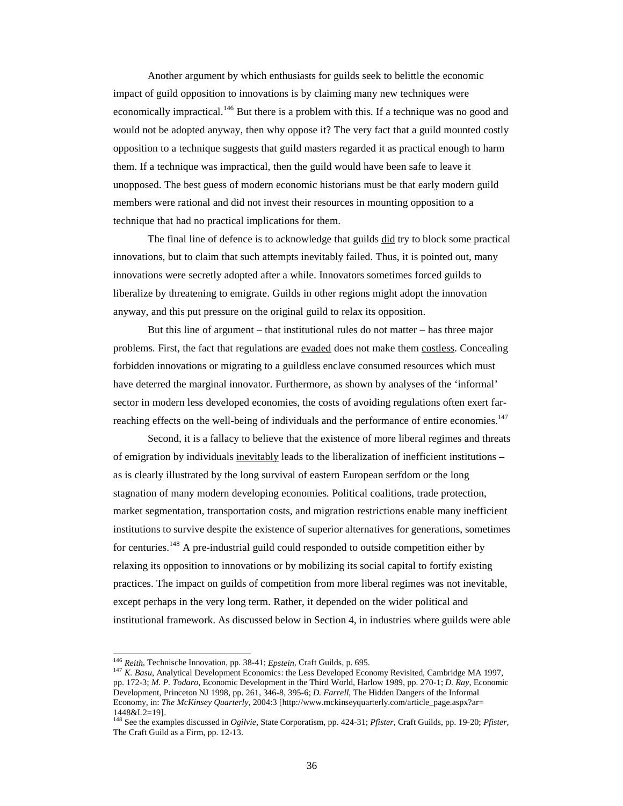Another argument by which enthusiasts for guilds seek to belittle the economic impact of guild opposition to innovations is by claiming many new techniques were economically impractical.<sup>146</sup> But there is a problem with this. If a technique was no good and would not be adopted anyway, then why oppose it? The very fact that a guild mounted costly opposition to a technique suggests that guild masters regarded it as practical enough to harm them. If a technique was impractical, then the guild would have been safe to leave it unopposed. The best guess of modern economic historians must be that early modern guild members were rational and did not invest their resources in mounting opposition to a technique that had no practical implications for them.

 The final line of defence is to acknowledge that guilds did try to block some practical innovations, but to claim that such attempts inevitably failed. Thus, it is pointed out, many innovations were secretly adopted after a while. Innovators sometimes forced guilds to liberalize by threatening to emigrate. Guilds in other regions might adopt the innovation anyway, and this put pressure on the original guild to relax its opposition.

 But this line of argument – that institutional rules do not matter – has three major problems. First, the fact that regulations are evaded does not make them costless. Concealing forbidden innovations or migrating to a guildless enclave consumed resources which must have deterred the marginal innovator. Furthermore, as shown by analyses of the 'informal' sector in modern less developed economies, the costs of avoiding regulations often exert farreaching effects on the well-being of individuals and the performance of entire economies.<sup>147</sup>

 Second, it is a fallacy to believe that the existence of more liberal regimes and threats of emigration by individuals inevitably leads to the liberalization of inefficient institutions – as is clearly illustrated by the long survival of eastern European serfdom or the long stagnation of many modern developing economies. Political coalitions, trade protection, market segmentation, transportation costs, and migration restrictions enable many inefficient institutions to survive despite the existence of superior alternatives for generations, sometimes for centuries.148 A pre-industrial guild could responded to outside competition either by relaxing its opposition to innovations or by mobilizing its social capital to fortify existing practices. The impact on guilds of competition from more liberal regimes was not inevitable, except perhaps in the very long term. Rather, it depended on the wider political and institutional framework. As discussed below in Section 4, in industries where guilds were able

<sup>&</sup>lt;sup>146</sup> Reith, Technische Innovation, pp. 38-41; Epstein, Craft Guilds, p. 695.

<sup>&</sup>lt;sup>147</sup> *K. Basu*, Analytical Development Economics: the Less Developed Economy Revisited, Cambridge MA 1997, pp. 172-3; *M. P. Todaro*, Economic Development in the Third World, Harlow 1989, pp. 270-1; *D. Ray*, Economic Development, Princeton NJ 1998, pp. 261, 346-8, 395-6; *D. Farrell*, The Hidden Dangers of the Informal Economy, in: *The McKinsey Quarterly*, 2004:3 [http://www.mckinseyquarterly.com/article\_page.aspx?ar= 1448&L2=19].

<sup>148</sup> See the examples discussed in *Ogilvie*, State Corporatism, pp. 424-31; *Pfister*, Craft Guilds, pp. 19-20; *Pfister*, The Craft Guild as a Firm, pp. 12-13.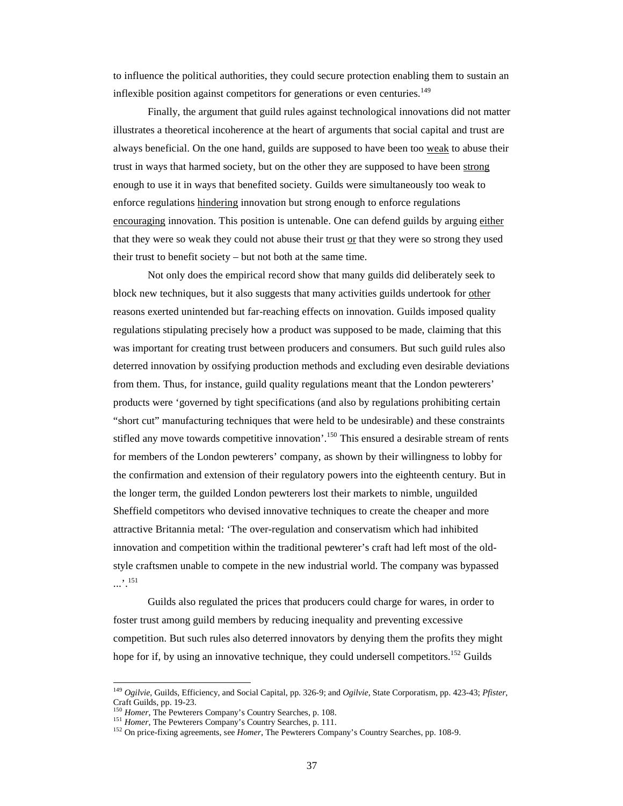to influence the political authorities, they could secure protection enabling them to sustain an inflexible position against competitors for generations or even centuries.<sup>149</sup>

 Finally, the argument that guild rules against technological innovations did not matter illustrates a theoretical incoherence at the heart of arguments that social capital and trust are always beneficial. On the one hand, guilds are supposed to have been too weak to abuse their trust in ways that harmed society, but on the other they are supposed to have been strong enough to use it in ways that benefited society. Guilds were simultaneously too weak to enforce regulations hindering innovation but strong enough to enforce regulations encouraging innovation. This position is untenable. One can defend guilds by arguing either that they were so weak they could not abuse their trust or that they were so strong they used their trust to benefit society – but not both at the same time.

 Not only does the empirical record show that many guilds did deliberately seek to block new techniques, but it also suggests that many activities guilds undertook for other reasons exerted unintended but far-reaching effects on innovation. Guilds imposed quality regulations stipulating precisely how a product was supposed to be made, claiming that this was important for creating trust between producers and consumers. But such guild rules also deterred innovation by ossifying production methods and excluding even desirable deviations from them. Thus, for instance, guild quality regulations meant that the London pewterers' products were 'governed by tight specifications (and also by regulations prohibiting certain "short cut" manufacturing techniques that were held to be undesirable) and these constraints stifled any move towards competitive innovation'.<sup>150</sup> This ensured a desirable stream of rents for members of the London pewterers' company, as shown by their willingness to lobby for the confirmation and extension of their regulatory powers into the eighteenth century. But in the longer term, the guilded London pewterers lost their markets to nimble, unguilded Sheffield competitors who devised innovative techniques to create the cheaper and more attractive Britannia metal: 'The over-regulation and conservatism which had inhibited innovation and competition within the traditional pewterer's craft had left most of the oldstyle craftsmen unable to compete in the new industrial world. The company was bypassed ...'.<sup>151</sup>

 Guilds also regulated the prices that producers could charge for wares, in order to foster trust among guild members by reducing inequality and preventing excessive competition. But such rules also deterred innovators by denying them the profits they might hope for if, by using an innovative technique, they could undersell competitors.<sup>152</sup> Guilds

<sup>149</sup> *Ogilvie*, Guilds, Efficiency, and Social Capital, pp. 326-9; and *Ogilvie*, State Corporatism, pp. 423-43; *Pfister*, Craft Guilds, pp. 19-23.<br><sup>150</sup> Homer, The Pewterers Company's Country Searches, p. 108.

*IS1 Homer*, The Pewterers Company's Country Searches, p. 111.<br><sup>151</sup> On price-fixing agreements, see *Homer*, The Pewterers Company's Country Searches, pp. 108-9.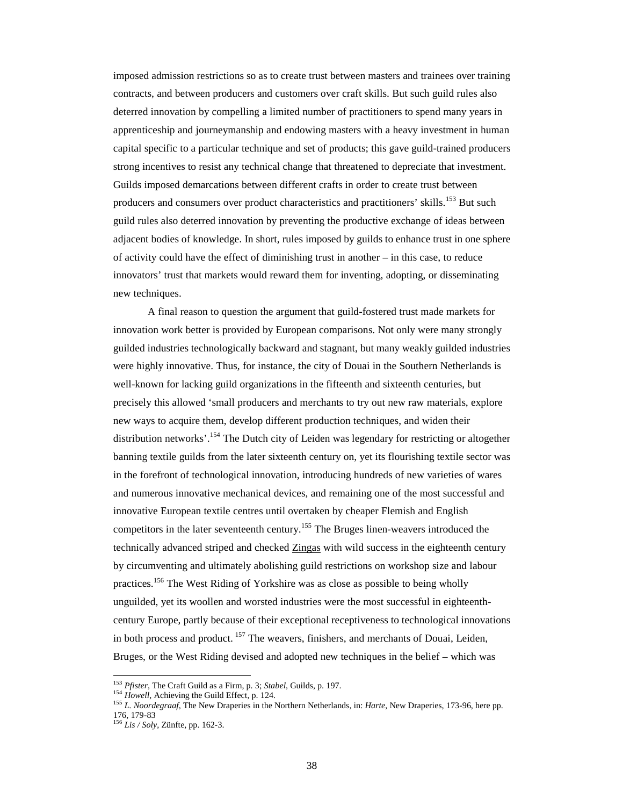imposed admission restrictions so as to create trust between masters and trainees over training contracts, and between producers and customers over craft skills. But such guild rules also deterred innovation by compelling a limited number of practitioners to spend many years in apprenticeship and journeymanship and endowing masters with a heavy investment in human capital specific to a particular technique and set of products; this gave guild-trained producers strong incentives to resist any technical change that threatened to depreciate that investment. Guilds imposed demarcations between different crafts in order to create trust between producers and consumers over product characteristics and practitioners' skills.<sup>153</sup> But such guild rules also deterred innovation by preventing the productive exchange of ideas between adjacent bodies of knowledge. In short, rules imposed by guilds to enhance trust in one sphere of activity could have the effect of diminishing trust in another – in this case, to reduce innovators' trust that markets would reward them for inventing, adopting, or disseminating new techniques.

 A final reason to question the argument that guild-fostered trust made markets for innovation work better is provided by European comparisons. Not only were many strongly guilded industries technologically backward and stagnant, but many weakly guilded industries were highly innovative. Thus, for instance, the city of Douai in the Southern Netherlands is well-known for lacking guild organizations in the fifteenth and sixteenth centuries, but precisely this allowed 'small producers and merchants to try out new raw materials, explore new ways to acquire them, develop different production techniques, and widen their distribution networks'.154 The Dutch city of Leiden was legendary for restricting or altogether banning textile guilds from the later sixteenth century on, yet its flourishing textile sector was in the forefront of technological innovation, introducing hundreds of new varieties of wares and numerous innovative mechanical devices, and remaining one of the most successful and innovative European textile centres until overtaken by cheaper Flemish and English competitors in the later seventeenth century.155 The Bruges linen-weavers introduced the technically advanced striped and checked Zingas with wild success in the eighteenth century by circumventing and ultimately abolishing guild restrictions on workshop size and labour practices.156 The West Riding of Yorkshire was as close as possible to being wholly unguilded, yet its woollen and worsted industries were the most successful in eighteenthcentury Europe, partly because of their exceptional receptiveness to technological innovations in both process and product. <sup>157</sup> The weavers, finishers, and merchants of Douai, Leiden, Bruges, or the West Riding devised and adopted new techniques in the belief – which was

<sup>&</sup>lt;sup>153</sup> Pfister, The Craft Guild as a Firm, p. 3; Stabel, Guilds, p. 197.

<sup>&</sup>lt;sup>154</sup> Howell, Achieving the Guild Effect, p. 124.<br><sup>155</sup> L. Noordegraaf, The New Draperies in the Northern Netherlands, in: *Harte*, New Draperies, 173-96, here pp. 176, 179-83

<sup>156</sup> *Lis / Soly*, Zünfte, pp. 162-3.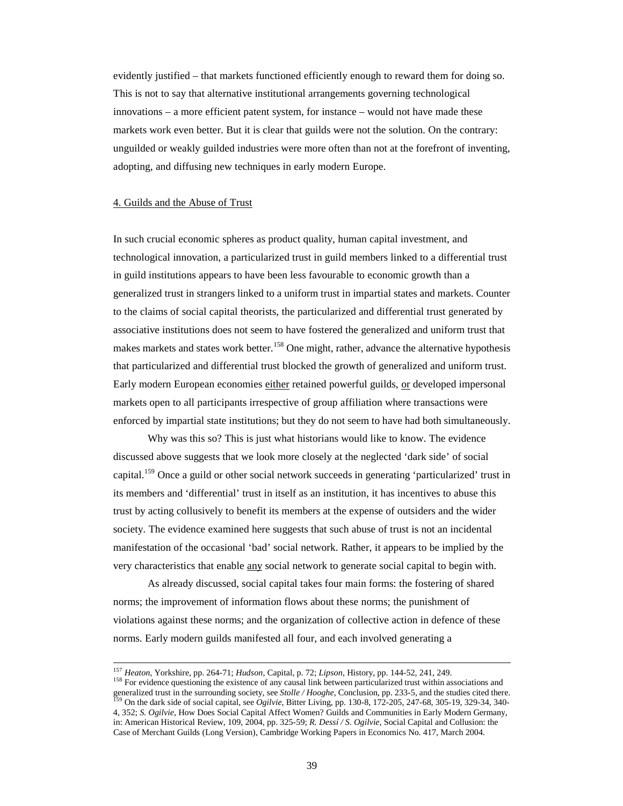evidently justified – that markets functioned efficiently enough to reward them for doing so. This is not to say that alternative institutional arrangements governing technological innovations – a more efficient patent system, for instance – would not have made these markets work even better. But it is clear that guilds were not the solution. On the contrary: unguilded or weakly guilded industries were more often than not at the forefront of inventing, adopting, and diffusing new techniques in early modern Europe.

#### 4. Guilds and the Abuse of Trust

In such crucial economic spheres as product quality, human capital investment, and technological innovation, a particularized trust in guild members linked to a differential trust in guild institutions appears to have been less favourable to economic growth than a generalized trust in strangers linked to a uniform trust in impartial states and markets. Counter to the claims of social capital theorists, the particularized and differential trust generated by associative institutions does not seem to have fostered the generalized and uniform trust that makes markets and states work better.<sup>158</sup> One might, rather, advance the alternative hypothesis that particularized and differential trust blocked the growth of generalized and uniform trust. Early modern European economies either retained powerful guilds, or developed impersonal markets open to all participants irrespective of group affiliation where transactions were enforced by impartial state institutions; but they do not seem to have had both simultaneously.

 Why was this so? This is just what historians would like to know. The evidence discussed above suggests that we look more closely at the neglected 'dark side' of social capital.159 Once a guild or other social network succeeds in generating 'particularized' trust in its members and 'differential' trust in itself as an institution, it has incentives to abuse this trust by acting collusively to benefit its members at the expense of outsiders and the wider society. The evidence examined here suggests that such abuse of trust is not an incidental manifestation of the occasional 'bad' social network. Rather, it appears to be implied by the very characteristics that enable any social network to generate social capital to begin with.

 As already discussed, social capital takes four main forms: the fostering of shared norms; the improvement of information flows about these norms; the punishment of violations against these norms; and the organization of collective action in defence of these norms. Early modern guilds manifested all four, and each involved generating a

<sup>&</sup>lt;sup>157</sup> Heaton, Yorkshire, pp. 264-71; Hudson, Capital, p. 72; *Lipson*, History, pp. 144-52, 241, 249.<br><sup>158</sup> For evidence questioning the existence of any causal link between particularized trust within associations and generalized trust in the surrounding society, see *Stolle / Hooghe*, Conclusion, pp. 233-5, and the studies cited there.<br><sup>159</sup> On the dark side of social capital, see *Ogilvie*, Bitter Living, pp. 130-8, 172-205, 247-68, 3 4, 352; *S. Ogilvie*, How Does Social Capital Affect Women? Guilds and Communities in Early Modern Germany, in: American Historical Review, 109, 2004, pp. 325-59; *R. Dessí / S. Ogilvie*, Social Capital and Collusion: the Case of Merchant Guilds (Long Version), Cambridge Working Papers in Economics No. 417, March 2004.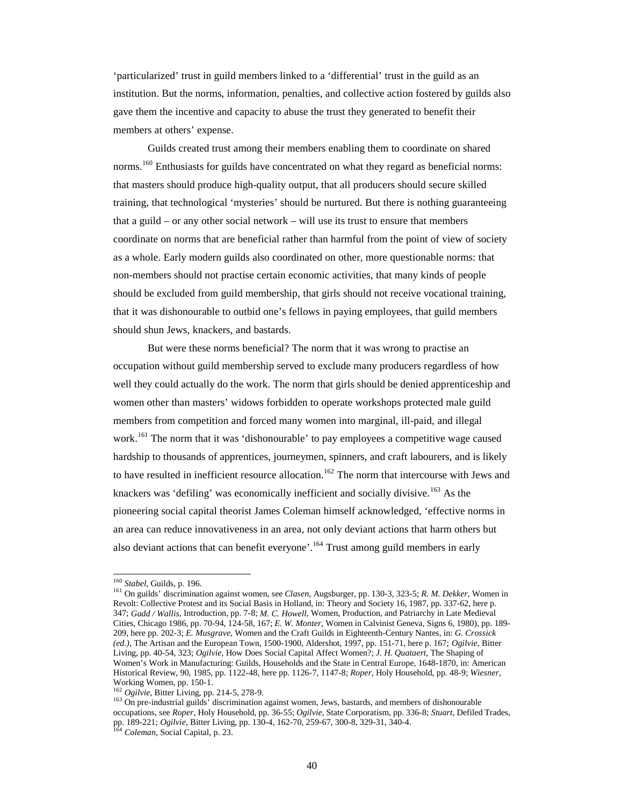'particularized' trust in guild members linked to a 'differential' trust in the guild as an institution. But the norms, information, penalties, and collective action fostered by guilds also gave them the incentive and capacity to abuse the trust they generated to benefit their members at others' expense.

 Guilds created trust among their members enabling them to coordinate on shared norms.160 Enthusiasts for guilds have concentrated on what they regard as beneficial norms: that masters should produce high-quality output, that all producers should secure skilled training, that technological 'mysteries' should be nurtured. But there is nothing guaranteeing that a guild – or any other social network – will use its trust to ensure that members coordinate on norms that are beneficial rather than harmful from the point of view of society as a whole. Early modern guilds also coordinated on other, more questionable norms: that non-members should not practise certain economic activities, that many kinds of people should be excluded from guild membership, that girls should not receive vocational training, that it was dishonourable to outbid one's fellows in paying employees, that guild members should shun Jews, knackers, and bastards.

 But were these norms beneficial? The norm that it was wrong to practise an occupation without guild membership served to exclude many producers regardless of how well they could actually do the work. The norm that girls should be denied apprenticeship and women other than masters' widows forbidden to operate workshops protected male guild members from competition and forced many women into marginal, ill-paid, and illegal work.<sup>161</sup> The norm that it was 'dishonourable' to pay employees a competitive wage caused hardship to thousands of apprentices, journeymen, spinners, and craft labourers, and is likely to have resulted in inefficient resource allocation.<sup>162</sup> The norm that intercourse with Jews and knackers was 'defiling' was economically inefficient and socially divisive.<sup>163</sup> As the pioneering social capital theorist James Coleman himself acknowledged, 'effective norms in an area can reduce innovativeness in an area, not only deviant actions that harm others but also deviant actions that can benefit everyone'.164 Trust among guild members in early

<sup>160</sup> *Stabel*, Guilds, p. 196. 161 On guilds' discrimination against women, see *Clasen*, Augsburger, pp. 130-3, 323-5; *R. M. Dekker*, Women in Revolt: Collective Protest and its Social Basis in Holland, in: Theory and Society 16, 1987, pp. 337-62, here p. 347; *Gadd / Wallis*, Introduction, pp. 7-8; *M. C. Howell*, Women, Production, and Patriarchy in Late Medieval Cities, Chicago 1986, pp. 70-94, 124-58, 167; *E. W. Monter*, Women in Calvinist Geneva, Signs 6, 1980), pp. 189- 209, here pp. 202-3; *E. Musgrave*, Women and the Craft Guilds in Eighteenth-Century Nantes, in: *G. Crossick (ed.)*, The Artisan and the European Town, 1500-1900, Aldershot, 1997, pp. 151-71, here p. 167; *Ogilvie*, Bitter Living, pp. 40-54, 323; *Ogilvie*, How Does Social Capital Affect Women?; *J. H. Quataert*, The Shaping of Women's Work in Manufacturing: Guilds, Households and the State in Central Europe, 1648-1870, in: American Historical Review, 90, 1985, pp. 1122-48, here pp. 1126-7, 1147-8; *Roper*, Holy Household, pp. 48-9; *Wiesner*, Working Women, pp. 150-1.<br><sup>162</sup> Ogilvie, Bitter Living, pp. 214-5, 278-9.

<sup>&</sup>lt;sup>163</sup> On pre-industrial guilds<sup>3</sup> discrimination against women, Jews, bastards, and members of dishonourable occupations, see *Roper*, Holy Household, pp. 36-55; *Ogilvie*, State Corporatism, pp. 336-8; *Stuart*, Defiled Trades, pp. 189-221; *Ogilvie*, Bitter Living, pp. 130-4, 162-70, 259-67, 300-8, 329-31, 340-4. 164 *Coleman*, Social Capital, p. 23.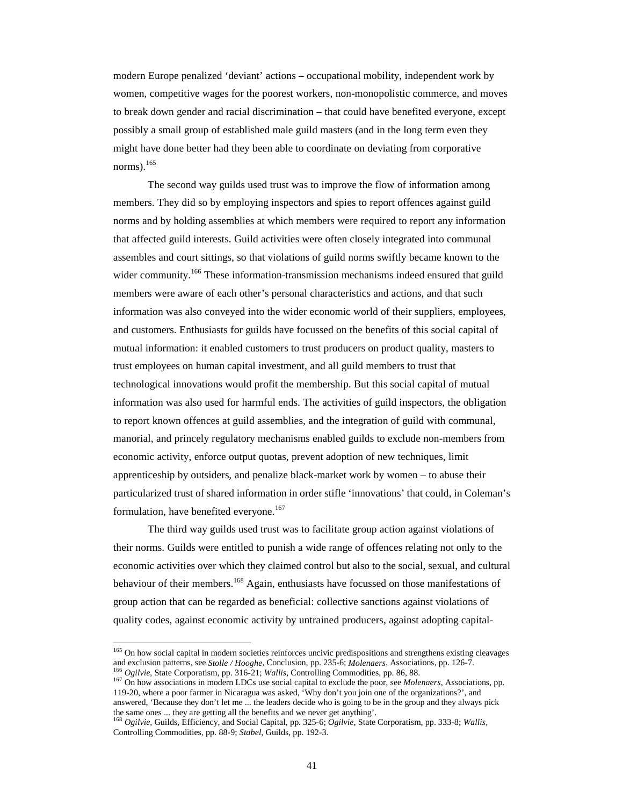modern Europe penalized 'deviant' actions – occupational mobility, independent work by women, competitive wages for the poorest workers, non-monopolistic commerce, and moves to break down gender and racial discrimination – that could have benefited everyone, except possibly a small group of established male guild masters (and in the long term even they might have done better had they been able to coordinate on deviating from corporative norms).<sup>165</sup>

 The second way guilds used trust was to improve the flow of information among members. They did so by employing inspectors and spies to report offences against guild norms and by holding assemblies at which members were required to report any information that affected guild interests. Guild activities were often closely integrated into communal assembles and court sittings, so that violations of guild norms swiftly became known to the wider community.<sup>166</sup> These information-transmission mechanisms indeed ensured that guild members were aware of each other's personal characteristics and actions, and that such information was also conveyed into the wider economic world of their suppliers, employees, and customers. Enthusiasts for guilds have focussed on the benefits of this social capital of mutual information: it enabled customers to trust producers on product quality, masters to trust employees on human capital investment, and all guild members to trust that technological innovations would profit the membership. But this social capital of mutual information was also used for harmful ends. The activities of guild inspectors, the obligation to report known offences at guild assemblies, and the integration of guild with communal, manorial, and princely regulatory mechanisms enabled guilds to exclude non-members from economic activity, enforce output quotas, prevent adoption of new techniques, limit apprenticeship by outsiders, and penalize black-market work by women – to abuse their particularized trust of shared information in order stifle 'innovations' that could, in Coleman's formulation, have benefited everyone.<sup>167</sup>

 The third way guilds used trust was to facilitate group action against violations of their norms. Guilds were entitled to punish a wide range of offences relating not only to the economic activities over which they claimed control but also to the social, sexual, and cultural behaviour of their members.<sup>168</sup> Again, enthusiasts have focussed on those manifestations of group action that can be regarded as beneficial: collective sanctions against violations of quality codes, against economic activity by untrained producers, against adopting capital-

<sup>&</sup>lt;sup>165</sup> On how social capital in modern societies reinforces uncivic predispositions and strengthens existing cleavages and exclusion patterns, see *Stolle / Hooghe*, Conclusion, pp. 235-6; *Molenaers*, Associations, pp. 126-7.<br><sup>166</sup> Ogilvie, State Corporatism, pp. 316-21; *Wallis*, Controlling Commodities, pp. 86, 88.<br><sup>167</sup> On how associa

<sup>119-20,</sup> where a poor farmer in Nicaragua was asked, 'Why don't you join one of the organizations?', and answered, 'Because they don't let me ... the leaders decide who is going to be in the group and they always pick the same ones ... they are getting all the benefits and we never get anything'.

<sup>&</sup>lt;sup>168</sup> Ogilvie, Guilds, Efficiency, and Social Capital, pp. 325-6; *Ogilvie*, State Corporatism, pp. 333-8; *Wallis*, Controlling Commodities, pp. 88-9; *Stabel*, Guilds, pp. 192-3.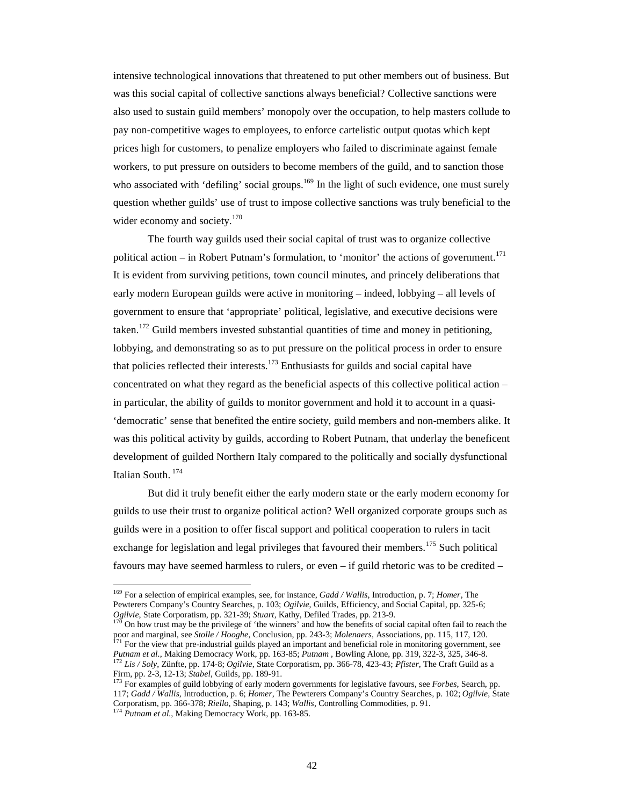intensive technological innovations that threatened to put other members out of business. But was this social capital of collective sanctions always beneficial? Collective sanctions were also used to sustain guild members' monopoly over the occupation, to help masters collude to pay non-competitive wages to employees, to enforce cartelistic output quotas which kept prices high for customers, to penalize employers who failed to discriminate against female workers, to put pressure on outsiders to become members of the guild, and to sanction those who associated with 'defiling' social groups.<sup>169</sup> In the light of such evidence, one must surely question whether guilds' use of trust to impose collective sanctions was truly beneficial to the wider economy and society.<sup>170</sup>

 The fourth way guilds used their social capital of trust was to organize collective political action – in Robert Putnam's formulation, to 'monitor' the actions of government.<sup>171</sup> It is evident from surviving petitions, town council minutes, and princely deliberations that early modern European guilds were active in monitoring – indeed, lobbying – all levels of government to ensure that 'appropriate' political, legislative, and executive decisions were taken.<sup>172</sup> Guild members invested substantial quantities of time and money in petitioning, lobbying, and demonstrating so as to put pressure on the political process in order to ensure that policies reflected their interests.<sup>173</sup> Enthusiasts for guilds and social capital have concentrated on what they regard as the beneficial aspects of this collective political action – in particular, the ability of guilds to monitor government and hold it to account in a quasi- 'democratic' sense that benefited the entire society, guild members and non-members alike. It was this political activity by guilds, according to Robert Putnam, that underlay the beneficent development of guilded Northern Italy compared to the politically and socially dysfunctional Italian South.<sup>174</sup>

 But did it truly benefit either the early modern state or the early modern economy for guilds to use their trust to organize political action? Well organized corporate groups such as guilds were in a position to offer fiscal support and political cooperation to rulers in tacit exchange for legislation and legal privileges that favoured their members.<sup>175</sup> Such political favours may have seemed harmless to rulers, or even – if guild rhetoric was to be credited –

 $\overline{\phantom{a}}$ 

<sup>169</sup> For a selection of empirical examples, see, for instance, *Gadd / Wallis*, Introduction, p. 7; *Homer*, The Pewterers Company's Country Searches, p. 103; *Ogilvie*, Guilds, Efficiency, and Social Capital, pp. 325-6;<br>*Ogilvie*, State Corporatism, pp. 321-39; *Stuart*, Kathy, Defiled Trades, pp. 213-9.<br><sup>170</sup> On hour trust many hea

<sup>&</sup>lt;sup>7</sup> On how trust may be the privilege of 'the winners' and how the benefits of social capital often fail to reach the poor and marginal, see *Stolle / Hooghe*, Conclusion, pp. 243-3; *Molenaers*, Associations, pp. 115, 117, 120.<br><sup>171</sup> For the view that pre-industrial guilds played an important and beneficial role in monitoring government, Putnam et al., Making Democracy Work, pp. 163-85; Putnam, Bowling Alone, pp. 319, 322-3, 325, 346-8.<br><sup>172</sup> Lis / Soly, Zünfte, pp. 174-8; Ogilvie, State Corporatism, pp. 366-78, 423-43; Pfister, The Craft Guild as a

Firm, pp. 2-3, 12-13; *Stabel*, Guilds, pp. 189-91.<br><sup>173</sup> For examples of guild lobbying of early modern governments for legislative favours, see *Forbes*, Search, pp. 117; *Gadd / Wallis*, Introduction, p. 6; *Homer*, The Pewterers Company's Country Searches, p. 102; *Ogilvie*, State Corporatism, pp. 366-378; *Riello*, Shaping, p. 143; *Wallis*, Controlling Commodities, p. 91. 174 *Putnam et al.*, Making Democracy Work, pp. 163-85.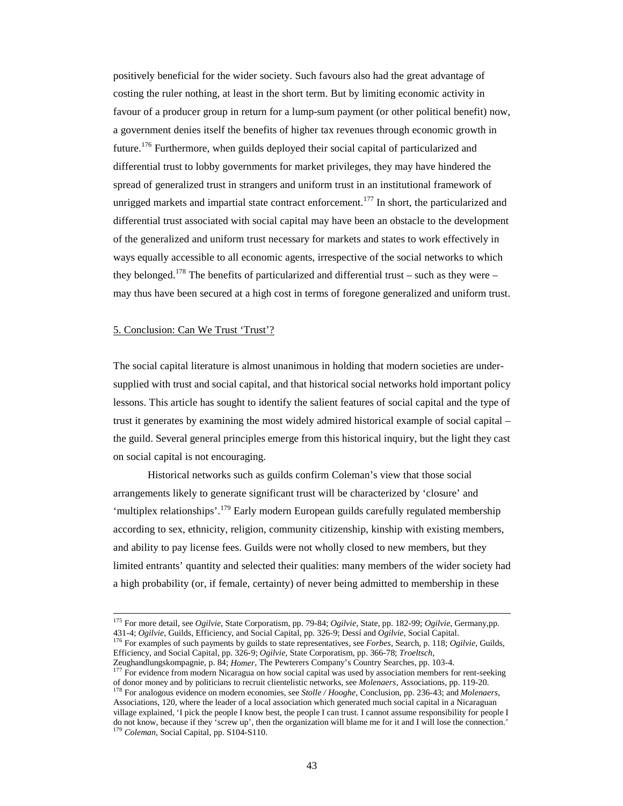positively beneficial for the wider society. Such favours also had the great advantage of costing the ruler nothing, at least in the short term. But by limiting economic activity in favour of a producer group in return for a lump-sum payment (or other political benefit) now, a government denies itself the benefits of higher tax revenues through economic growth in future.<sup>176</sup> Furthermore, when guilds deployed their social capital of particularized and differential trust to lobby governments for market privileges, they may have hindered the spread of generalized trust in strangers and uniform trust in an institutional framework of unrigged markets and impartial state contract enforcement.<sup>177</sup> In short, the particularized and differential trust associated with social capital may have been an obstacle to the development of the generalized and uniform trust necessary for markets and states to work effectively in ways equally accessible to all economic agents, irrespective of the social networks to which they belonged.<sup>178</sup> The benefits of particularized and differential trust – such as they were – may thus have been secured at a high cost in terms of foregone generalized and uniform trust.

#### 5. Conclusion: Can We Trust 'Trust'?

The social capital literature is almost unanimous in holding that modern societies are undersupplied with trust and social capital, and that historical social networks hold important policy lessons. This article has sought to identify the salient features of social capital and the type of trust it generates by examining the most widely admired historical example of social capital – the guild. Several general principles emerge from this historical inquiry, but the light they cast on social capital is not encouraging.

 Historical networks such as guilds confirm Coleman's view that those social arrangements likely to generate significant trust will be characterized by 'closure' and 'multiplex relationships'.179 Early modern European guilds carefully regulated membership according to sex, ethnicity, religion, community citizenship, kinship with existing members, and ability to pay license fees. Guilds were not wholly closed to new members, but they limited entrants' quantity and selected their qualities: many members of the wider society had a high probability (or, if female, certainty) of never being admitted to membership in these

 <sup>175</sup> For more detail, see *Ogilvie*, State Corporatism, pp. 79-84; *Ogilvie*, State, pp. 182-99; *Ogilvie*, Germany,pp.

<sup>431-4;</sup> Ogilvie, Guilds, Efficiency, and Social Capital, pp. 326-9; Dessí and Ogilvie, Social Capital.<br><sup>176</sup> For examples of such payments by guilds to state representatives, see *Forbes*, Search, p. 118; Ogilvie, Guilds, Efficiency, and Social Capital, pp. 326-9; *Ogilvie*, State Corporatism, pp. 366-78; *Troeltsch*,

Zeughandlungskompagnie, p. 84; *Homer*, The Pewterers Company's Country Searches, pp. 103-4.<br><sup>177</sup> For evidence from modern Nicaragua on how social capital was used by association members for rent-seeking<br>of donor money an

 $178$  For analogous evidence on modern economies, see *Stolle / Hooghe*, Conclusion, pp. 236-43; and *Molenaers*, Associations, 120, where the leader of a local association which generated much social capital in a Nicaraguan village explained, 'I pick the people I know best, the people I can trust. I cannot assume responsibility for people I do not know, because if they 'screw up', then the organization will blame me for it and I will lose the connection.' <sup>179</sup> *Coleman*, Social Capital, pp. S104-S110.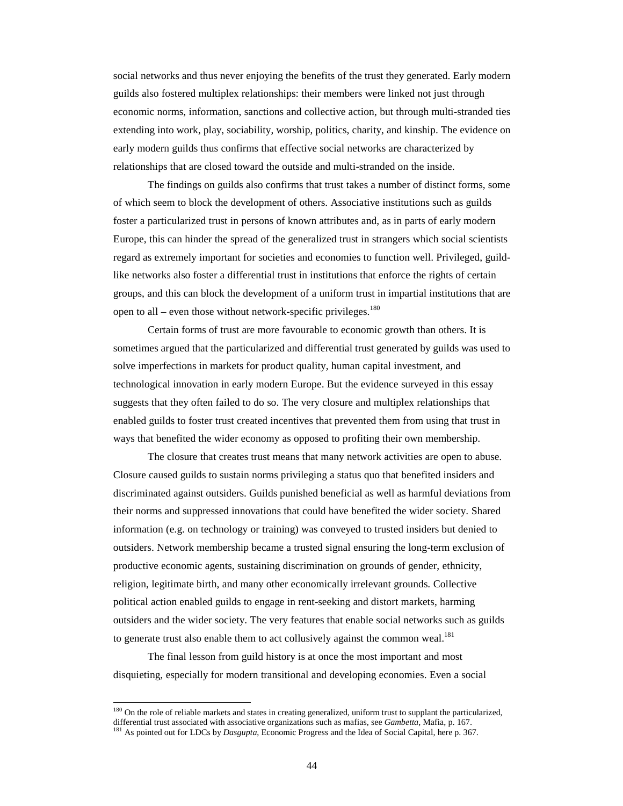social networks and thus never enjoying the benefits of the trust they generated. Early modern guilds also fostered multiplex relationships: their members were linked not just through economic norms, information, sanctions and collective action, but through multi-stranded ties extending into work, play, sociability, worship, politics, charity, and kinship. The evidence on early modern guilds thus confirms that effective social networks are characterized by relationships that are closed toward the outside and multi-stranded on the inside.

 The findings on guilds also confirms that trust takes a number of distinct forms, some of which seem to block the development of others. Associative institutions such as guilds foster a particularized trust in persons of known attributes and, as in parts of early modern Europe, this can hinder the spread of the generalized trust in strangers which social scientists regard as extremely important for societies and economies to function well. Privileged, guildlike networks also foster a differential trust in institutions that enforce the rights of certain groups, and this can block the development of a uniform trust in impartial institutions that are open to all – even those without network-specific privileges. $180$ 

 Certain forms of trust are more favourable to economic growth than others. It is sometimes argued that the particularized and differential trust generated by guilds was used to solve imperfections in markets for product quality, human capital investment, and technological innovation in early modern Europe. But the evidence surveyed in this essay suggests that they often failed to do so. The very closure and multiplex relationships that enabled guilds to foster trust created incentives that prevented them from using that trust in ways that benefited the wider economy as opposed to profiting their own membership.

The closure that creates trust means that many network activities are open to abuse. Closure caused guilds to sustain norms privileging a status quo that benefited insiders and discriminated against outsiders. Guilds punished beneficial as well as harmful deviations from their norms and suppressed innovations that could have benefited the wider society. Shared information (e.g. on technology or training) was conveyed to trusted insiders but denied to outsiders. Network membership became a trusted signal ensuring the long-term exclusion of productive economic agents, sustaining discrimination on grounds of gender, ethnicity, religion, legitimate birth, and many other economically irrelevant grounds. Collective political action enabled guilds to engage in rent-seeking and distort markets, harming outsiders and the wider society. The very features that enable social networks such as guilds to generate trust also enable them to act collusively against the common weal.<sup>181</sup>

 The final lesson from guild history is at once the most important and most disquieting, especially for modern transitional and developing economies. Even a social

<sup>&</sup>lt;sup>180</sup> On the role of reliable markets and states in creating generalized, uniform trust to supplant the particularized, differential trust associated with associative organizations such as mafias, see *Gambetta*, Mafia, p

<sup>&</sup>lt;sup>181</sup> As pointed out for LDCs by *Dasgupta*, Economic Progress and the Idea of Social Capital, here p. 367.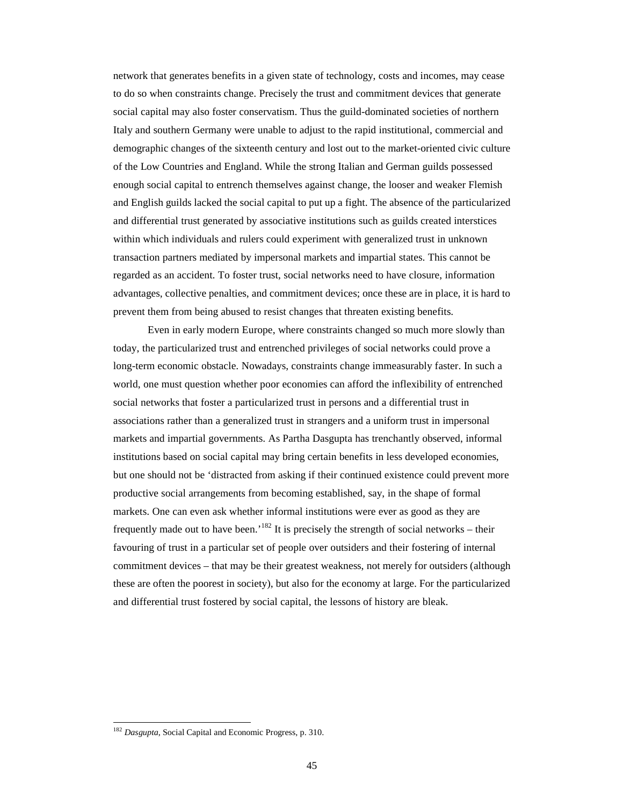network that generates benefits in a given state of technology, costs and incomes, may cease to do so when constraints change. Precisely the trust and commitment devices that generate social capital may also foster conservatism. Thus the guild-dominated societies of northern Italy and southern Germany were unable to adjust to the rapid institutional, commercial and demographic changes of the sixteenth century and lost out to the market-oriented civic culture of the Low Countries and England. While the strong Italian and German guilds possessed enough social capital to entrench themselves against change, the looser and weaker Flemish and English guilds lacked the social capital to put up a fight. The absence of the particularized and differential trust generated by associative institutions such as guilds created interstices within which individuals and rulers could experiment with generalized trust in unknown transaction partners mediated by impersonal markets and impartial states. This cannot be regarded as an accident. To foster trust, social networks need to have closure, information advantages, collective penalties, and commitment devices; once these are in place, it is hard to prevent them from being abused to resist changes that threaten existing benefits.

 Even in early modern Europe, where constraints changed so much more slowly than today, the particularized trust and entrenched privileges of social networks could prove a long-term economic obstacle. Nowadays, constraints change immeasurably faster. In such a world, one must question whether poor economies can afford the inflexibility of entrenched social networks that foster a particularized trust in persons and a differential trust in associations rather than a generalized trust in strangers and a uniform trust in impersonal markets and impartial governments. As Partha Dasgupta has trenchantly observed, informal institutions based on social capital may bring certain benefits in less developed economies, but one should not be 'distracted from asking if their continued existence could prevent more productive social arrangements from becoming established, say, in the shape of formal markets. One can even ask whether informal institutions were ever as good as they are frequently made out to have been.<sup>182</sup> It is precisely the strength of social networks – their favouring of trust in a particular set of people over outsiders and their fostering of internal commitment devices – that may be their greatest weakness, not merely for outsiders (although these are often the poorest in society), but also for the economy at large. For the particularized and differential trust fostered by social capital, the lessons of history are bleak.

<sup>182</sup> *Dasgupta*, Social Capital and Economic Progress, p. 310.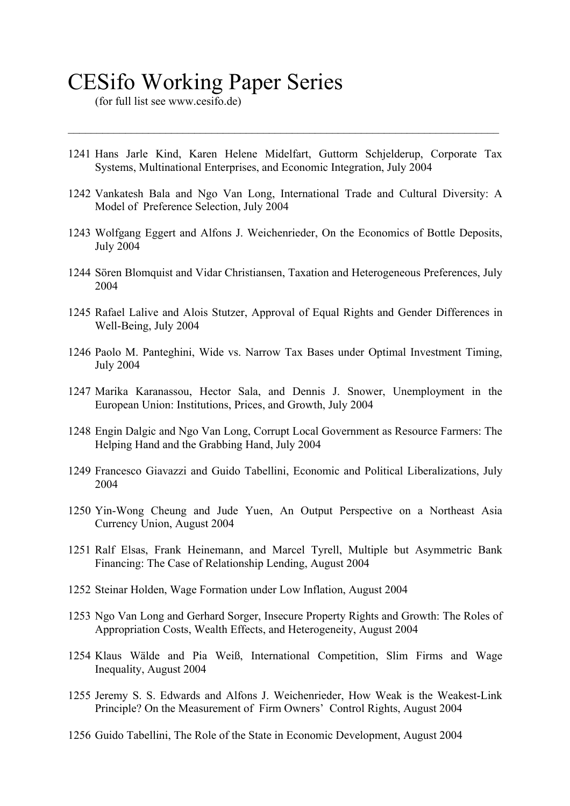# CESifo Working Paper Series

(for full list see www.cesifo.de)

1241 Hans Jarle Kind, Karen Helene Midelfart, Guttorm Schjelderup, Corporate Tax Systems, Multinational Enterprises, and Economic Integration, July 2004

 $\mathcal{L}_\mathcal{L} = \{ \mathcal{L}_\mathcal{L} = \{ \mathcal{L}_\mathcal{L} = \{ \mathcal{L}_\mathcal{L} = \{ \mathcal{L}_\mathcal{L} = \{ \mathcal{L}_\mathcal{L} = \{ \mathcal{L}_\mathcal{L} = \{ \mathcal{L}_\mathcal{L} = \{ \mathcal{L}_\mathcal{L} = \{ \mathcal{L}_\mathcal{L} = \{ \mathcal{L}_\mathcal{L} = \{ \mathcal{L}_\mathcal{L} = \{ \mathcal{L}_\mathcal{L} = \{ \mathcal{L}_\mathcal{L} = \{ \mathcal{L}_\mathcal{$ 

- 1242 Vankatesh Bala and Ngo Van Long, International Trade and Cultural Diversity: A Model of Preference Selection, July 2004
- 1243 Wolfgang Eggert and Alfons J. Weichenrieder, On the Economics of Bottle Deposits, July 2004
- 1244 Sören Blomquist and Vidar Christiansen, Taxation and Heterogeneous Preferences, July 2004
- 1245 Rafael Lalive and Alois Stutzer, Approval of Equal Rights and Gender Differences in Well-Being, July 2004
- 1246 Paolo M. Panteghini, Wide vs. Narrow Tax Bases under Optimal Investment Timing, July 2004
- 1247 Marika Karanassou, Hector Sala, and Dennis J. Snower, Unemployment in the European Union: Institutions, Prices, and Growth, July 2004
- 1248 Engin Dalgic and Ngo Van Long, Corrupt Local Government as Resource Farmers: The Helping Hand and the Grabbing Hand, July 2004
- 1249 Francesco Giavazzi and Guido Tabellini, Economic and Political Liberalizations, July 2004
- 1250 Yin-Wong Cheung and Jude Yuen, An Output Perspective on a Northeast Asia Currency Union, August 2004
- 1251 Ralf Elsas, Frank Heinemann, and Marcel Tyrell, Multiple but Asymmetric Bank Financing: The Case of Relationship Lending, August 2004
- 1252 Steinar Holden, Wage Formation under Low Inflation, August 2004
- 1253 Ngo Van Long and Gerhard Sorger, Insecure Property Rights and Growth: The Roles of Appropriation Costs, Wealth Effects, and Heterogeneity, August 2004
- 1254 Klaus Wälde and Pia Weiß, International Competition, Slim Firms and Wage Inequality, August 2004
- 1255 Jeremy S. S. Edwards and Alfons J. Weichenrieder, How Weak is the Weakest-Link Principle? On the Measurement of Firm Owners' Control Rights, August 2004
- 1256 Guido Tabellini, The Role of the State in Economic Development, August 2004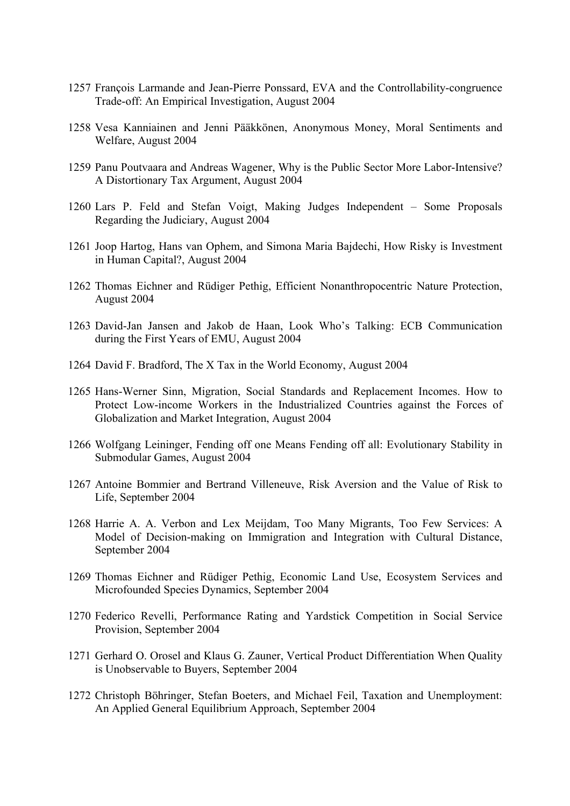- 1257 François Larmande and Jean-Pierre Ponssard, EVA and the Controllability-congruence Trade-off: An Empirical Investigation, August 2004
- 1258 Vesa Kanniainen and Jenni Pääkkönen, Anonymous Money, Moral Sentiments and Welfare, August 2004
- 1259 Panu Poutvaara and Andreas Wagener, Why is the Public Sector More Labor-Intensive? A Distortionary Tax Argument, August 2004
- 1260 Lars P. Feld and Stefan Voigt, Making Judges Independent Some Proposals Regarding the Judiciary, August 2004
- 1261 Joop Hartog, Hans van Ophem, and Simona Maria Bajdechi, How Risky is Investment in Human Capital?, August 2004
- 1262 Thomas Eichner and Rüdiger Pethig, Efficient Nonanthropocentric Nature Protection, August 2004
- 1263 David-Jan Jansen and Jakob de Haan, Look Who's Talking: ECB Communication during the First Years of EMU, August 2004
- 1264 David F. Bradford, The X Tax in the World Economy, August 2004
- 1265 Hans-Werner Sinn, Migration, Social Standards and Replacement Incomes. How to Protect Low-income Workers in the Industrialized Countries against the Forces of Globalization and Market Integration, August 2004
- 1266 Wolfgang Leininger, Fending off one Means Fending off all: Evolutionary Stability in Submodular Games, August 2004
- 1267 Antoine Bommier and Bertrand Villeneuve, Risk Aversion and the Value of Risk to Life, September 2004
- 1268 Harrie A. A. Verbon and Lex Meijdam, Too Many Migrants, Too Few Services: A Model of Decision-making on Immigration and Integration with Cultural Distance, September 2004
- 1269 Thomas Eichner and Rüdiger Pethig, Economic Land Use, Ecosystem Services and Microfounded Species Dynamics, September 2004
- 1270 Federico Revelli, Performance Rating and Yardstick Competition in Social Service Provision, September 2004
- 1271 Gerhard O. Orosel and Klaus G. Zauner, Vertical Product Differentiation When Quality is Unobservable to Buyers, September 2004
- 1272 Christoph Böhringer, Stefan Boeters, and Michael Feil, Taxation and Unemployment: An Applied General Equilibrium Approach, September 2004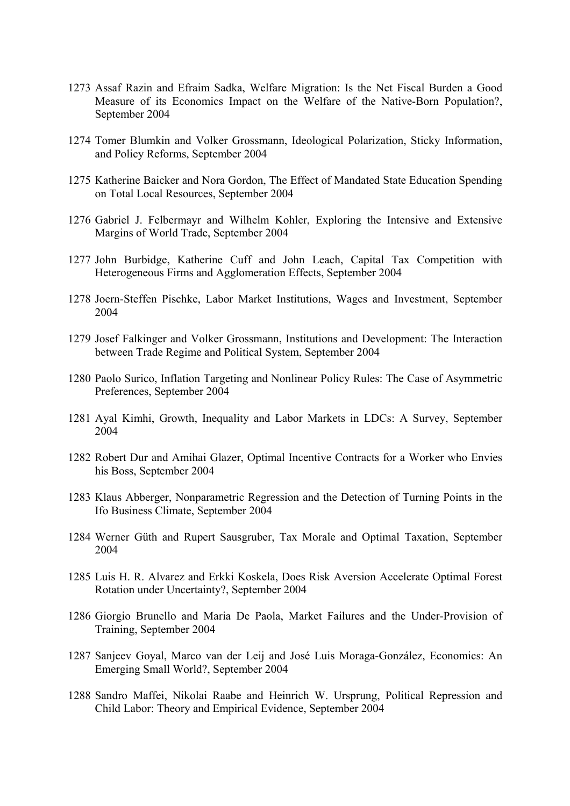- 1273 Assaf Razin and Efraim Sadka, Welfare Migration: Is the Net Fiscal Burden a Good Measure of its Economics Impact on the Welfare of the Native-Born Population?, September 2004
- 1274 Tomer Blumkin and Volker Grossmann, Ideological Polarization, Sticky Information, and Policy Reforms, September 2004
- 1275 Katherine Baicker and Nora Gordon, The Effect of Mandated State Education Spending on Total Local Resources, September 2004
- 1276 Gabriel J. Felbermayr and Wilhelm Kohler, Exploring the Intensive and Extensive Margins of World Trade, September 2004
- 1277 John Burbidge, Katherine Cuff and John Leach, Capital Tax Competition with Heterogeneous Firms and Agglomeration Effects, September 2004
- 1278 Joern-Steffen Pischke, Labor Market Institutions, Wages and Investment, September 2004
- 1279 Josef Falkinger and Volker Grossmann, Institutions and Development: The Interaction between Trade Regime and Political System, September 2004
- 1280 Paolo Surico, Inflation Targeting and Nonlinear Policy Rules: The Case of Asymmetric Preferences, September 2004
- 1281 Ayal Kimhi, Growth, Inequality and Labor Markets in LDCs: A Survey, September 2004
- 1282 Robert Dur and Amihai Glazer, Optimal Incentive Contracts for a Worker who Envies his Boss, September 2004
- 1283 Klaus Abberger, Nonparametric Regression and the Detection of Turning Points in the Ifo Business Climate, September 2004
- 1284 Werner Güth and Rupert Sausgruber, Tax Morale and Optimal Taxation, September 2004
- 1285 Luis H. R. Alvarez and Erkki Koskela, Does Risk Aversion Accelerate Optimal Forest Rotation under Uncertainty?, September 2004
- 1286 Giorgio Brunello and Maria De Paola, Market Failures and the Under-Provision of Training, September 2004
- 1287 Sanjeev Goyal, Marco van der Leij and José Luis Moraga-González, Economics: An Emerging Small World?, September 2004
- 1288 Sandro Maffei, Nikolai Raabe and Heinrich W. Ursprung, Political Repression and Child Labor: Theory and Empirical Evidence, September 2004